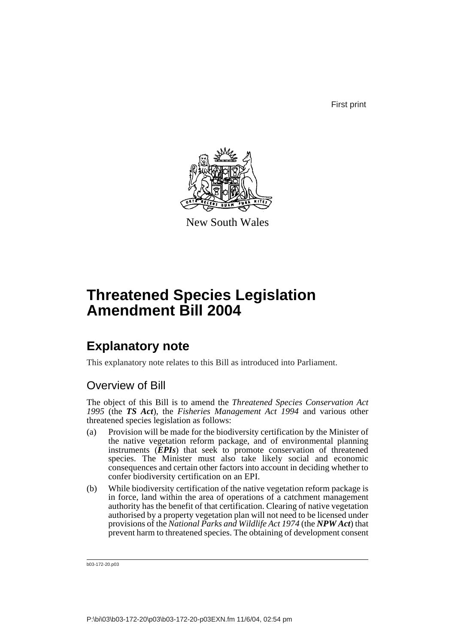First print



New South Wales

# **Threatened Species Legislation Amendment Bill 2004**

# **Explanatory note**

This explanatory note relates to this Bill as introduced into Parliament.

# Overview of Bill

The object of this Bill is to amend the *Threatened Species Conservation Act 1995* (the *TS Act*), the *Fisheries Management Act 1994* and various other threatened species legislation as follows:

- (a) Provision will be made for the biodiversity certification by the Minister of the native vegetation reform package, and of environmental planning instruments (*EPIs*) that seek to promote conservation of threatened species. The Minister must also take likely social and economic consequences and certain other factors into account in deciding whether to confer biodiversity certification on an EPI.
- (b) While biodiversity certification of the native vegetation reform package is in force, land within the area of operations of a catchment management authority has the benefit of that certification. Clearing of native vegetation authorised by a property vegetation plan will not need to be licensed under provisions of the *National Parks and Wildlife Act 1974* (the *NPW Act*) that prevent harm to threatened species. The obtaining of development consent

b03-172-20.p03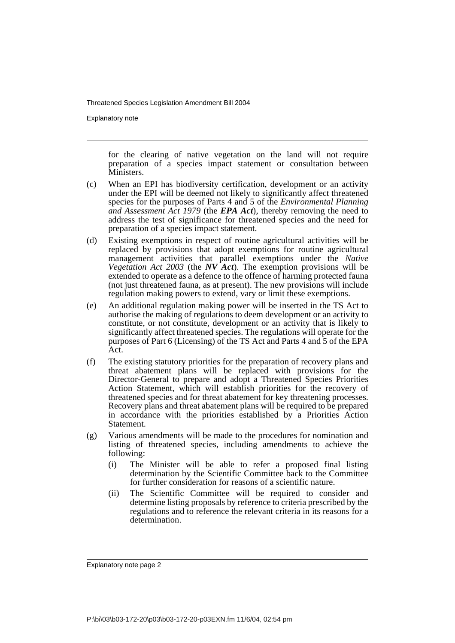Explanatory note

for the clearing of native vegetation on the land will not require preparation of a species impact statement or consultation between Ministers.

- (c) When an EPI has biodiversity certification, development or an activity under the EPI will be deemed not likely to significantly affect threatened species for the purposes of Parts 4 and 5 of the *Environmental Planning and Assessment Act 1979* (the *EPA Act*), thereby removing the need to address the test of significance for threatened species and the need for preparation of a species impact statement.
- (d) Existing exemptions in respect of routine agricultural activities will be replaced by provisions that adopt exemptions for routine agricultural management activities that parallel exemptions under the *Native Vegetation Act 2003* (the *NV Act*). The exemption provisions will be extended to operate as a defence to the offence of harming protected fauna (not just threatened fauna, as at present). The new provisions will include regulation making powers to extend, vary or limit these exemptions.
- (e) An additional regulation making power will be inserted in the TS Act to authorise the making of regulations to deem development or an activity to constitute, or not constitute, development or an activity that is likely to significantly affect threatened species. The regulations will operate for the purposes of Part 6 (Licensing) of the TS Act and Parts 4 and 5 of the EPA Act.
- (f) The existing statutory priorities for the preparation of recovery plans and threat abatement plans will be replaced with provisions for the Director-General to prepare and adopt a Threatened Species Priorities Action Statement, which will establish priorities for the recovery of threatened species and for threat abatement for key threatening processes. Recovery plans and threat abatement plans will be required to be prepared in accordance with the priorities established by a Priorities Action Statement.
- (g) Various amendments will be made to the procedures for nomination and listing of threatened species, including amendments to achieve the following:
	- (i) The Minister will be able to refer a proposed final listing determination by the Scientific Committee back to the Committee for further consideration for reasons of a scientific nature.
	- (ii) The Scientific Committee will be required to consider and determine listing proposals by reference to criteria prescribed by the regulations and to reference the relevant criteria in its reasons for a determination.

Explanatory note page 2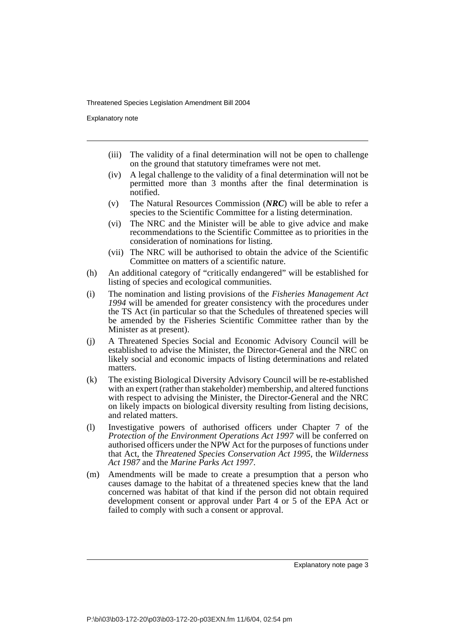Explanatory note

- (iii) The validity of a final determination will not be open to challenge on the ground that statutory timeframes were not met.
- (iv) A legal challenge to the validity of a final determination will not be permitted more than 3 months after the final determination is notified.
- (v) The Natural Resources Commission (*NRC*) will be able to refer a species to the Scientific Committee for a listing determination.
- (vi) The NRC and the Minister will be able to give advice and make recommendations to the Scientific Committee as to priorities in the consideration of nominations for listing.
- (vii) The NRC will be authorised to obtain the advice of the Scientific Committee on matters of a scientific nature.
- (h) An additional category of "critically endangered" will be established for listing of species and ecological communities.
- (i) The nomination and listing provisions of the *Fisheries Management Act 1994* will be amended for greater consistency with the procedures under the TS Act (in particular so that the Schedules of threatened species will be amended by the Fisheries Scientific Committee rather than by the Minister as at present).
- (j) A Threatened Species Social and Economic Advisory Council will be established to advise the Minister, the Director-General and the NRC on likely social and economic impacts of listing determinations and related matters.
- (k) The existing Biological Diversity Advisory Council will be re-established with an expert (rather than stakeholder) membership, and altered functions with respect to advising the Minister, the Director-General and the NRC on likely impacts on biological diversity resulting from listing decisions, and related matters.
- (l) Investigative powers of authorised officers under Chapter 7 of the *Protection of the Environment Operations Act 1997* will be conferred on authorised officers under the NPW Act for the purposes of functions under that Act, the *Threatened Species Conservation Act 1995*, the *Wilderness Act 1987* and the *Marine Parks Act 1997*.
- (m) Amendments will be made to create a presumption that a person who causes damage to the habitat of a threatened species knew that the land concerned was habitat of that kind if the person did not obtain required development consent or approval under Part 4 or 5 of the EPA Act or failed to comply with such a consent or approval.

Explanatory note page 3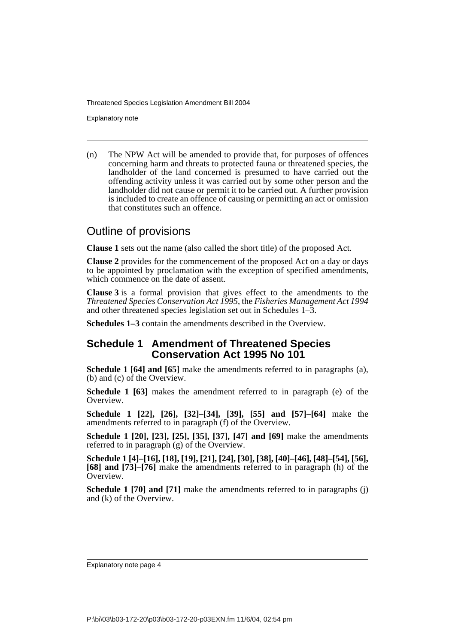Explanatory note

(n) The NPW Act will be amended to provide that, for purposes of offences concerning harm and threats to protected fauna or threatened species, the landholder of the land concerned is presumed to have carried out the offending activity unless it was carried out by some other person and the landholder did not cause or permit it to be carried out. A further provision is included to create an offence of causing or permitting an act or omission that constitutes such an offence.

# Outline of provisions

**Clause 1** sets out the name (also called the short title) of the proposed Act.

**Clause 2** provides for the commencement of the proposed Act on a day or days to be appointed by proclamation with the exception of specified amendments, which commence on the date of assent.

**Clause 3** is a formal provision that gives effect to the amendments to the *Threatened Species Conservation Act 1995*, the *Fisheries Management Act 1994* and other threatened species legislation set out in Schedules 1–3.

**Schedules 1–3** contain the amendments described in the Overview.

# **Schedule 1 Amendment of Threatened Species Conservation Act 1995 No 101**

**Schedule 1 [64] and [65]** make the amendments referred to in paragraphs (a), (b) and (c) of the Overview.

**Schedule 1 [63]** makes the amendment referred to in paragraph (e) of the Overview.

**Schedule 1 [22], [26], [32]–[34], [39], [55] and [57]–[64]** make the amendments referred to in paragraph (f) of the Overview.

**Schedule 1 [20], [23], [25], [35], [37], [47] and [69]** make the amendments referred to in paragraph (g) of the Overview.

**Schedule 1 [4]–[16], [18], [19], [21], [24], [30], [38], [40]–[46], [48]–[54], [56], [68] and [73]–[76]** make the amendments referred to in paragraph (h) of the Overview.

**Schedule 1 [70] and [71]** make the amendments referred to in paragraphs (j) and (k) of the Overview.

Explanatory note page 4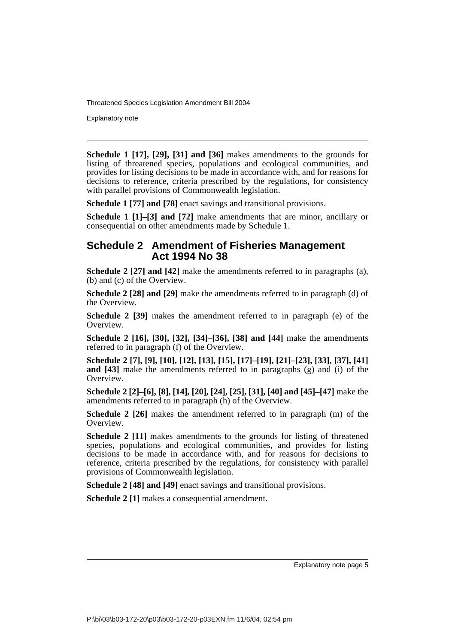Explanatory note

**Schedule 1 [17], [29], [31] and [36]** makes amendments to the grounds for listing of threatened species, populations and ecological communities, and provides for listing decisions to be made in accordance with, and for reasons for decisions to reference, criteria prescribed by the regulations, for consistency with parallel provisions of Commonwealth legislation.

**Schedule 1 [77] and [78]** enact savings and transitional provisions.

**Schedule 1 [1]–[3] and [72]** make amendments that are minor, ancillary or consequential on other amendments made by Schedule 1.

# **Schedule 2 Amendment of Fisheries Management Act 1994 No 38**

**Schedule 2 [27] and [42]** make the amendments referred to in paragraphs (a), (b) and (c) of the Overview.

**Schedule 2 [28] and [29]** make the amendments referred to in paragraph (d) of the Overview.

**Schedule 2 [39]** makes the amendment referred to in paragraph (e) of the Overview.

**Schedule 2 [16], [30], [32], [34]–[36], [38] and [44]** make the amendments referred to in paragraph (f) of the Overview.

**Schedule 2 [7], [9], [10], [12], [13], [15], [17]–[19], [21]–[23], [33], [37], [41] and [43]** make the amendments referred to in paragraphs (g) and (i) of the Overview.

**Schedule 2 [2]–[6], [8], [14], [20], [24], [25], [31], [40] and [45]–[47]** make the amendments referred to in paragraph (h) of the Overview.

**Schedule 2 [26]** makes the amendment referred to in paragraph (m) of the Overview.

**Schedule 2 [11]** makes amendments to the grounds for listing of threatened species, populations and ecological communities, and provides for listing decisions to be made in accordance with, and for reasons for decisions to reference, criteria prescribed by the regulations, for consistency with parallel provisions of Commonwealth legislation.

**Schedule 2 [48] and [49]** enact savings and transitional provisions.

**Schedule 2 [1]** makes a consequential amendment.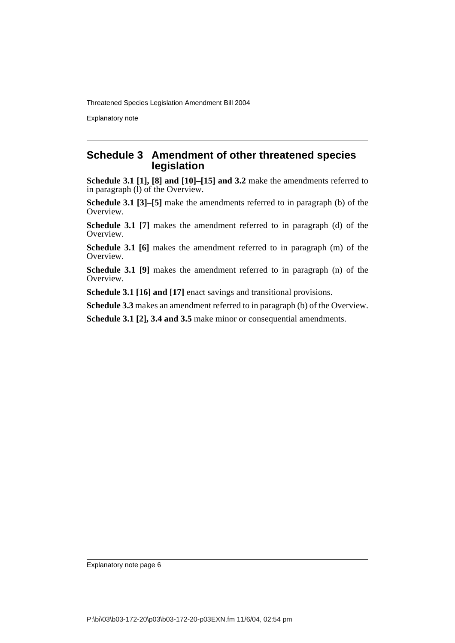Explanatory note

# **Schedule 3 Amendment of other threatened species legislation**

**Schedule 3.1 [1], [8] and [10]–[15] and 3.2** make the amendments referred to in paragraph (l) of the Overview.

**Schedule 3.1 [3]–[5]** make the amendments referred to in paragraph (b) of the Overview.

**Schedule 3.1 [7]** makes the amendment referred to in paragraph (d) of the Overview.

**Schedule 3.1 [6]** makes the amendment referred to in paragraph (m) of the Overview.

**Schedule 3.1 [9]** makes the amendment referred to in paragraph (n) of the Overview.

**Schedule 3.1 [16] and [17]** enact savings and transitional provisions.

**Schedule 3.3** makes an amendment referred to in paragraph (b) of the Overview.

**Schedule 3.1 [2], 3.4 and 3.5** make minor or consequential amendments.

Explanatory note page 6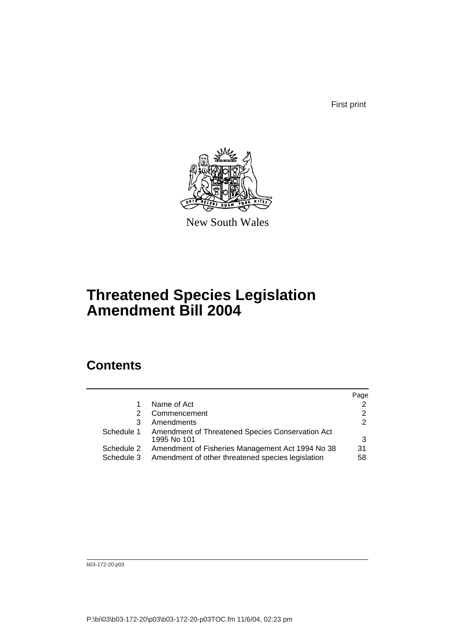First print



New South Wales

# **Threatened Species Legislation Amendment Bill 2004**

# **Contents**

|                                                                                                       | Page     |
|-------------------------------------------------------------------------------------------------------|----------|
| Name of Act                                                                                           |          |
| Commencement                                                                                          | 2        |
| Amendments                                                                                            | 2        |
| Amendment of Threatened Species Conservation Act<br>Schedule 1<br>1995 No 101                         |          |
| Amendment of Fisheries Management Act 1994 No 38<br>Amendment of other threatened species legislation | 31<br>58 |
|                                                                                                       |          |

b03-172-20.p03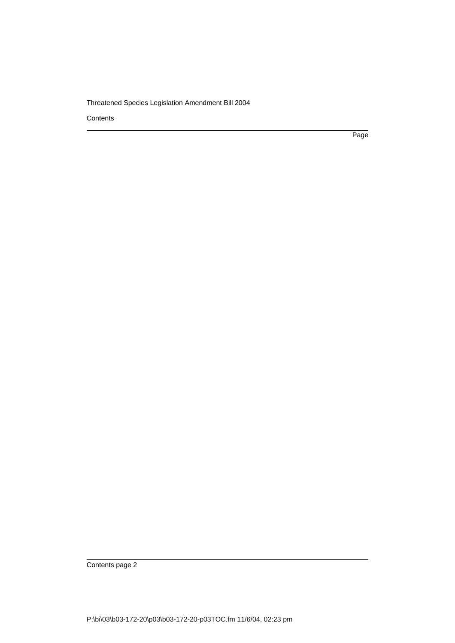**Contents** 

Page

Contents page 2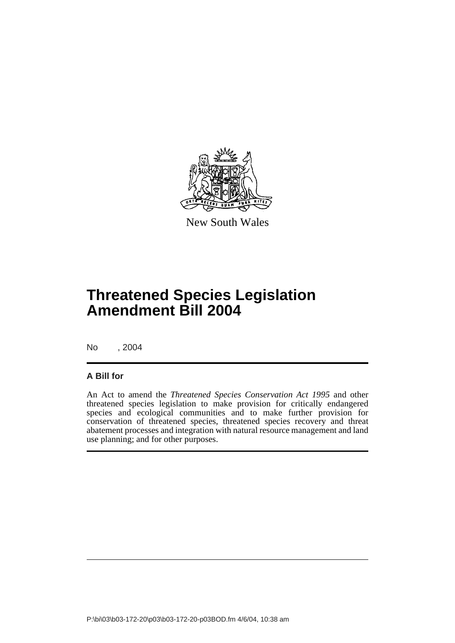

New South Wales

# **Threatened Species Legislation Amendment Bill 2004**

No , 2004

# **A Bill for**

An Act to amend the *Threatened Species Conservation Act 1995* and other threatened species legislation to make provision for critically endangered species and ecological communities and to make further provision for conservation of threatened species, threatened species recovery and threat abatement processes and integration with natural resource management and land use planning; and for other purposes.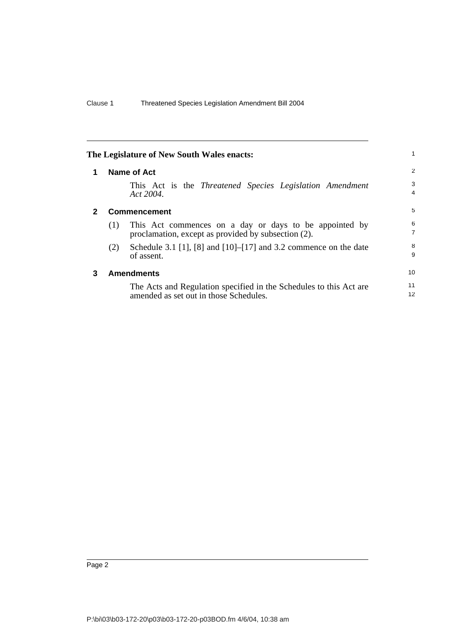<span id="page-9-2"></span><span id="page-9-1"></span><span id="page-9-0"></span>

|   | The Legislature of New South Wales enacts:                                                                           |                |
|---|----------------------------------------------------------------------------------------------------------------------|----------------|
| 1 | <b>Name of Act</b>                                                                                                   | $\overline{2}$ |
|   | This Act is the <i>Threatened Species Legislation Amendment</i><br>Act 2004.                                         | 3<br>4         |
| 2 | <b>Commencement</b>                                                                                                  | 5              |
|   | This Act commences on a day or days to be appointed by<br>(1)<br>proclamation, except as provided by subsection (2). | 6<br>7         |
|   | Schedule 3.1 [1], [8] and $[10]$ – $[17]$ and 3.2 commence on the date<br>(2)<br>of assent.                          | 8<br>9         |
| 3 | <b>Amendments</b>                                                                                                    | 10             |
|   | The Acts and Regulation specified in the Schedules to this Act are<br>amended as set out in those Schedules.         | 11<br>12       |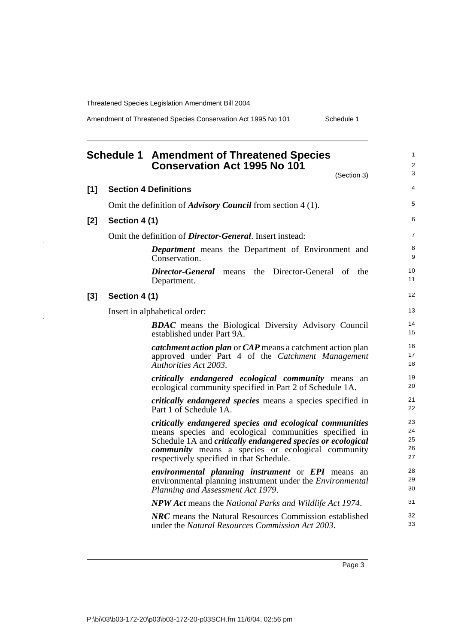Amendment of Threatened Species Conservation Act 1995 No 101 Schedule 1

<span id="page-10-0"></span>

|       |               | <b>Schedule 1 Amendment of Threatened Species</b><br><b>Conservation Act 1995 No 101</b>                                                                                                                                                                                                        | 1<br>$\overline{2}$<br>3   |
|-------|---------------|-------------------------------------------------------------------------------------------------------------------------------------------------------------------------------------------------------------------------------------------------------------------------------------------------|----------------------------|
| [1]   |               | (Section 3)<br><b>Section 4 Definitions</b>                                                                                                                                                                                                                                                     | 4                          |
|       |               | Omit the definition of <i>Advisory Council</i> from section $4(1)$ .                                                                                                                                                                                                                            | 5                          |
| [2]   | Section 4 (1) |                                                                                                                                                                                                                                                                                                 | 6                          |
|       |               |                                                                                                                                                                                                                                                                                                 | $\overline{7}$             |
|       |               | Omit the definition of <i>Director-General</i> . Insert instead:<br><b>Department</b> means the Department of Environment and                                                                                                                                                                   | 8                          |
|       |               | Conservation.                                                                                                                                                                                                                                                                                   | 9                          |
|       |               | Director-General means<br>the Director-General of<br>the<br>Department.                                                                                                                                                                                                                         | 10<br>11                   |
| $[3]$ | Section 4 (1) |                                                                                                                                                                                                                                                                                                 | 12                         |
|       |               | Insert in alphabetical order:                                                                                                                                                                                                                                                                   | 13                         |
|       |               | <b>BDAC</b> means the Biological Diversity Advisory Council<br>established under Part 9A.                                                                                                                                                                                                       | 14<br>15                   |
|       |               | <i>catchment action plan</i> or <i>CAP</i> means a catchment action plan<br>approved under Part 4 of the Catchment Management<br>Authorities Act 2003.                                                                                                                                          | 16<br>17<br>18             |
|       |               | critically endangered ecological community means an<br>ecological community specified in Part 2 of Schedule 1A.                                                                                                                                                                                 | 19<br>20                   |
|       |               | <i>critically endangered species</i> means a species specified in<br>Part 1 of Schedule 1A.                                                                                                                                                                                                     | 21<br>22                   |
|       |               | critically endangered species and ecological communities<br>means species and ecological communities specified in<br>Schedule 1A and <i>critically endangered species or ecological</i><br><i>community</i> means a species or ecological community<br>respectively specified in that Schedule. | 23<br>24<br>25<br>26<br>27 |
|       |               | environmental planning instrument or EPI means an<br>environmental planning instrument under the <i>Environmental</i><br>Planning and Assessment Act 1979.                                                                                                                                      | 28<br>29<br>30             |
|       |               | <b>NPW Act</b> means the National Parks and Wildlife Act 1974.                                                                                                                                                                                                                                  | 31                         |
|       |               | <b>NRC</b> means the Natural Resources Commission established<br>under the Natural Resources Commission Act 2003.                                                                                                                                                                               | 32<br>33                   |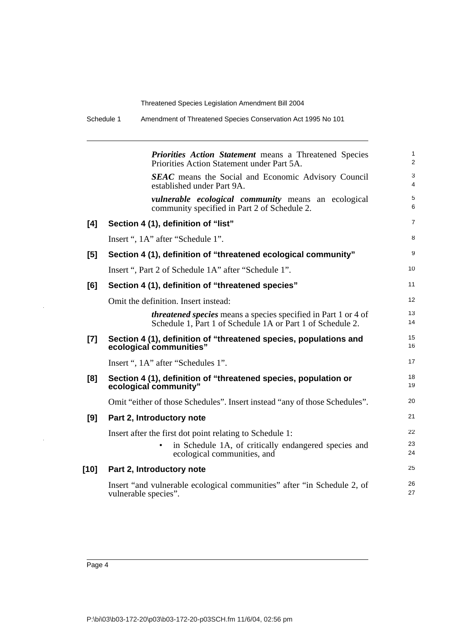|        | <b>Principal</b> I<br>Afflictuation in the attention operate Conservation Act 1995 NO TOT                                           |  |
|--------|-------------------------------------------------------------------------------------------------------------------------------------|--|
|        | <b>Priorities Action Statement</b> means a Threatened Species<br>Priorities Action Statement under Part 5A.                         |  |
|        | <b>SEAC</b> means the Social and Economic Advisory Council<br>established under Part 9A.                                            |  |
|        | vulnerable ecological community means an ecological<br>community specified in Part 2 of Schedule 2.                                 |  |
| [4]    | Section 4 (1), definition of "list"                                                                                                 |  |
|        | Insert ", 1A" after "Schedule 1".                                                                                                   |  |
| [5]    | Section 4 (1), definition of "threatened ecological community"                                                                      |  |
|        | Insert ", Part 2 of Schedule 1A" after "Schedule 1".                                                                                |  |
| [6]    | Section 4 (1), definition of "threatened species"                                                                                   |  |
|        | Omit the definition. Insert instead:                                                                                                |  |
|        | <i>threatened species</i> means a species specified in Part 1 or 4 of<br>Schedule 1, Part 1 of Schedule 1A or Part 1 of Schedule 2. |  |
| $[7]$  | Section 4 (1), definition of "threatened species, populations and<br>ecological communities"                                        |  |
|        | Insert ", 1A" after "Schedules 1".                                                                                                  |  |
| [8]    | Section 4 (1), definition of "threatened species, population or<br>ecological community"                                            |  |
|        | Omit "either of those Schedules". Insert instead "any of those Schedules".                                                          |  |
| [9]    | Part 2, Introductory note                                                                                                           |  |
|        | Insert after the first dot point relating to Schedule 1:                                                                            |  |
|        | in Schedule 1A, of critically endangered species and<br>ecological communities, and                                                 |  |
| $[10]$ | Part 2, Introductory note                                                                                                           |  |
|        | Insert "and vulnerable ecological communities" after "in Schedule 2, of<br>vulnerable species".                                     |  |
|        |                                                                                                                                     |  |

 $\bar{z}$ 

 $\bar{z}$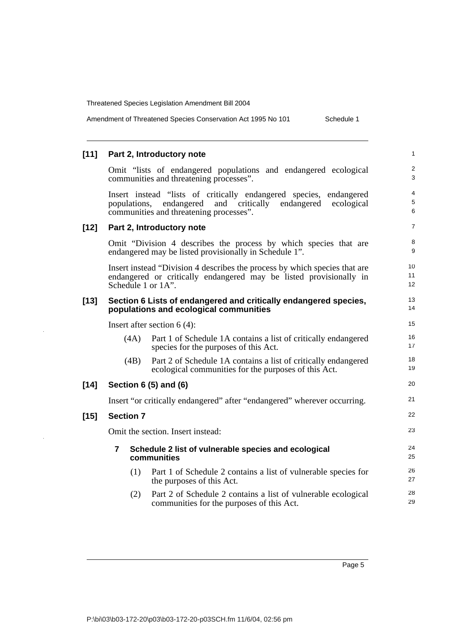| Amendment of Threatened Species Conservation Act 1995 No 101 | Schedule 1 |
|--------------------------------------------------------------|------------|
|--------------------------------------------------------------|------------|

# **[11] Part 2, Introductory note** Omit "lists of endangered populations and endangered ecological communities and threatening processes". Insert instead "lists of critically endangered species, endangered

populations, endangered and critically endangered ecological communities and threatening processes". **[12] Part 2, Introductory note**

## Omit "Division 4 describes the process by which species that are endangered may be listed provisionally in Schedule 1".

Insert instead "Division 4 describes the process by which species that are endangered or critically endangered may be listed provisionally in Schedule 1 or 1A".

## **[13] Section 6 Lists of endangered and critically endangered species, populations and ecological communities**

Insert after section 6 (4):

- (4A) Part 1 of Schedule 1A contains a list of critically endangered species for the purposes of this Act.
- (4B) Part 2 of Schedule 1A contains a list of critically endangered ecological communities for the purposes of this Act.

# **[14] Section 6 (5) and (6)**

Insert "or critically endangered" after "endangered" wherever occurring.

### **[15] Section 7**

Omit the section. Insert instead:

# **7 Schedule 2 list of vulnerable species and ecological communities**

- (1) Part 1 of Schedule 2 contains a list of vulnerable species for the purposes of this Act.
- (2) Part 2 of Schedule 2 contains a list of vulnerable ecological communities for the purposes of this Act.

Page 5

1  $\overline{2}$ 3

4 5 6

7

13 14

20

21 22

23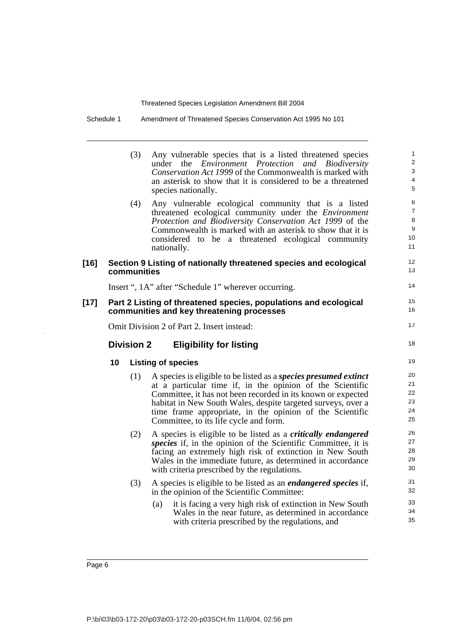|        |                   | (3) | Any vulnerable species that is a listed threatened species                                                               | $\mathbf{1}$   |
|--------|-------------------|-----|--------------------------------------------------------------------------------------------------------------------------|----------------|
|        |                   |     | the<br>Environment Protection and Biodiversity<br>under                                                                  | 2<br>3         |
|        |                   |     | Conservation Act 1999 of the Commonwealth is marked with<br>an asterisk to show that it is considered to be a threatened | 4              |
|        |                   |     | species nationally.                                                                                                      | 5              |
|        |                   | (4) | Any vulnerable ecological community that is a listed                                                                     | 6              |
|        |                   |     | threatened ecological community under the Environment                                                                    | $\overline{7}$ |
|        |                   |     | Protection and Biodiversity Conservation Act 1999 of the                                                                 | 8<br>9         |
|        |                   |     | Commonwealth is marked with an asterisk to show that it is<br>considered to be a threatened ecological community         | 10             |
|        |                   |     | nationally.                                                                                                              | 11             |
| [16]   | communities       |     | Section 9 Listing of nationally threatened species and ecological                                                        | 12<br>13       |
|        |                   |     | Insert ", 1A" after "Schedule 1" wherever occurring.                                                                     | 14             |
| $[17]$ |                   |     | Part 2 Listing of threatened species, populations and ecological<br>communities and key threatening processes            | 15<br>16       |
|        |                   |     | Omit Division 2 of Part 2. Insert instead:                                                                               | 17             |
|        | <b>Division 2</b> |     | <b>Eligibility for listing</b>                                                                                           | 18             |
|        | 10                |     | <b>Listing of species</b>                                                                                                | 19             |
|        |                   | (1) | A species is eligible to be listed as a <i>species presumed extinct</i>                                                  | 20             |
|        |                   |     | at a particular time if, in the opinion of the Scientific                                                                | 21             |
|        |                   |     | Committee, it has not been recorded in its known or expected                                                             | 22<br>23       |
|        |                   |     | habitat in New South Wales, despite targeted surveys, over a<br>time frame appropriate, in the opinion of the Scientific | 24             |
|        |                   |     | Committee, to its life cycle and form.                                                                                   | 25             |
|        |                   | (2) | A species is eligible to be listed as a <i>critically endangered</i>                                                     | 26             |
|        |                   |     | species if, in the opinion of the Scientific Committee, it is                                                            | 27             |
|        |                   |     | facing an extremely high risk of extinction in New South                                                                 | 28<br>29       |
|        |                   |     | Wales in the immediate future, as determined in accordance<br>with criteria prescribed by the regulations.               | 30             |
|        |                   | (3) | A species is eligible to be listed as an <i>endangered species</i> if,<br>in the opinion of the Scientific Committee:    | 31<br>32       |
|        |                   |     | it is facing a very high risk of extinction in New South<br>(a)                                                          | 33             |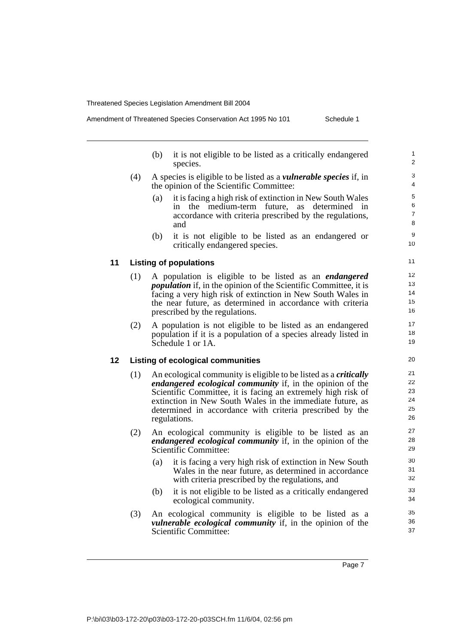(b) it is not eligible to be listed as a critically endangered species. (4) A species is eligible to be listed as a *vulnerable species* if, in the opinion of the Scientific Committee: (a) it is facing a high risk of extinction in New South Wales in the medium-term future, as determined in accordance with criteria prescribed by the regulations, and (b) it is not eligible to be listed as an endangered or critically endangered species. **11 Listing of populations** (1) A population is eligible to be listed as an *endangered population* if, in the opinion of the Scientific Committee, it is facing a very high risk of extinction in New South Wales in the near future, as determined in accordance with criteria prescribed by the regulations. (2) A population is not eligible to be listed as an endangered population if it is a population of a species already listed in Schedule 1 or 1A.

# **12 Listing of ecological communities**

- (1) An ecological community is eligible to be listed as a *critically endangered ecological community* if, in the opinion of the Scientific Committee, it is facing an extremely high risk of extinction in New South Wales in the immediate future, as determined in accordance with criteria prescribed by the regulations.
- (2) An ecological community is eligible to be listed as an *endangered ecological community* if, in the opinion of the Scientific Committee:
	- (a) it is facing a very high risk of extinction in New South Wales in the near future, as determined in accordance with criteria prescribed by the regulations, and
	- (b) it is not eligible to be listed as a critically endangered ecological community.
- (3) An ecological community is eligible to be listed as a *vulnerable ecological community* if, in the opinion of the Scientific Committee:

Page 7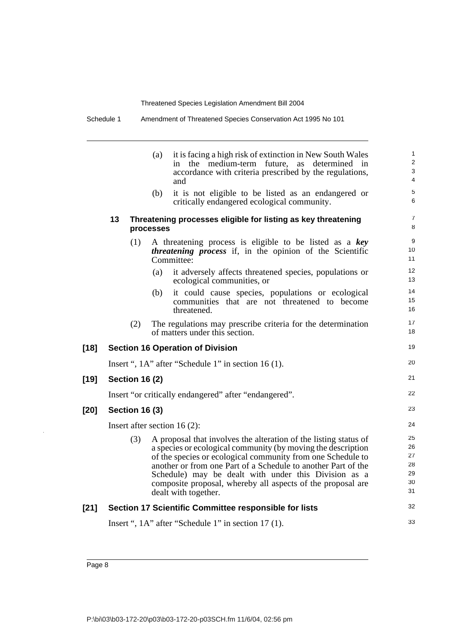|      |                       |     | (a)       | it is facing a high risk of extinction in New South Wales<br>in the medium-term future, as determined in<br>accordance with criteria prescribed by the regulations,<br>and                                                                                                                                                                                                                                      | 1<br>$\overline{2}$<br>$\mathbf{3}$<br>4 |
|------|-----------------------|-----|-----------|-----------------------------------------------------------------------------------------------------------------------------------------------------------------------------------------------------------------------------------------------------------------------------------------------------------------------------------------------------------------------------------------------------------------|------------------------------------------|
|      |                       |     | (b)       | it is not eligible to be listed as an endangered or<br>critically endangered ecological community.                                                                                                                                                                                                                                                                                                              | 5<br>6                                   |
|      | 13                    |     | processes | Threatening processes eligible for listing as key threatening                                                                                                                                                                                                                                                                                                                                                   | $\overline{7}$<br>8                      |
|      |                       | (1) |           | A threatening process is eligible to be listed as a key<br><i>threatening process</i> if, in the opinion of the Scientific<br>Committee:                                                                                                                                                                                                                                                                        | 9<br>10 <sup>°</sup><br>11               |
|      |                       |     | (a)       | it adversely affects threatened species, populations or<br>ecological communities, or                                                                                                                                                                                                                                                                                                                           | 12<br>13                                 |
|      |                       |     | (b)       | it could cause species, populations or ecological<br>communities that are not threatened to become<br>threatened.                                                                                                                                                                                                                                                                                               | 14<br>15<br>16                           |
|      |                       | (2) |           | The regulations may prescribe criteria for the determination<br>of matters under this section.                                                                                                                                                                                                                                                                                                                  | 17<br>18                                 |
| [18] |                       |     |           | <b>Section 16 Operation of Division</b>                                                                                                                                                                                                                                                                                                                                                                         | 19                                       |
|      |                       |     |           | Insert ", 1A" after "Schedule 1" in section 16 (1).                                                                                                                                                                                                                                                                                                                                                             | 20                                       |
| [19] | <b>Section 16 (2)</b> |     |           |                                                                                                                                                                                                                                                                                                                                                                                                                 | 21                                       |
|      |                       |     |           | Insert "or critically endangered" after "endangered".                                                                                                                                                                                                                                                                                                                                                           | 22                                       |
| [20] | <b>Section 16 (3)</b> |     |           |                                                                                                                                                                                                                                                                                                                                                                                                                 | 23                                       |
|      |                       |     |           | Insert after section $16(2)$ :                                                                                                                                                                                                                                                                                                                                                                                  | 24                                       |
|      |                       | (3) |           | A proposal that involves the alteration of the listing status of<br>a species or ecological community (by moving the description<br>of the species or ecological community from one Schedule to<br>another or from one Part of a Schedule to another Part of the<br>Schedule) may be dealt with under this Division as a<br>composite proposal, whereby all aspects of the proposal are<br>dealt with together. | 25<br>26<br>27<br>28<br>29<br>30<br>31   |
| [21] |                       |     |           | Section 17 Scientific Committee responsible for lists                                                                                                                                                                                                                                                                                                                                                           | 32                                       |
|      |                       |     |           | Insert ", 1A" after "Schedule 1" in section 17 (1).                                                                                                                                                                                                                                                                                                                                                             | 33                                       |
|      |                       |     |           |                                                                                                                                                                                                                                                                                                                                                                                                                 |                                          |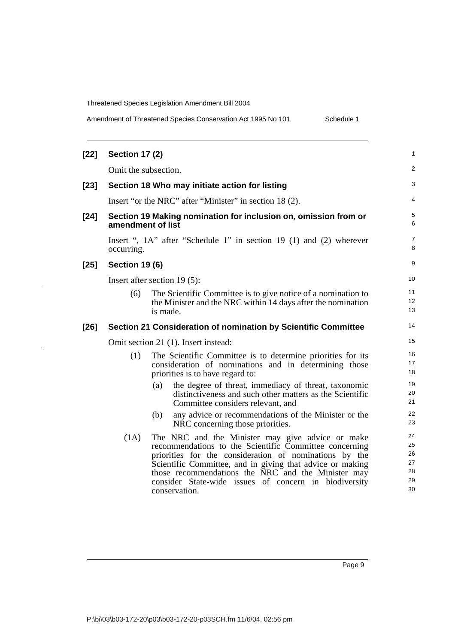Amendment of Threatened Species Conservation Act 1995 No 101 Schedule 1

| $[22]$ | <b>Section 17 (2)</b>                |                                                                                                                                                                                                                                                                                                                                                                   | $\mathbf{1}$                           |  |  |
|--------|--------------------------------------|-------------------------------------------------------------------------------------------------------------------------------------------------------------------------------------------------------------------------------------------------------------------------------------------------------------------------------------------------------------------|----------------------------------------|--|--|
|        | Omit the subsection.                 |                                                                                                                                                                                                                                                                                                                                                                   | 2                                      |  |  |
| $[23]$ |                                      | Section 18 Who may initiate action for listing                                                                                                                                                                                                                                                                                                                    | 3                                      |  |  |
|        |                                      | Insert "or the NRC" after "Minister" in section 18 (2).                                                                                                                                                                                                                                                                                                           | 4                                      |  |  |
| $[24]$ | amendment of list                    | Section 19 Making nomination for inclusion on, omission from or                                                                                                                                                                                                                                                                                                   | $\mathbf 5$<br>6                       |  |  |
|        | occurring.                           | Insert ", 1A" after "Schedule 1" in section 19 (1) and (2) wherever                                                                                                                                                                                                                                                                                               | $\overline{7}$<br>8                    |  |  |
| $[25]$ | <b>Section 19 (6)</b>                |                                                                                                                                                                                                                                                                                                                                                                   | 9                                      |  |  |
|        | Insert after section $19(5)$ :       |                                                                                                                                                                                                                                                                                                                                                                   |                                        |  |  |
|        | (6)                                  | The Scientific Committee is to give notice of a nomination to<br>the Minister and the NRC within 14 days after the nomination<br>is made.                                                                                                                                                                                                                         | 11<br>12<br>13                         |  |  |
| $[26]$ |                                      | Section 21 Consideration of nomination by Scientific Committee                                                                                                                                                                                                                                                                                                    | 14                                     |  |  |
|        | Omit section 21 (1). Insert instead: |                                                                                                                                                                                                                                                                                                                                                                   |                                        |  |  |
|        | (1)                                  | The Scientific Committee is to determine priorities for its<br>consideration of nominations and in determining those<br>priorities is to have regard to:                                                                                                                                                                                                          | 16<br>17<br>18                         |  |  |
|        |                                      | the degree of threat, immediacy of threat, taxonomic<br>(a)<br>distinctiveness and such other matters as the Scientific<br>Committee considers relevant, and                                                                                                                                                                                                      | 19<br>20<br>21                         |  |  |
|        |                                      | any advice or recommendations of the Minister or the<br>(b)<br>NRC concerning those priorities.                                                                                                                                                                                                                                                                   | 22<br>23                               |  |  |
|        | (1A)                                 | The NRC and the Minister may give advice or make<br>recommendations to the Scientific Committee concerning<br>priorities for the consideration of nominations by the<br>Scientific Committee, and in giving that advice or making<br>those recommendations the NRC and the Minister may<br>consider State-wide issues of concern in biodiversity<br>conservation. | 24<br>25<br>26<br>27<br>28<br>29<br>30 |  |  |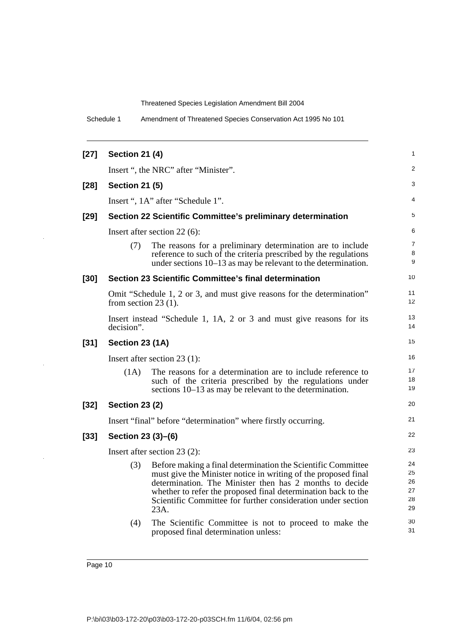Schedule 1 Amendment of Threatened Species Conservation Act 1995 No 101

| $[27]$ | <b>Section 21 (4)</b>  |                                                                                                                                                                                                                                                                                                                                    | 1                                |
|--------|------------------------|------------------------------------------------------------------------------------------------------------------------------------------------------------------------------------------------------------------------------------------------------------------------------------------------------------------------------------|----------------------------------|
|        |                        | Insert ", the NRC" after "Minister".                                                                                                                                                                                                                                                                                               | 2                                |
| $[28]$ | <b>Section 21 (5)</b>  |                                                                                                                                                                                                                                                                                                                                    | 3                                |
|        |                        | Insert ", 1A" after "Schedule 1".                                                                                                                                                                                                                                                                                                  | 4                                |
| [29]   |                        | Section 22 Scientific Committee's preliminary determination                                                                                                                                                                                                                                                                        | 5                                |
|        |                        | Insert after section 22 $(6)$ :                                                                                                                                                                                                                                                                                                    | 6                                |
|        | (7)                    | The reasons for a preliminary determination are to include<br>reference to such of the criteria prescribed by the regulations<br>under sections $10-13$ as may be relevant to the determination.                                                                                                                                   | 7<br>8<br>9                      |
| $[30]$ |                        | Section 23 Scientific Committee's final determination                                                                                                                                                                                                                                                                              | 10                               |
|        | from section $23(1)$ . | Omit "Schedule 1, 2 or 3, and must give reasons for the determination"                                                                                                                                                                                                                                                             | 11<br>12                         |
|        | decision".             | Insert instead "Schedule 1, 1A, 2 or 3 and must give reasons for its                                                                                                                                                                                                                                                               | 13<br>14                         |
| $[31]$ | Section 23 (1A)        |                                                                                                                                                                                                                                                                                                                                    | 15                               |
|        |                        | Insert after section $23(1)$ :                                                                                                                                                                                                                                                                                                     | 16                               |
|        | (1A)                   | The reasons for a determination are to include reference to<br>such of the criteria prescribed by the regulations under<br>sections 10–13 as may be relevant to the determination.                                                                                                                                                 | 17<br>18<br>19                   |
| $[32]$ | <b>Section 23 (2)</b>  |                                                                                                                                                                                                                                                                                                                                    | 20                               |
|        |                        | Insert "final" before "determination" where firstly occurring.                                                                                                                                                                                                                                                                     | 21                               |
| $[33]$ | Section 23 (3)-(6)     |                                                                                                                                                                                                                                                                                                                                    | 22                               |
|        |                        | Insert after section $23(2)$ :                                                                                                                                                                                                                                                                                                     | 23                               |
|        | (3)                    | Before making a final determination the Scientific Committee<br>must give the Minister notice in writing of the proposed final<br>determination. The Minister then has 2 months to decide<br>whether to refer the proposed final determination back to the<br>Scientific Committee for further consideration under section<br>23A. | 24<br>25<br>26<br>27<br>28<br>29 |
|        | (4)                    | The Scientific Committee is not to proceed to make the<br>proposed final determination unless:                                                                                                                                                                                                                                     | 30<br>31                         |
|        |                        |                                                                                                                                                                                                                                                                                                                                    |                                  |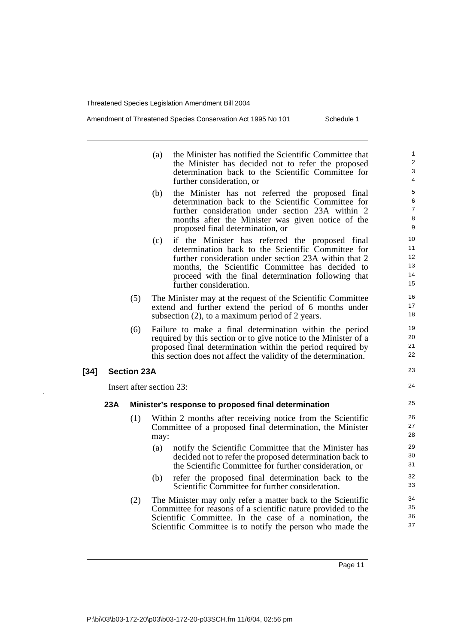Amendment of Threatened Species Conservation Act 1995 No 101 Schedule 1

|        |     |                    | the Minister has notified the Scientific Committee that<br>(a)<br>the Minister has decided not to refer the proposed<br>determination back to the Scientific Committee for<br>further consideration, or                                                                                                   | $\mathbf{1}$<br>$\overline{2}$<br>3<br>4 |
|--------|-----|--------------------|-----------------------------------------------------------------------------------------------------------------------------------------------------------------------------------------------------------------------------------------------------------------------------------------------------------|------------------------------------------|
|        |     |                    | (b)<br>the Minister has not referred the proposed final<br>determination back to the Scientific Committee for<br>further consideration under section 23A within 2<br>months after the Minister was given notice of the<br>proposed final determination, or                                                | 5<br>6<br>$\overline{7}$<br>8<br>9       |
|        |     |                    | (c)<br>if the Minister has referred the proposed final<br>determination back to the Scientific Committee for<br>further consideration under section 23A within that 2<br>months, the Scientific Committee has decided to<br>proceed with the final determination following that<br>further consideration. | 10<br>11<br>12<br>13<br>14<br>15         |
|        |     | (5)                | The Minister may at the request of the Scientific Committee<br>extend and further extend the period of 6 months under<br>subsection (2), to a maximum period of 2 years.                                                                                                                                  | 16<br>17<br>18                           |
|        |     | (6)                | Failure to make a final determination within the period<br>required by this section or to give notice to the Minister of a<br>proposed final determination within the period required by<br>this section does not affect the validity of the determination.                                               | 19<br>20<br>21<br>22                     |
| $[34]$ |     | <b>Section 23A</b> |                                                                                                                                                                                                                                                                                                           | 23                                       |
|        |     |                    | Insert after section 23:                                                                                                                                                                                                                                                                                  | 24                                       |
|        | 23A |                    | Minister's response to proposed final determination                                                                                                                                                                                                                                                       | 25                                       |
|        |     | (1)                | Within 2 months after receiving notice from the Scientific<br>Committee of a proposed final determination, the Minister<br>may:                                                                                                                                                                           | 26<br>27<br>28                           |
|        |     |                    | notify the Scientific Committee that the Minister has<br>(a)<br>decided not to refer the proposed determination back to<br>the Scientific Committee for further consideration, or                                                                                                                         | 29<br>30<br>31                           |
|        |     |                    | refer the proposed final determination back to the<br>(b)<br>Scientific Committee for further consideration.                                                                                                                                                                                              | 32<br>33                                 |
|        |     | (2)                | The Minister may only refer a matter back to the Scientific<br>Committee for reasons of a scientific nature provided to the<br>Scientific Committee. In the case of a nomination, the<br>Scientific Committee is to notify the person who made the                                                        | 34<br>35<br>36<br>37                     |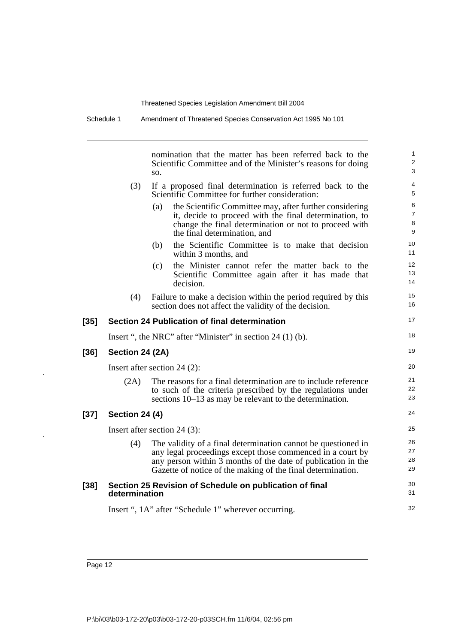nomination that the matter has been referred back to the Scientific Committee and of the Minister's reasons for doing so. (3) If a proposed final determination is referred back to the Scientific Committee for further consideration: (a) the Scientific Committee may, after further considering it, decide to proceed with the final determination, to change the final determination or not to proceed with the final determination, and (b) the Scientific Committee is to make that decision within 3 months, and (c) the Minister cannot refer the matter back to the Scientific Committee again after it has made that decision. (4) Failure to make a decision within the period required by this section does not affect the validity of the decision. **[35] Section 24 Publication of final determination** Insert ", the NRC" after "Minister" in section 24 (1) (b). **[36] Section 24 (2A)** Insert after section 24 (2): (2A) The reasons for a final determination are to include reference to such of the criteria prescribed by the regulations under sections 10–13 as may be relevant to the determination. **[37] Section 24 (4)** Insert after section 24 (3): (4) The validity of a final determination cannot be questioned in any legal proceedings except those commenced in a court by any person within 3 months of the date of publication in the Gazette of notice of the making of the final determination. **[38] Section 25 Revision of Schedule on publication of final determination** Insert ", 1A" after "Schedule 1" wherever occurring. 1  $\overline{2}$ 3 4 5 6 7 8 9 10 11 12 13 14 15 16 17 18 19 20 21 22 23 24 25 26 27 28 29 30 31 32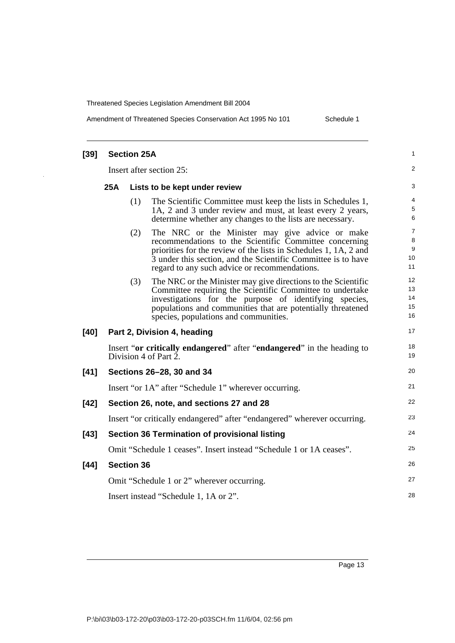Amendment of Threatened Species Conservation Act 1995 No 101 Schedule 1

| $[39]$ |            | <b>Section 25A</b>                                                                                                                                                                                                                                                                                     | 1                                         |
|--------|------------|--------------------------------------------------------------------------------------------------------------------------------------------------------------------------------------------------------------------------------------------------------------------------------------------------------|-------------------------------------------|
|        |            | Insert after section 25:                                                                                                                                                                                                                                                                               | 2                                         |
|        | <b>25A</b> | Lists to be kept under review                                                                                                                                                                                                                                                                          | 3                                         |
|        |            | (1)<br>The Scientific Committee must keep the lists in Schedules 1,<br>1A, 2 and 3 under review and must, at least every 2 years,<br>determine whether any changes to the lists are necessary.                                                                                                         | 4<br>5<br>6                               |
|        |            | (2)<br>The NRC or the Minister may give advice or make<br>recommendations to the Scientific Committee concerning<br>priorities for the review of the lists in Schedules 1, 1A, 2 and<br>3 under this section, and the Scientific Committee is to have<br>regard to any such advice or recommendations. | $\overline{7}$<br>$\bf8$<br>9<br>10<br>11 |
|        |            | The NRC or the Minister may give directions to the Scientific<br>(3)<br>Committee requiring the Scientific Committee to undertake<br>investigations for the purpose of identifying species,<br>populations and communities that are potentially threatened<br>species, populations and communities.    | 12<br>13<br>14<br>15<br>16                |
| $[40]$ |            | Part 2, Division 4, heading                                                                                                                                                                                                                                                                            | 17                                        |
|        |            | Insert "or critically endangered" after "endangered" in the heading to<br>Division 4 of Part 2.                                                                                                                                                                                                        | 18<br>19                                  |
| $[41]$ |            | Sections 26-28, 30 and 34                                                                                                                                                                                                                                                                              | 20                                        |
|        |            | Insert "or 1A" after "Schedule 1" wherever occurring.                                                                                                                                                                                                                                                  | 21                                        |
| $[42]$ |            | Section 26, note, and sections 27 and 28                                                                                                                                                                                                                                                               | 22                                        |
|        |            | Insert "or critically endangered" after "endangered" wherever occurring.                                                                                                                                                                                                                               | 23                                        |
| $[43]$ |            | Section 36 Termination of provisional listing                                                                                                                                                                                                                                                          | 24                                        |
|        |            | Omit "Schedule 1 ceases". Insert instead "Schedule 1 or 1A ceases".                                                                                                                                                                                                                                    | 25                                        |
| $[44]$ |            | <b>Section 36</b>                                                                                                                                                                                                                                                                                      | 26                                        |
|        |            | Omit "Schedule 1 or 2" wherever occurring.                                                                                                                                                                                                                                                             | 27                                        |
|        |            | Insert instead "Schedule 1, 1A or 2".                                                                                                                                                                                                                                                                  | 28                                        |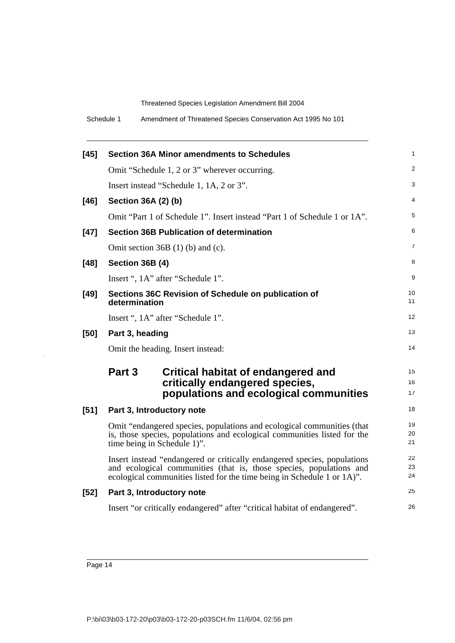Schedule 1 Amendment of Threatened Species Conservation Act 1995 No 101

| $[45]$ | <b>Section 36A Minor amendments to Schedules</b>                                                                                                                                                                           | 1              |  |  |  |
|--------|----------------------------------------------------------------------------------------------------------------------------------------------------------------------------------------------------------------------------|----------------|--|--|--|
|        | Omit "Schedule 1, 2 or 3" wherever occurring.                                                                                                                                                                              | 2              |  |  |  |
|        | Insert instead "Schedule 1, 1A, 2 or 3".                                                                                                                                                                                   | 3              |  |  |  |
| $[46]$ | Section 36A (2) (b)                                                                                                                                                                                                        | 4              |  |  |  |
|        | Omit "Part 1 of Schedule 1". Insert instead "Part 1 of Schedule 1 or 1A".                                                                                                                                                  | 5              |  |  |  |
| $[47]$ | <b>Section 36B Publication of determination</b>                                                                                                                                                                            | 6              |  |  |  |
|        | Omit section $36B(1)$ (b) and (c).                                                                                                                                                                                         | 7              |  |  |  |
| $[48]$ | Section 36B (4)                                                                                                                                                                                                            | 8              |  |  |  |
|        | Insert ", 1A" after "Schedule 1".                                                                                                                                                                                          | 9              |  |  |  |
| $[49]$ | Sections 36C Revision of Schedule on publication of<br>determination                                                                                                                                                       |                |  |  |  |
|        | Insert ", 1A" after "Schedule 1".                                                                                                                                                                                          | 12             |  |  |  |
| $[50]$ | Part 3, heading                                                                                                                                                                                                            | 13             |  |  |  |
|        | Omit the heading. Insert instead:                                                                                                                                                                                          | 14             |  |  |  |
|        | Part 3<br>Critical habitat of endangered and<br>critically endangered species,<br>populations and ecological communities                                                                                                   | 15<br>16<br>17 |  |  |  |
| [51]   | Part 3, Introductory note                                                                                                                                                                                                  | 18             |  |  |  |
|        | Omit "endangered species, populations and ecological communities (that<br>is, those species, populations and ecological communities listed for the<br>time being in Schedule 1)".                                          |                |  |  |  |
|        | Insert instead "endangered or critically endangered species, populations<br>and ecological communities (that is, those species, populations and<br>ecological communities listed for the time being in Schedule 1 or 1A)". | 22<br>23<br>24 |  |  |  |
| $[52]$ | Part 3, Introductory note                                                                                                                                                                                                  | 25             |  |  |  |
|        | Insert "or critically endangered" after "critical habitat of endangered".                                                                                                                                                  | 26             |  |  |  |

 $\bar{z}$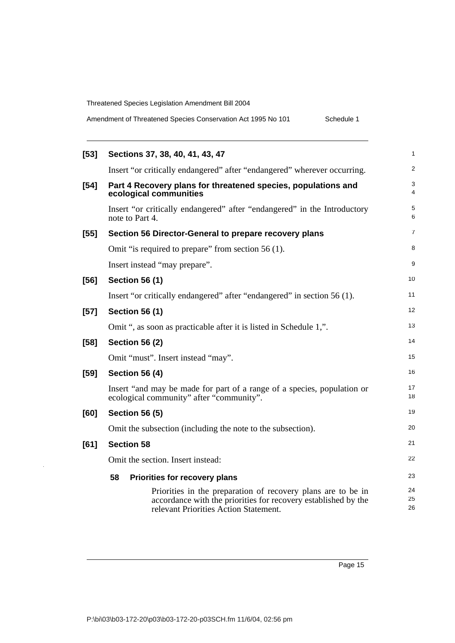|  | Amendment of Threatened Species Conservation Act 1995 No 101 | Schedule 1 |
|--|--------------------------------------------------------------|------------|
|--|--------------------------------------------------------------|------------|

| $[53]$ | Sections 37, 38, 40, 41, 43, 47                                                                                                                                         | 1                   |
|--------|-------------------------------------------------------------------------------------------------------------------------------------------------------------------------|---------------------|
|        | Insert "or critically endangered" after "endangered" wherever occurring.                                                                                                | $\overline{2}$      |
| $[54]$ | Part 4 Recovery plans for threatened species, populations and<br>ecological communities                                                                                 | 3<br>$\overline{4}$ |
|        | Insert "or critically endangered" after "endangered" in the Introductory<br>note to Part 4.                                                                             | 5<br>6              |
| $[55]$ | Section 56 Director-General to prepare recovery plans                                                                                                                   | 7                   |
|        | Omit "is required to prepare" from section 56 (1).                                                                                                                      | 8                   |
|        | Insert instead "may prepare".                                                                                                                                           | 9                   |
| $[56]$ | <b>Section 56 (1)</b>                                                                                                                                                   | 10                  |
|        | Insert "or critically endangered" after "endangered" in section 56 (1).                                                                                                 | 11                  |
| $[57]$ | <b>Section 56 (1)</b>                                                                                                                                                   | 12                  |
|        | Omit ", as soon as practicable after it is listed in Schedule 1,".                                                                                                      | 13                  |
| $[58]$ | <b>Section 56 (2)</b>                                                                                                                                                   | 14                  |
|        | Omit "must". Insert instead "may".                                                                                                                                      | 15                  |
| $[59]$ | <b>Section 56 (4)</b>                                                                                                                                                   | 16                  |
|        | Insert "and may be made for part of a range of a species, population or<br>ecological community" after "community".                                                     | 17<br>18            |
| [60]   | <b>Section 56 (5)</b>                                                                                                                                                   | 19                  |
|        | Omit the subsection (including the note to the subsection).                                                                                                             | 20                  |
| [61]   | <b>Section 58</b>                                                                                                                                                       | 21                  |
|        | Omit the section. Insert instead:                                                                                                                                       | 22                  |
|        | 58<br>Priorities for recovery plans                                                                                                                                     | 23                  |
|        | Priorities in the preparation of recovery plans are to be in<br>accordance with the priorities for recovery established by the<br>relevant Priorities Action Statement. | 24<br>25<br>26      |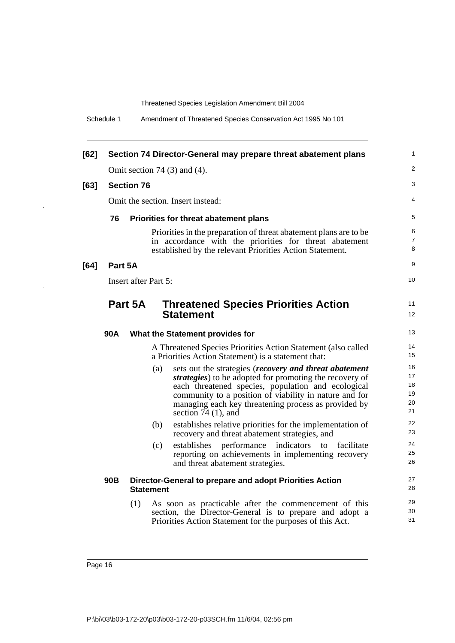Schedule 1 Amendment of Threatened Species Conservation Act 1995 No 101

| [62] | Section 74 Director-General may prepare threat abatement plans |                             |                                   |                                                                                                                                                                                                                                                                                                                            | $\mathbf{1}$                     |
|------|----------------------------------------------------------------|-----------------------------|-----------------------------------|----------------------------------------------------------------------------------------------------------------------------------------------------------------------------------------------------------------------------------------------------------------------------------------------------------------------------|----------------------------------|
|      |                                                                |                             | Omit section 74 $(3)$ and $(4)$ . |                                                                                                                                                                                                                                                                                                                            | 2                                |
| [63] |                                                                | <b>Section 76</b>           |                                   |                                                                                                                                                                                                                                                                                                                            | 3                                |
|      |                                                                |                             | Omit the section. Insert instead: |                                                                                                                                                                                                                                                                                                                            | 4                                |
|      | 76                                                             |                             |                                   | Priorities for threat abatement plans                                                                                                                                                                                                                                                                                      | 5                                |
|      |                                                                |                             |                                   | Priorities in the preparation of threat abatement plans are to be<br>in accordance with the priorities for threat abatement<br>established by the relevant Priorities Action Statement.                                                                                                                                    | 6<br>$\overline{7}$<br>8         |
| [64] | Part 5A                                                        |                             |                                   |                                                                                                                                                                                                                                                                                                                            | 9                                |
|      |                                                                | <b>Insert after Part 5:</b> |                                   |                                                                                                                                                                                                                                                                                                                            | 10                               |
|      |                                                                | Part 5A                     |                                   | <b>Threatened Species Priorities Action</b>                                                                                                                                                                                                                                                                                | 11                               |
|      |                                                                |                             | <b>Statement</b>                  |                                                                                                                                                                                                                                                                                                                            | 12                               |
|      | 90A                                                            |                             |                                   | What the Statement provides for                                                                                                                                                                                                                                                                                            | 13                               |
|      |                                                                |                             |                                   | A Threatened Species Priorities Action Statement (also called<br>a Priorities Action Statement) is a statement that:                                                                                                                                                                                                       | 14<br>15                         |
|      |                                                                |                             | (a)                               | sets out the strategies ( <i>recovery and threat abatement</i><br>strategies) to be adopted for promoting the recovery of<br>each threatened species, population and ecological<br>community to a position of viability in nature and for<br>managing each key threatening process as provided by<br>section $74(1)$ , and | 16<br>17<br>18<br>19<br>20<br>21 |
|      |                                                                |                             | (b)                               | establishes relative priorities for the implementation of<br>recovery and threat abatement strategies, and                                                                                                                                                                                                                 | 22<br>23                         |
|      |                                                                |                             | (c)                               | establishes performance<br>indicators<br>facilitate<br>to<br>reporting on achievements in implementing recovery<br>and threat abatement strategies.                                                                                                                                                                        | 24<br>25<br>26                   |
|      | 90 <sub>B</sub>                                                |                             | <b>Statement</b>                  | Director-General to prepare and adopt Priorities Action                                                                                                                                                                                                                                                                    | 27<br>28                         |
|      |                                                                | (1)                         |                                   | As soon as practicable after the commencement of this<br>section, the Director-General is to prepare and adopt a<br>Priorities Action Statement for the purposes of this Act.                                                                                                                                              | 29<br>30<br>31                   |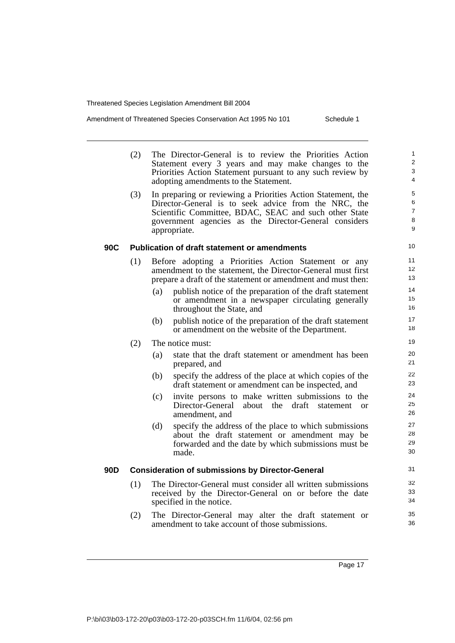Amendment of Threatened Species Conservation Act 1995 No 101 Schedule 1

# **90C Publication of draft statement or amendments**

adopting amendments to the Statement.

(1) Before adopting a Priorities Action Statement or any amendment to the statement, the Director-General must first prepare a draft of the statement or amendment and must then:

(2) The Director-General is to review the Priorities Action Statement every 3 years and may make changes to the Priorities Action Statement pursuant to any such review by

(3) In preparing or reviewing a Priorities Action Statement, the Director-General is to seek advice from the NRC, the Scientific Committee, BDAC, SEAC and such other State government agencies as the Director-General considers

- (a) publish notice of the preparation of the draft statement or amendment in a newspaper circulating generally throughout the State, and
- (b) publish notice of the preparation of the draft statement or amendment on the website of the Department.
- (2) The notice must:

appropriate.

- (a) state that the draft statement or amendment has been prepared, and
- (b) specify the address of the place at which copies of the draft statement or amendment can be inspected, and
- (c) invite persons to make written submissions to the Director-General about the draft statement or amendment, and
- (d) specify the address of the place to which submissions about the draft statement or amendment may be forwarded and the date by which submissions must be made.

### **90D Consideration of submissions by Director-General**

- (1) The Director-General must consider all written submissions received by the Director-General on or before the date specified in the notice.
- (2) The Director-General may alter the draft statement or amendment to take account of those submissions.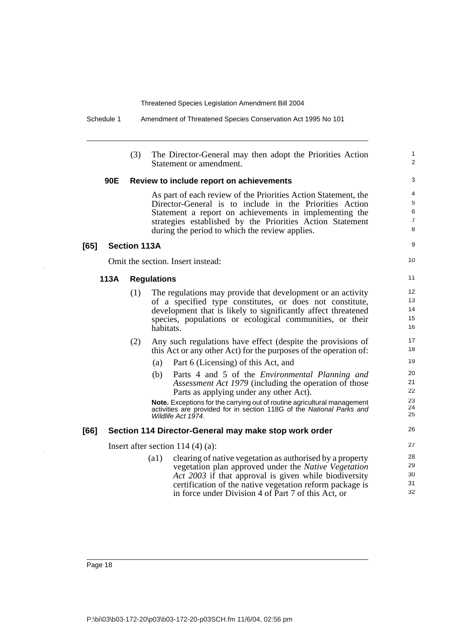|      | (3)                 | The Director-General may then adopt the Priorities Action<br>Statement or amendment.                                                                                                                                                                                                                  |
|------|---------------------|-------------------------------------------------------------------------------------------------------------------------------------------------------------------------------------------------------------------------------------------------------------------------------------------------------|
| 90E  |                     | Review to include report on achievements                                                                                                                                                                                                                                                              |
|      |                     | As part of each review of the Priorities Action Statement, the<br>Director-General is to include in the Priorities Action<br>Statement a report on achievements in implementing the<br>strategies established by the Priorities Action Statement<br>during the period to which the review applies.    |
| [65] | <b>Section 113A</b> |                                                                                                                                                                                                                                                                                                       |
|      |                     | Omit the section. Insert instead:                                                                                                                                                                                                                                                                     |
| 113A |                     | <b>Regulations</b>                                                                                                                                                                                                                                                                                    |
|      | (1)                 | The regulations may provide that development or an activity<br>of a specified type constitutes, or does not constitute,<br>development that is likely to significantly affect threatened<br>species, populations or ecological communities, or their<br>habitats.                                     |
|      | (2)                 | Any such regulations have effect (despite the provisions of<br>this Act or any other Act) for the purposes of the operation of:                                                                                                                                                                       |
|      |                     | Part 6 (Licensing) of this Act, and<br>(a)                                                                                                                                                                                                                                                            |
|      |                     | Parts 4 and 5 of the <i>Environmental Planning and</i><br>(b)<br>Assessment Act 1979 (including the operation of those<br>Parts as applying under any other Act).                                                                                                                                     |
|      |                     | Note. Exceptions for the carrying out of routine agricultural management<br>activities are provided for in section 118G of the National Parks and<br>Wildlife Act 1974.                                                                                                                               |
| [66] |                     | Section 114 Director-General may make stop work order                                                                                                                                                                                                                                                 |
|      |                     | Insert after section $114(4)(a)$ :                                                                                                                                                                                                                                                                    |
|      |                     | (a1)<br>clearing of native vegetation as authorised by a property<br>vegetation plan approved under the Native Vegetation<br>Act 2003 if that approval is given while biodiversity<br>certification of the native vegetation reform package is<br>in force under Division 4 of Part 7 of this Act, or |

i.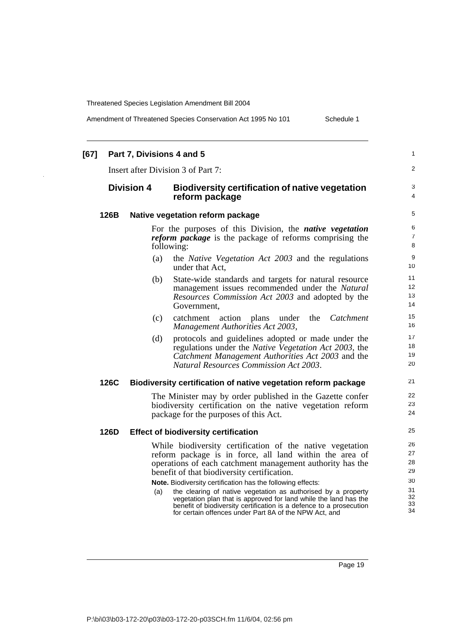Amendment of Threatened Species Conservation Act 1995 No 101 Schedule 1

| [67] | Part 7, Divisions 4 and 5 |                                                                                                                                                                                                                                                                                                                                                                                                                                                                                                                                                                       |                                                    |
|------|---------------------------|-----------------------------------------------------------------------------------------------------------------------------------------------------------------------------------------------------------------------------------------------------------------------------------------------------------------------------------------------------------------------------------------------------------------------------------------------------------------------------------------------------------------------------------------------------------------------|----------------------------------------------------|
|      |                           | Insert after Division 3 of Part 7:                                                                                                                                                                                                                                                                                                                                                                                                                                                                                                                                    |                                                    |
|      | <b>Division 4</b>         | <b>Biodiversity certification of native vegetation</b><br>reform package                                                                                                                                                                                                                                                                                                                                                                                                                                                                                              |                                                    |
| 126B |                           | Native vegetation reform package                                                                                                                                                                                                                                                                                                                                                                                                                                                                                                                                      |                                                    |
|      |                           | For the purposes of this Division, the <i>native vegetation</i><br><i>reform package</i> is the package of reforms comprising the<br>following:                                                                                                                                                                                                                                                                                                                                                                                                                       |                                                    |
|      | (a)                       | the <i>Native Vegetation Act 2003</i> and the regulations<br>under that Act.                                                                                                                                                                                                                                                                                                                                                                                                                                                                                          | 10                                                 |
|      | (b)                       | State-wide standards and targets for natural resource<br>management issues recommended under the Natural<br>Resources Commission Act 2003 and adopted by the<br>Government,                                                                                                                                                                                                                                                                                                                                                                                           | 11<br>12<br>13<br>14                               |
|      | (c)                       | catchment action<br>plans under<br>the<br>Catchment<br>Management Authorities Act 2003,                                                                                                                                                                                                                                                                                                                                                                                                                                                                               | 15<br>16                                           |
|      | (d)                       | protocols and guidelines adopted or made under the<br>regulations under the Native Vegetation Act 2003, the<br>Catchment Management Authorities Act 2003 and the<br><b>Natural Resources Commission Act 2003.</b>                                                                                                                                                                                                                                                                                                                                                     | 17<br>18<br>19<br>20                               |
| 126C |                           | Biodiversity certification of native vegetation reform package                                                                                                                                                                                                                                                                                                                                                                                                                                                                                                        | 21                                                 |
|      |                           | The Minister may by order published in the Gazette confer<br>biodiversity certification on the native vegetation reform<br>package for the purposes of this Act.                                                                                                                                                                                                                                                                                                                                                                                                      | 22<br>23<br>24                                     |
| 126D |                           | <b>Effect of biodiversity certification</b>                                                                                                                                                                                                                                                                                                                                                                                                                                                                                                                           | 25                                                 |
|      | (a)                       | While biodiversity certification of the native vegetation<br>reform package is in force, all land within the area of<br>operations of each catchment management authority has the<br>benefit of that biodiversity certification.<br>Note. Biodiversity certification has the following effects:<br>the clearing of native vegetation as authorised by a property<br>vegetation plan that is approved for land while the land has the<br>benefit of biodiversity certification is a defence to a prosecution<br>for certain offences under Part 8A of the NPW Act, and | 26<br>27<br>28<br>29<br>30<br>31<br>32<br>33<br>34 |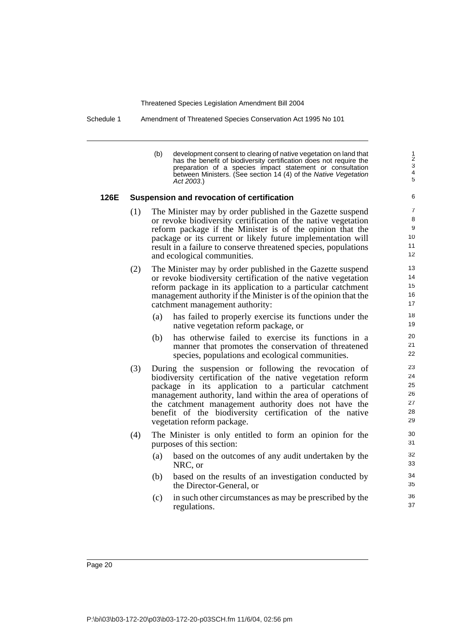Schedule 1 Amendment of Threatened Species Conservation Act 1995 No 101

(b) development consent to clearing of native vegetation on land that has the benefit of biodiversity certification does not require the preparation of a species impact statement or consultation between Ministers. (See section 14 (4) of the *Native Vegetation Act 2003*.)

## **126E Suspension and revocation of certification**

- (1) The Minister may by order published in the Gazette suspend or revoke biodiversity certification of the native vegetation reform package if the Minister is of the opinion that the package or its current or likely future implementation will result in a failure to conserve threatened species, populations and ecological communities.
- (2) The Minister may by order published in the Gazette suspend or revoke biodiversity certification of the native vegetation reform package in its application to a particular catchment management authority if the Minister is of the opinion that the catchment management authority:
	- (a) has failed to properly exercise its functions under the native vegetation reform package, or
	- (b) has otherwise failed to exercise its functions in a manner that promotes the conservation of threatened species, populations and ecological communities.
- (3) During the suspension or following the revocation of biodiversity certification of the native vegetation reform package in its application to a particular catchment management authority, land within the area of operations of the catchment management authority does not have the benefit of the biodiversity certification of the native vegetation reform package.
- (4) The Minister is only entitled to form an opinion for the purposes of this section:
	- (a) based on the outcomes of any audit undertaken by the NRC, or
	- (b) based on the results of an investigation conducted by the Director-General, or
	- (c) in such other circumstances as may be prescribed by the regulations.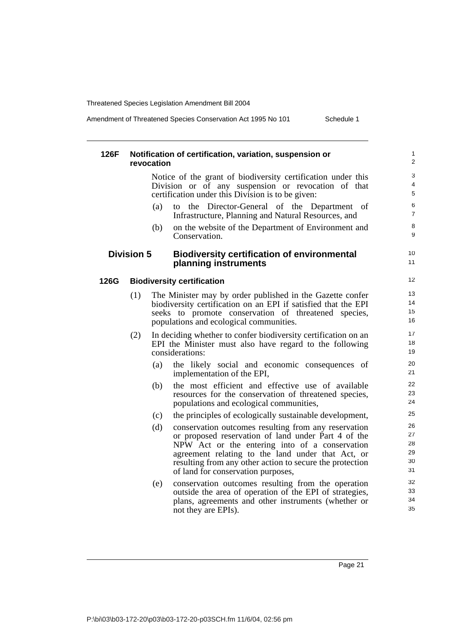Amendment of Threatened Species Conservation Act 1995 No 101 Schedule 1

## **126F Notification of certification, variation, suspension or revocation**

Notice of the grant of biodiversity certification under this Division or of any suspension or revocation of that certification under this Division is to be given:

- (a) to the Director-General of the Department of Infrastructure, Planning and Natural Resources, and
- (b) on the website of the Department of Environment and Conservation.

# **Division 5 Biodiversity certification of environmental planning instruments**

### **126G Biodiversity certification**

- (1) The Minister may by order published in the Gazette confer biodiversity certification on an EPI if satisfied that the EPI seeks to promote conservation of threatened species, populations and ecological communities.
- (2) In deciding whether to confer biodiversity certification on an EPI the Minister must also have regard to the following considerations:
	- (a) the likely social and economic consequences of implementation of the EPI,
	- (b) the most efficient and effective use of available resources for the conservation of threatened species, populations and ecological communities,
	- (c) the principles of ecologically sustainable development,
	- (d) conservation outcomes resulting from any reservation or proposed reservation of land under Part 4 of the NPW Act or the entering into of a conservation agreement relating to the land under that Act, or resulting from any other action to secure the protection of land for conservation purposes,
	- (e) conservation outcomes resulting from the operation outside the area of operation of the EPI of strategies, plans, agreements and other instruments (whether or not they are EPIs).

Page 21

10 11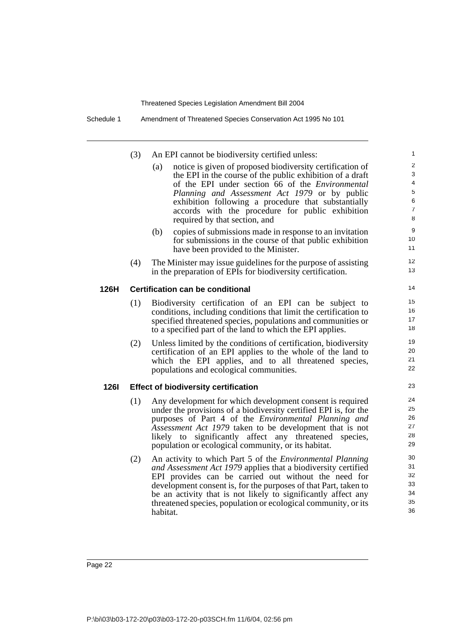Schedule 1 Amendment of Threatened Species Conservation Act 1995 No 101

- (3) An EPI cannot be biodiversity certified unless:
	- (a) notice is given of proposed biodiversity certification of the EPI in the course of the public exhibition of a draft of the EPI under section 66 of the *Environmental Planning and Assessment Act 1979* or by public exhibition following a procedure that substantially accords with the procedure for public exhibition required by that section, and

- (b) copies of submissions made in response to an invitation for submissions in the course of that public exhibition have been provided to the Minister.
- (4) The Minister may issue guidelines for the purpose of assisting in the preparation of EPIs for biodiversity certification.

#### **126H Certification can be conditional**

- (1) Biodiversity certification of an EPI can be subject to conditions, including conditions that limit the certification to specified threatened species, populations and communities or to a specified part of the land to which the EPI applies.
- (2) Unless limited by the conditions of certification, biodiversity certification of an EPI applies to the whole of the land to which the EPI applies, and to all threatened species, populations and ecological communities.

### **126I Effect of biodiversity certification**

- (1) Any development for which development consent is required under the provisions of a biodiversity certified EPI is, for the purposes of Part 4 of the *Environmental Planning and Assessment Act 1979* taken to be development that is not likely to significantly affect any threatened species, population or ecological community, or its habitat.
- (2) An activity to which Part 5 of the *Environmental Planning and Assessment Act 1979* applies that a biodiversity certified EPI provides can be carried out without the need for development consent is, for the purposes of that Part, taken to be an activity that is not likely to significantly affect any threatened species, population or ecological community, or its habitat.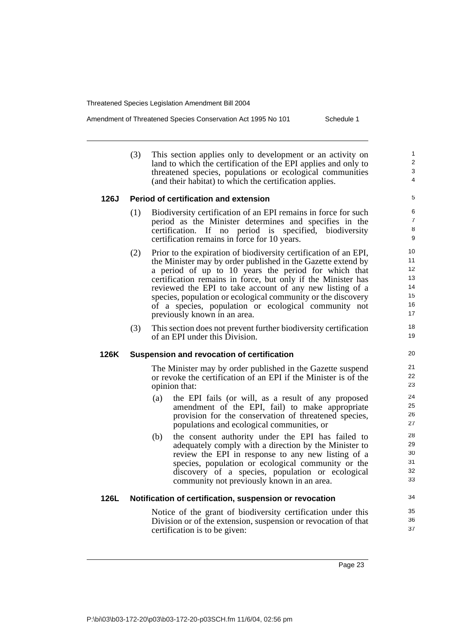Amendment of Threatened Species Conservation Act 1995 No 101 Schedule 1

(3) This section applies only to development or an activity on land to which the certification of the EPI applies and only to threatened species, populations or ecological communities (and their habitat) to which the certification applies.

### **126J Period of certification and extension**

- (1) Biodiversity certification of an EPI remains in force for such period as the Minister determines and specifies in the certification. If no period is specified, biodiversity certification remains in force for 10 years.
- (2) Prior to the expiration of biodiversity certification of an EPI, the Minister may by order published in the Gazette extend by a period of up to 10 years the period for which that certification remains in force, but only if the Minister has reviewed the EPI to take account of any new listing of a species, population or ecological community or the discovery of a species, population or ecological community not previously known in an area.
- (3) This section does not prevent further biodiversity certification of an EPI under this Division.

# **126K Suspension and revocation of certification**

The Minister may by order published in the Gazette suspend or revoke the certification of an EPI if the Minister is of the opinion that:

- (a) the EPI fails (or will, as a result of any proposed amendment of the EPI, fail) to make appropriate provision for the conservation of threatened species, populations and ecological communities, or
- (b) the consent authority under the EPI has failed to adequately comply with a direction by the Minister to review the EPI in response to any new listing of a species, population or ecological community or the discovery of a species, population or ecological community not previously known in an area.

# **126L Notification of certification, suspension or revocation**

Notice of the grant of biodiversity certification under this Division or of the extension, suspension or revocation of that certification is to be given: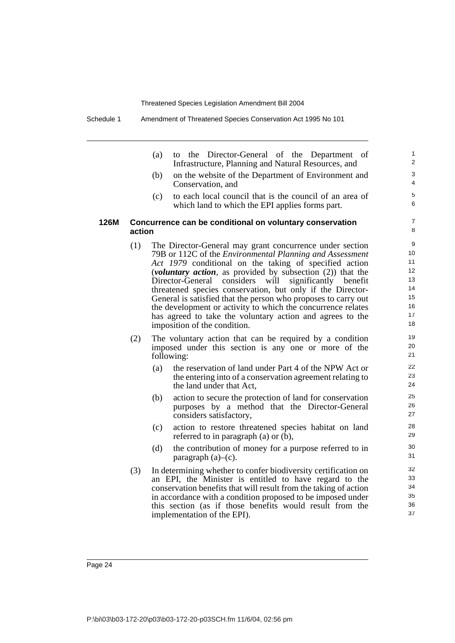(a) to the Director-General of the Department of Infrastructure, Planning and Natural Resources, and

- (b) on the website of the Department of Environment and Conservation, and
- (c) to each local council that is the council of an area of which land to which the EPI applies forms part.

#### **126M Concurrence can be conditional on voluntary conservation action**

- (1) The Director-General may grant concurrence under section 79B or 112C of the *Environmental Planning and Assessment Act 1979* conditional on the taking of specified action (*voluntary action*, as provided by subsection (2)) that the Director-General considers will significantly benefit threatened species conservation, but only if the Director-General is satisfied that the person who proposes to carry out the development or activity to which the concurrence relates has agreed to take the voluntary action and agrees to the imposition of the condition.
- (2) The voluntary action that can be required by a condition imposed under this section is any one or more of the following:
	- (a) the reservation of land under Part 4 of the NPW Act or the entering into of a conservation agreement relating to the land under that Act,
	- (b) action to secure the protection of land for conservation purposes by a method that the Director-General considers satisfactory,
	- (c) action to restore threatened species habitat on land referred to in paragraph (a) or (b),
	- (d) the contribution of money for a purpose referred to in paragraph  $(a)$ – $(c)$ .
- (3) In determining whether to confer biodiversity certification on an EPI, the Minister is entitled to have regard to the conservation benefits that will result from the taking of action in accordance with a condition proposed to be imposed under this section (as if those benefits would result from the implementation of the EPI).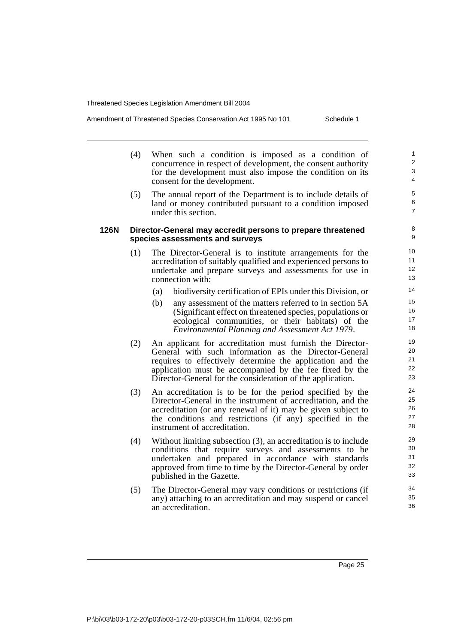Amendment of Threatened Species Conservation Act 1995 No 101 Schedule 1

- (4) When such a condition is imposed as a condition of concurrence in respect of development, the consent authority for the development must also impose the condition on its consent for the development.
- (5) The annual report of the Department is to include details of land or money contributed pursuant to a condition imposed under this section.

### **126N Director-General may accredit persons to prepare threatened species assessments and surveys**

- (1) The Director-General is to institute arrangements for the accreditation of suitably qualified and experienced persons to undertake and prepare surveys and assessments for use in connection with:
	- (a) biodiversity certification of EPIs under this Division, or
	- (b) any assessment of the matters referred to in section 5A (Significant effect on threatened species, populations or ecological communities, or their habitats) of the *Environmental Planning and Assessment Act 1979*.
- (2) An applicant for accreditation must furnish the Director-General with such information as the Director-General requires to effectively determine the application and the application must be accompanied by the fee fixed by the Director-General for the consideration of the application.
- (3) An accreditation is to be for the period specified by the Director-General in the instrument of accreditation, and the accreditation (or any renewal of it) may be given subject to the conditions and restrictions (if any) specified in the instrument of accreditation.
- (4) Without limiting subsection (3), an accreditation is to include conditions that require surveys and assessments to be undertaken and prepared in accordance with standards approved from time to time by the Director-General by order published in the Gazette.
- (5) The Director-General may vary conditions or restrictions (if any) attaching to an accreditation and may suspend or cancel an accreditation.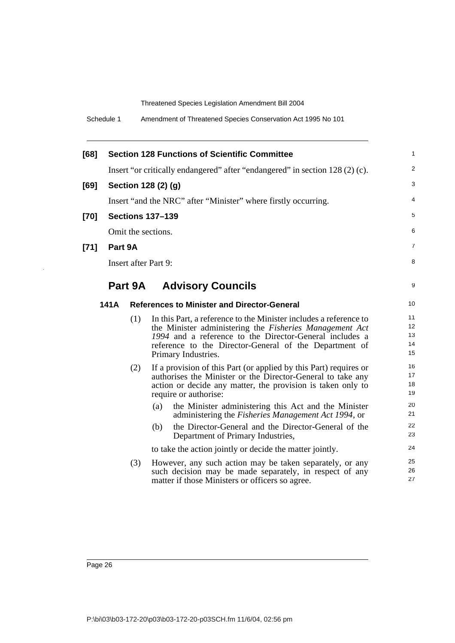Schedule 1 Amendment of Threatened Species Conservation Act 1995 No 101

| [68]   |         |         | <b>Section 128 Functions of Scientific Committee</b>                                                                                                                                                                                                                     | 1                          |
|--------|---------|---------|--------------------------------------------------------------------------------------------------------------------------------------------------------------------------------------------------------------------------------------------------------------------------|----------------------------|
|        |         |         | Insert "or critically endangered" after "endangered" in section 128 (2) (c).                                                                                                                                                                                             | $\overline{c}$             |
| [69]   |         |         | Section 128 (2) (g)                                                                                                                                                                                                                                                      | 3                          |
|        |         |         | Insert "and the NRC" after "Minister" where firstly occurring.                                                                                                                                                                                                           | 4                          |
| [70]   |         |         | <b>Sections 137-139</b>                                                                                                                                                                                                                                                  | 5                          |
|        |         |         | Omit the sections.                                                                                                                                                                                                                                                       | 6                          |
| $[71]$ | Part 9A |         |                                                                                                                                                                                                                                                                          | 7                          |
|        |         |         | <b>Insert after Part 9:</b>                                                                                                                                                                                                                                              | 8                          |
|        |         |         |                                                                                                                                                                                                                                                                          |                            |
|        |         | Part 9A | <b>Advisory Councils</b>                                                                                                                                                                                                                                                 | 9                          |
|        | 141A    |         | <b>References to Minister and Director-General</b>                                                                                                                                                                                                                       | 10                         |
|        |         | (1)     | In this Part, a reference to the Minister includes a reference to<br>the Minister administering the Fisheries Management Act<br>1994 and a reference to the Director-General includes a<br>reference to the Director-General of the Department of<br>Primary Industries. | 11<br>12<br>13<br>14<br>15 |
|        |         | (2)     | If a provision of this Part (or applied by this Part) requires or<br>authorises the Minister or the Director-General to take any<br>action or decide any matter, the provision is taken only to<br>require or authorise:                                                 | 16<br>17<br>18<br>19       |
|        |         |         | the Minister administering this Act and the Minister<br>(a)<br>administering the <i>Fisheries Management Act 1994</i> , or                                                                                                                                               | 20<br>21                   |
|        |         |         | the Director-General and the Director-General of the<br>(b)<br>Department of Primary Industries,                                                                                                                                                                         | 22<br>23                   |
|        |         |         | to take the action jointly or decide the matter jointly.                                                                                                                                                                                                                 | 24                         |
|        |         | (3)     | However, any such action may be taken separately, or any<br>such decision may be made separately, in respect of any<br>matter if those Ministers or officers so agree.                                                                                                   | 25<br>26<br>27             |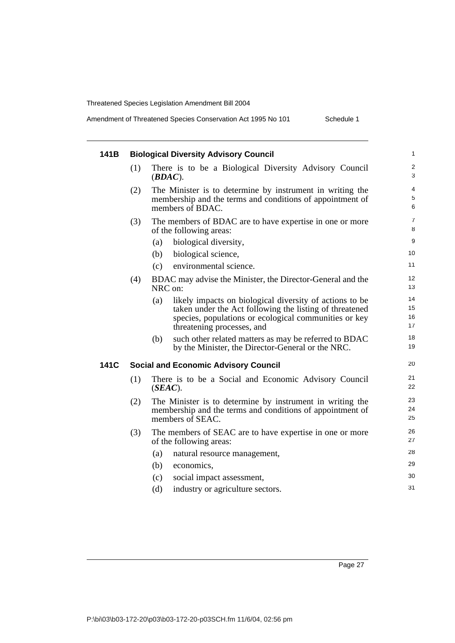| 141B |     |            | <b>Biological Diversity Advisory Council</b>                                                                                                                                                              | $\mathbf{1}$         |
|------|-----|------------|-----------------------------------------------------------------------------------------------------------------------------------------------------------------------------------------------------------|----------------------|
|      | (1) |            | There is to be a Biological Diversity Advisory Council<br>(BDAC).                                                                                                                                         | $\overline{2}$<br>3  |
|      | (2) |            | The Minister is to determine by instrument in writing the<br>membership and the terms and conditions of appointment of<br>members of BDAC.                                                                | 4<br>5<br>6          |
|      | (3) |            | The members of BDAC are to have expertise in one or more<br>of the following areas:                                                                                                                       | 7<br>8               |
|      |     | (a)        | biological diversity,                                                                                                                                                                                     | 9                    |
|      |     | (b)        | biological science,                                                                                                                                                                                       | 10                   |
|      |     | (c)        | environmental science.                                                                                                                                                                                    | 11                   |
|      | (4) |            | BDAC may advise the Minister, the Director-General and the<br>NRC on:                                                                                                                                     | 12<br>13             |
|      |     | (a)        | likely impacts on biological diversity of actions to be<br>taken under the Act following the listing of threatened<br>species, populations or ecological communities or key<br>threatening processes, and | 14<br>15<br>16<br>17 |
|      |     | (b)        | such other related matters as may be referred to BDAC<br>by the Minister, the Director-General or the NRC.                                                                                                | 18<br>19             |
| 141C |     |            | <b>Social and Economic Advisory Council</b>                                                                                                                                                               | 20                   |
|      | (1) | $(SEAC)$ . | There is to be a Social and Economic Advisory Council                                                                                                                                                     | 21<br>22             |
|      | (2) |            | The Minister is to determine by instrument in writing the<br>membership and the terms and conditions of appointment of<br>members of SEAC.                                                                | 23<br>24<br>25       |
|      | (3) |            | The members of SEAC are to have expertise in one or more<br>of the following areas:                                                                                                                       | 26<br>27             |
|      |     | (a)        | natural resource management,                                                                                                                                                                              | 28                   |
|      |     | (b)        | economics,                                                                                                                                                                                                | 29                   |
|      |     | (c)        | social impact assessment,                                                                                                                                                                                 | 30                   |
|      |     | (d)        | industry or agriculture sectors.                                                                                                                                                                          | 31                   |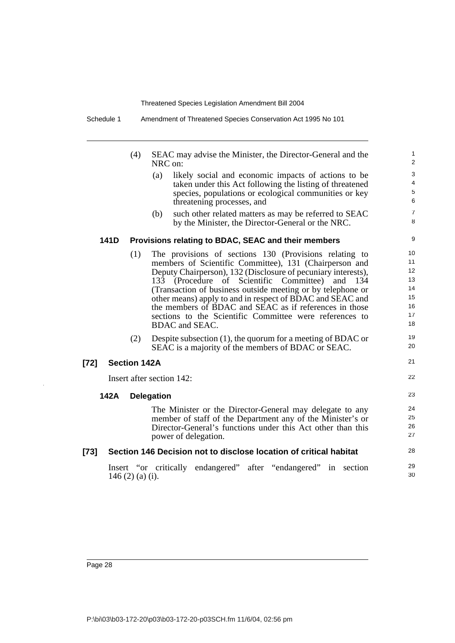|        |      | (4)                 | SEAC may advise the Minister, the Director-General and the<br>NRC on:                                             | 1<br>$\overline{2}$ |
|--------|------|---------------------|-------------------------------------------------------------------------------------------------------------------|---------------------|
|        |      |                     | (a)<br>likely social and economic impacts of actions to be                                                        | 3                   |
|        |      |                     | taken under this Act following the listing of threatened                                                          | $\overline{4}$      |
|        |      |                     | species, populations or ecological communities or key<br>threatening processes, and                               | 5<br>6              |
|        |      |                     | such other related matters as may be referred to SEAC<br>(b)<br>by the Minister, the Director-General or the NRC. | $\overline{7}$<br>8 |
|        | 141D |                     | Provisions relating to BDAC, SEAC and their members                                                               | 9                   |
|        |      | (1)                 | The provisions of sections 130 (Provisions relating to                                                            | 10                  |
|        |      |                     | members of Scientific Committee), 131 (Chairperson and                                                            | 11                  |
|        |      |                     | Deputy Chairperson), 132 (Disclosure of pecuniary interests),                                                     | 12<br>13            |
|        |      |                     | 133 (Procedure of Scientific Committee) and<br>134<br>(Transaction of business outside meeting or by telephone or | 14                  |
|        |      |                     | other means) apply to and in respect of BDAC and SEAC and                                                         | 15                  |
|        |      |                     | the members of BDAC and SEAC as if references in those                                                            | 16                  |
|        |      |                     | sections to the Scientific Committee were references to                                                           | 17                  |
|        |      |                     | <b>BDAC</b> and <b>SEAC</b> .                                                                                     | 18                  |
|        |      | (2)                 | Despite subsection (1), the quorum for a meeting of BDAC or<br>SEAC is a majority of the members of BDAC or SEAC. | 19<br>20            |
| $[72]$ |      | <b>Section 142A</b> |                                                                                                                   | 21                  |
|        |      |                     | Insert after section 142:                                                                                         | 22                  |
|        | 142A |                     | <b>Delegation</b>                                                                                                 | 23                  |
|        |      |                     | The Minister or the Director-General may delegate to any                                                          | 24                  |
|        |      |                     | member of staff of the Department any of the Minister's or                                                        | 25                  |
|        |      |                     | Director-General's functions under this Act other than this<br>power of delegation.                               | 26<br>27            |
| $[73]$ |      |                     | Section 146 Decision not to disclose location of critical habitat                                                 | 28                  |
|        |      | $146(2)$ (a) (i).   | Insert "or critically endangered" after "endangered" in section                                                   | 29<br>30            |
|        |      |                     |                                                                                                                   |                     |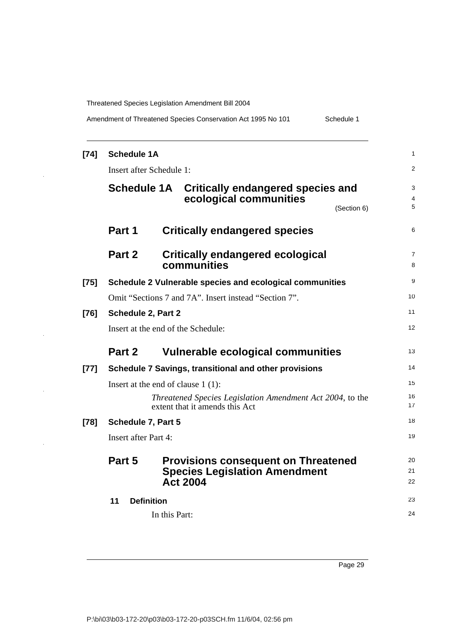$\ddot{\phantom{0}}$ 

 $\ddot{\phantom{a}}$ 

 $\ddot{\phantom{a}}$ 

| Amendment of Threatened Species Conservation Act 1995 No 101 |
|--------------------------------------------------------------|
|--------------------------------------------------------------|

| $[74]$ | <b>Schedule 1A</b>          |                                                                                                       | $\mathbf{1}$        |  |
|--------|-----------------------------|-------------------------------------------------------------------------------------------------------|---------------------|--|
|        | Insert after Schedule 1:    |                                                                                                       |                     |  |
|        | <b>Schedule 1A</b>          | <b>Critically endangered species and</b><br>ecological communities<br>(Section 6)                     | 3<br>4<br>5         |  |
|        | Part 1                      | <b>Critically endangered species</b>                                                                  | 6                   |  |
|        | Part 2                      | <b>Critically endangered ecological</b><br>communities                                                | $\overline{7}$<br>8 |  |
| $[75]$ |                             | Schedule 2 Vulnerable species and ecological communities                                              | 9                   |  |
|        |                             | Omit "Sections 7 and 7A". Insert instead "Section 7".                                                 | 10                  |  |
| $[76]$ | <b>Schedule 2, Part 2</b>   |                                                                                                       | 11                  |  |
|        |                             | Insert at the end of the Schedule:                                                                    | $12 \overline{ }$   |  |
|        |                             |                                                                                                       |                     |  |
|        | Part 2                      | Vulnerable ecological communities                                                                     | 13                  |  |
| $[77]$ |                             | Schedule 7 Savings, transitional and other provisions                                                 | 14                  |  |
|        |                             | Insert at the end of clause $1(1)$ :                                                                  | 15                  |  |
|        |                             | Threatened Species Legislation Amendment Act 2004, to the<br>extent that it amends this Act           | 16<br>17            |  |
| $[78]$ | Schedule 7, Part 5          |                                                                                                       | 18                  |  |
|        | <b>Insert after Part 4:</b> |                                                                                                       | 19                  |  |
|        | Part 5                      | <b>Provisions consequent on Threatened</b><br><b>Species Legislation Amendment</b><br><b>Act 2004</b> | 20<br>21<br>22      |  |
|        | <b>Definition</b><br>11     |                                                                                                       | 23                  |  |

Page 29

Schedule 1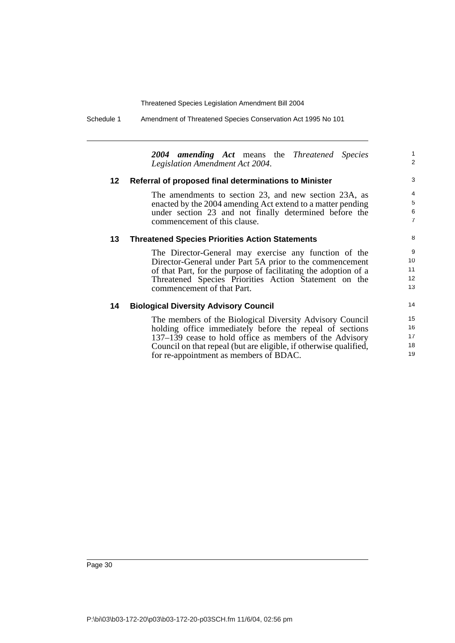Schedule 1 Amendment of Threatened Species Conservation Act 1995 No 101

*2004 amending Act* means the *Threatened Species Legislation Amendment Act 2004*.

1 2

#### **12 Referral of proposed final determinations to Minister**

The amendments to section 23, and new section 23A, as enacted by the 2004 amending Act extend to a matter pending under section 23 and not finally determined before the commencement of this clause.

#### **13 Threatened Species Priorities Action Statements**

The Director-General may exercise any function of the Director-General under Part 5A prior to the commencement of that Part, for the purpose of facilitating the adoption of a Threatened Species Priorities Action Statement on the commencement of that Part.

#### **14 Biological Diversity Advisory Council**

The members of the Biological Diversity Advisory Council holding office immediately before the repeal of sections 137–139 cease to hold office as members of the Advisory Council on that repeal (but are eligible, if otherwise qualified, for re-appointment as members of BDAC.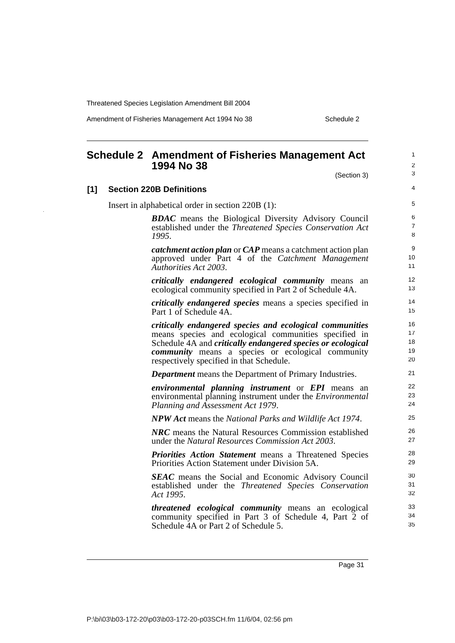Amendment of Fisheries Management Act 1994 No 38 Schedule 2

|     | <b>Schedule 2 Amendment of Fisheries Management Act</b><br>1994 No 38                                                                                                                                                                                                                    | 1<br>$\overline{2}$        |
|-----|------------------------------------------------------------------------------------------------------------------------------------------------------------------------------------------------------------------------------------------------------------------------------------------|----------------------------|
|     | (Section 3)                                                                                                                                                                                                                                                                              | 3                          |
| [1] | <b>Section 220B Definitions</b>                                                                                                                                                                                                                                                          | 4                          |
|     | Insert in alphabetical order in section 220B (1):                                                                                                                                                                                                                                        | 5                          |
|     | <b>BDAC</b> means the Biological Diversity Advisory Council<br>established under the Threatened Species Conservation Act<br>1995.                                                                                                                                                        | 6<br>$\overline{7}$<br>8   |
|     | <i>catchment action plan</i> or <i>CAP</i> means a catchment action plan<br>approved under Part 4 of the Catchment Management<br><b>Authorities Act 2003.</b>                                                                                                                            | 9<br>10<br>11              |
|     | critically endangered ecological community means an<br>ecological community specified in Part 2 of Schedule 4A.                                                                                                                                                                          | 12<br>13                   |
|     | critically endangered species means a species specified in<br>Part 1 of Schedule 4A.                                                                                                                                                                                                     | 14<br>15                   |
|     | critically endangered species and ecological communities<br>means species and ecological communities specified in<br>Schedule 4A and critically endangered species or ecological<br><i>community</i> means a species or ecological community<br>respectively specified in that Schedule. | 16<br>17<br>18<br>19<br>20 |
|     | <b>Department</b> means the Department of Primary Industries.                                                                                                                                                                                                                            | 21                         |
|     | <i>environmental planning instrument</i> or <i>EPI</i> means an<br>environmental planning instrument under the <i>Environmental</i><br>Planning and Assessment Act 1979.                                                                                                                 | 22<br>23<br>24             |
|     | <b>NPW Act means the National Parks and Wildlife Act 1974.</b>                                                                                                                                                                                                                           | 25                         |
|     | <b>NRC</b> means the Natural Resources Commission established<br>under the Natural Resources Commission Act 2003.                                                                                                                                                                        | 26<br>27                   |
|     | <b>Priorities Action Statement</b> means a Threatened Species<br>Priorities Action Statement under Division 5A.                                                                                                                                                                          | 28<br>29                   |
|     | <b>SEAC</b> means the Social and Economic Advisory Council<br>established under the Threatened Species Conservation<br>Act 1995.                                                                                                                                                         | 30<br>31<br>32             |
|     | <i>threatened ecological community</i> means an ecological<br>community specified in Part 3 of Schedule 4, Part 2 of<br>Schedule 4A or Part 2 of Schedule 5.                                                                                                                             | 33<br>34<br>35             |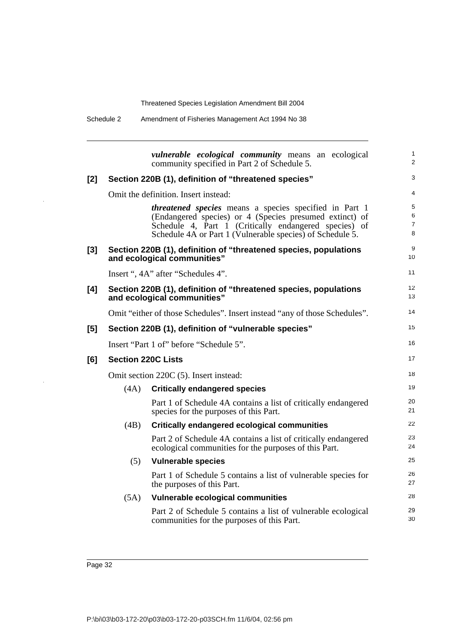|       |      | <i>vulnerable ecological community</i> means an ecological<br>community specified in Part 2 of Schedule 5.                                                                                                                                     | 1<br>$\overline{2}$           |
|-------|------|------------------------------------------------------------------------------------------------------------------------------------------------------------------------------------------------------------------------------------------------|-------------------------------|
| [2]   |      | Section 220B (1), definition of "threatened species"                                                                                                                                                                                           | 3                             |
|       |      | Omit the definition. Insert instead:                                                                                                                                                                                                           | 4                             |
|       |      | <i>threatened species</i> means a species specified in Part 1<br>(Endangered species) or 4 (Species presumed extinct) of<br>Schedule 4, Part 1 (Critically endangered species) of<br>Schedule 4A or Part 1 (Vulnerable species) of Schedule 5. | 5<br>6<br>$\overline{7}$<br>8 |
| $[3]$ |      | Section 220B (1), definition of "threatened species, populations<br>and ecological communities"                                                                                                                                                | 9<br>10                       |
|       |      | Insert ", 4A" after "Schedules 4".                                                                                                                                                                                                             | 11                            |
| [4]   |      | Section 220B (1), definition of "threatened species, populations<br>and ecological communities"                                                                                                                                                | 12<br>13                      |
|       |      | Omit "either of those Schedules". Insert instead "any of those Schedules".                                                                                                                                                                     | 14                            |
| [5]   |      | Section 220B (1), definition of "vulnerable species"                                                                                                                                                                                           | 15                            |
|       |      | Insert "Part 1 of" before "Schedule 5".                                                                                                                                                                                                        | 16                            |
| [6]   |      | <b>Section 220C Lists</b>                                                                                                                                                                                                                      | 17                            |
|       |      | Omit section 220C (5). Insert instead:                                                                                                                                                                                                         | 18                            |
|       | (4A) | <b>Critically endangered species</b>                                                                                                                                                                                                           | 19                            |
|       |      | Part 1 of Schedule 4A contains a list of critically endangered<br>species for the purposes of this Part.                                                                                                                                       | 20<br>21                      |
|       | (4B) | <b>Critically endangered ecological communities</b>                                                                                                                                                                                            | 22                            |
|       |      | Part 2 of Schedule 4A contains a list of critically endangered<br>ecological communities for the purposes of this Part.                                                                                                                        | 23<br>24                      |
|       | (5)  | <b>Vulnerable species</b>                                                                                                                                                                                                                      | 25                            |
|       |      | Part 1 of Schedule 5 contains a list of vulnerable species for<br>the purposes of this Part.                                                                                                                                                   | 26<br>27                      |
|       | (5A) | Vulnerable ecological communities                                                                                                                                                                                                              | 28                            |
|       |      | Part 2 of Schedule 5 contains a list of vulnerable ecological<br>communities for the purposes of this Part.                                                                                                                                    | 29<br>30                      |
|       |      |                                                                                                                                                                                                                                                |                               |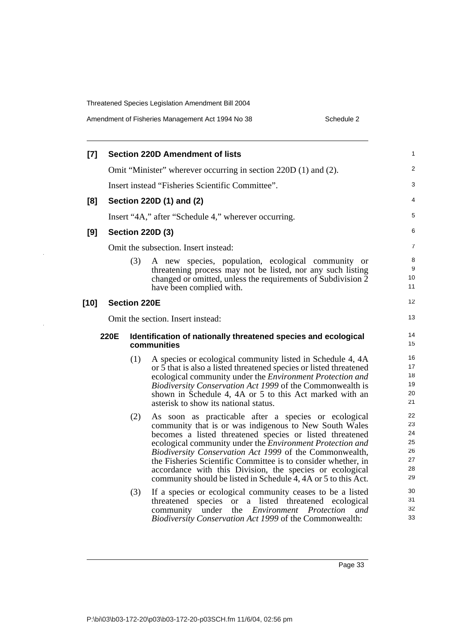$\frac{1}{2}$ 

 $\hat{\mathcal{A}}$ 

| Amendment of Fisheries Management Act 1994 No 38 | Schedule 2 |
|--------------------------------------------------|------------|
|                                                  |            |

| $[7]$  |      |                     | <b>Section 220D Amendment of lists</b>                                                                                                                                                                                                                                                                                                                                                                                                                                                            | 1                                            |
|--------|------|---------------------|---------------------------------------------------------------------------------------------------------------------------------------------------------------------------------------------------------------------------------------------------------------------------------------------------------------------------------------------------------------------------------------------------------------------------------------------------------------------------------------------------|----------------------------------------------|
|        |      |                     | Omit "Minister" wherever occurring in section 220D (1) and (2).                                                                                                                                                                                                                                                                                                                                                                                                                                   | $\overline{2}$                               |
|        |      |                     | Insert instead "Fisheries Scientific Committee".                                                                                                                                                                                                                                                                                                                                                                                                                                                  | 3                                            |
| [8]    |      |                     | Section 220D (1) and (2)                                                                                                                                                                                                                                                                                                                                                                                                                                                                          | 4                                            |
|        |      |                     | Insert "4A," after "Schedule 4," wherever occurring.                                                                                                                                                                                                                                                                                                                                                                                                                                              | 5                                            |
| [9]    |      |                     | <b>Section 220D (3)</b>                                                                                                                                                                                                                                                                                                                                                                                                                                                                           | 6                                            |
|        |      |                     | Omit the subsection. Insert instead:                                                                                                                                                                                                                                                                                                                                                                                                                                                              | 7                                            |
|        |      | (3)                 | A new species, population, ecological community or<br>threatening process may not be listed, nor any such listing<br>changed or omitted, unless the requirements of Subdivision 2<br>have been complied with.                                                                                                                                                                                                                                                                                     | 8<br>9<br>10<br>11                           |
| $[10]$ |      | <b>Section 220E</b> |                                                                                                                                                                                                                                                                                                                                                                                                                                                                                                   | 12                                           |
|        |      |                     | Omit the section. Insert instead:                                                                                                                                                                                                                                                                                                                                                                                                                                                                 | 13                                           |
|        | 220E |                     | Identification of nationally threatened species and ecological<br>communities                                                                                                                                                                                                                                                                                                                                                                                                                     | 14<br>15                                     |
|        |      | (1)                 | A species or ecological community listed in Schedule 4, 4A<br>or 5 that is also a listed threatened species or listed threatened<br>ecological community under the <i>Environment Protection and</i><br>Biodiversity Conservation Act 1999 of the Commonwealth is<br>shown in Schedule 4, 4A or 5 to this Act marked with an<br>asterisk to show its national status.                                                                                                                             | 16<br>17<br>18<br>19<br>20<br>21             |
|        |      | (2)                 | As soon as practicable after a species or ecological<br>community that is or was indigenous to New South Wales<br>becomes a listed threatened species or listed threatened<br>ecological community under the Environment Protection and<br>Biodiversity Conservation Act 1999 of the Commonwealth,<br>the Fisheries Scientific Committee is to consider whether, in<br>accordance with this Division, the species or ecological<br>community should be listed in Schedule 4, 4A or 5 to this Act. | 22<br>23<br>24<br>25<br>26<br>27<br>28<br>29 |
|        |      | (3)                 | If a species or ecological community ceases to be a listed<br>threatened species or a listed threatened ecological<br>community under<br>the Environment Protection<br>and<br>Biodiversity Conservation Act 1999 of the Commonwealth:                                                                                                                                                                                                                                                             | 30<br>31<br>32<br>33                         |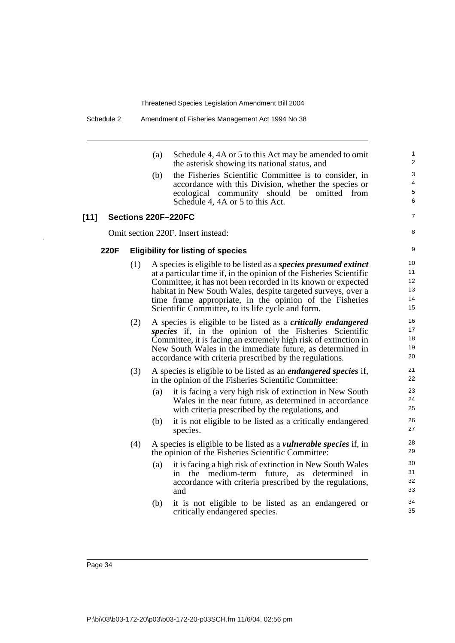- (a) Schedule 4, 4A or 5 to this Act may be amended to omit the asterisk showing its national status, and
- (b) the Fisheries Scientific Committee is to consider, in accordance with this Division, whether the species or ecological community should be omitted from Schedule 4, 4A or 5 to this Act.

#### **[11] Sections 220F–220FC**

Omit section 220F. Insert instead:

#### **220F Eligibility for listing of species**

- (1) A species is eligible to be listed as a *species presumed extinct* at a particular time if, in the opinion of the Fisheries Scientific Committee, it has not been recorded in its known or expected habitat in New South Wales, despite targeted surveys, over a time frame appropriate, in the opinion of the Fisheries Scientific Committee, to its life cycle and form.
- (2) A species is eligible to be listed as a *critically endangered species* if, in the opinion of the Fisheries Scientific Committee, it is facing an extremely high risk of extinction in New South Wales in the immediate future, as determined in accordance with criteria prescribed by the regulations.
- (3) A species is eligible to be listed as an *endangered species* if, in the opinion of the Fisheries Scientific Committee:
	- (a) it is facing a very high risk of extinction in New South Wales in the near future, as determined in accordance with criteria prescribed by the regulations, and
	- (b) it is not eligible to be listed as a critically endangered species.
- (4) A species is eligible to be listed as a *vulnerable species* if, in the opinion of the Fisheries Scientific Committee:
	- (a) it is facing a high risk of extinction in New South Wales in the medium-term future, as determined in accordance with criteria prescribed by the regulations, and
	- (b) it is not eligible to be listed as an endangered or critically endangered species.

9

7

8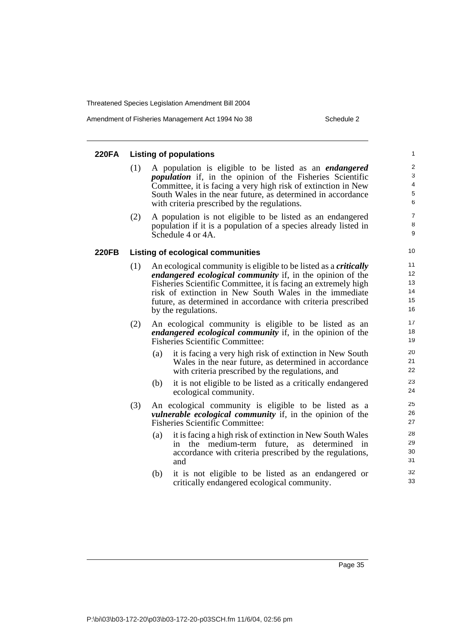Amendment of Fisheries Management Act 1994 No 38 Schedule 2

#### **220FA Listing of populations** (1) A population is eligible to be listed as an *endangered population* if, in the opinion of the Fisheries Scientific Committee, it is facing a very high risk of extinction in New South Wales in the near future, as determined in accordance with criteria prescribed by the regulations. (2) A population is not eligible to be listed as an endangered population if it is a population of a species already listed in Schedule 4 or 4A. **220FB Listing of ecological communities** (1) An ecological community is eligible to be listed as a *critically endangered ecological community* if, in the opinion of the Fisheries Scientific Committee, it is facing an extremely high risk of extinction in New South Wales in the immediate future, as determined in accordance with criteria prescribed by the regulations. (2) An ecological community is eligible to be listed as an *endangered ecological community* if, in the opinion of the Fisheries Scientific Committee: (a) it is facing a very high risk of extinction in New South Wales in the near future, as determined in accordance with criteria prescribed by the regulations, and (b) it is not eligible to be listed as a critically endangered ecological community. (3) An ecological community is eligible to be listed as a *vulnerable ecological community* if, in the opinion of the Fisheries Scientific Committee: (a) it is facing a high risk of extinction in New South Wales in the medium-term future, as determined in accordance with criteria prescribed by the regulations, and (b) it is not eligible to be listed as an endangered or critically endangered ecological community. 1  $\overline{2}$ 3 4 5 6 7 8 9 10 11 12 13 14 15 16 17 18 19 20 21 22 23 24 25 26 27 28 29 30 31 32 33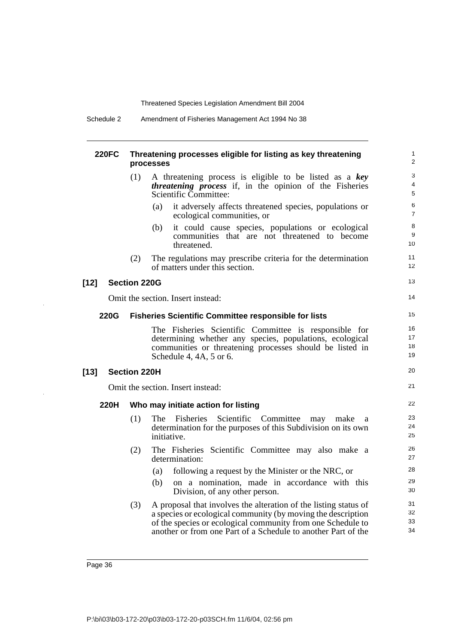| 220FC<br>Threatening processes eligible for listing as key threatening                                                                                                                                                                                                  | 1                    |
|-------------------------------------------------------------------------------------------------------------------------------------------------------------------------------------------------------------------------------------------------------------------------|----------------------|
| processes                                                                                                                                                                                                                                                               | 2                    |
| (1)<br>A threatening process is eligible to be listed as a key<br><i>threatening process</i> if, in the opinion of the Fisheries<br>Scientific Committee:                                                                                                               | 3<br>4<br>5          |
| (a)<br>it adversely affects threatened species, populations or<br>ecological communities, or                                                                                                                                                                            | 6<br>7               |
| (b)<br>it could cause species, populations or ecological<br>communities that are not threatened to become<br>threatened.                                                                                                                                                | 8<br>9<br>10         |
| The regulations may prescribe criteria for the determination<br>(2)<br>of matters under this section.                                                                                                                                                                   | 11<br>12             |
| $[12]$<br><b>Section 220G</b>                                                                                                                                                                                                                                           | 13                   |
| Omit the section. Insert instead:                                                                                                                                                                                                                                       | 14                   |
| <b>220G</b><br><b>Fisheries Scientific Committee responsible for lists</b>                                                                                                                                                                                              | 15                   |
| The Fisheries Scientific Committee is responsible for<br>determining whether any species, populations, ecological<br>communities or threatening processes should be listed in<br>Schedule 4, $4A$ , $5$ or 6.                                                           | 16<br>17<br>18<br>19 |
| $[13]$<br><b>Section 220H</b>                                                                                                                                                                                                                                           | 20                   |
| Omit the section. Insert instead:                                                                                                                                                                                                                                       | 21                   |
| Who may initiate action for listing<br>220H                                                                                                                                                                                                                             | 22                   |
| (1)<br>The Fisheries Scientific Committee may<br>make<br>a<br>determination for the purposes of this Subdivision on its own<br>initiative.                                                                                                                              | 23<br>24<br>25       |
| (2)<br>The Fisheries Scientific Committee may also make a<br>determination:                                                                                                                                                                                             | 26<br>27             |
| following a request by the Minister or the NRC, or<br>(a)<br>on a nomination, made in accordance with this<br>(b)<br>Division, of any other person.                                                                                                                     | 28<br>29<br>30       |
| (3)<br>A proposal that involves the alteration of the listing status of<br>a species or ecological community (by moving the description<br>of the species or ecological community from one Schedule to<br>another or from one Part of a Schedule to another Part of the | 31<br>32<br>33<br>34 |

Page 36

 $\bar{z}$ 

 $\bar{z}$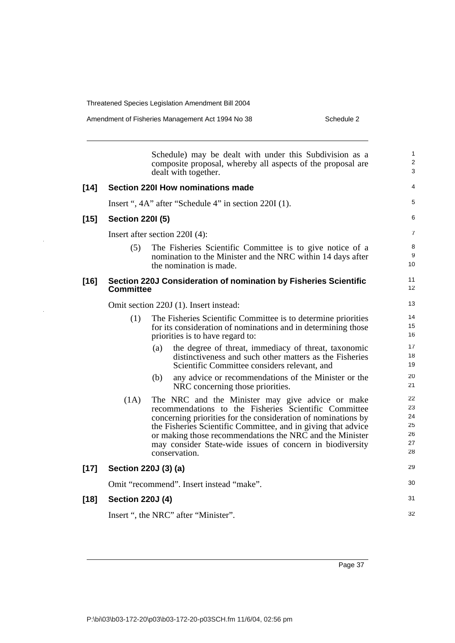i.

|  |  | Amendment of Fisheries Management Act 1994 No 38 |  |
|--|--|--------------------------------------------------|--|
|--|--|--------------------------------------------------|--|

Schedule 2

|        |                         | Schedule) may be dealt with under this Subdivision as a<br>composite proposal, whereby all aspects of the proposal are<br>dealt with together.                                                                                                                                                                                                                                        | $\mathbf{1}$<br>$\overline{2}$<br>3    |
|--------|-------------------------|---------------------------------------------------------------------------------------------------------------------------------------------------------------------------------------------------------------------------------------------------------------------------------------------------------------------------------------------------------------------------------------|----------------------------------------|
| $[14]$ |                         | Section 220I How nominations made                                                                                                                                                                                                                                                                                                                                                     | 4                                      |
|        |                         | Insert ", 4A" after "Schedule 4" in section 220I (1).                                                                                                                                                                                                                                                                                                                                 | 5                                      |
| $[15]$ | <b>Section 2201 (5)</b> |                                                                                                                                                                                                                                                                                                                                                                                       | 6                                      |
|        |                         | Insert after section 220I (4):                                                                                                                                                                                                                                                                                                                                                        | 7                                      |
|        | (5)                     | The Fisheries Scientific Committee is to give notice of a<br>nomination to the Minister and the NRC within 14 days after<br>the nomination is made.                                                                                                                                                                                                                                   | 8<br>9<br>10 <sup>°</sup>              |
| $[16]$ | <b>Committee</b>        | Section 220J Consideration of nomination by Fisheries Scientific                                                                                                                                                                                                                                                                                                                      | 11<br>12                               |
|        |                         | Omit section 220J (1). Insert instead:                                                                                                                                                                                                                                                                                                                                                | 13                                     |
|        | (1)                     | The Fisheries Scientific Committee is to determine priorities<br>for its consideration of nominations and in determining those<br>priorities is to have regard to:                                                                                                                                                                                                                    | 14<br>15<br>16                         |
|        |                         | the degree of threat, immediacy of threat, taxonomic<br>(a)<br>distinctiveness and such other matters as the Fisheries<br>Scientific Committee considers relevant, and                                                                                                                                                                                                                | 17<br>18<br>19                         |
|        |                         | any advice or recommendations of the Minister or the<br>(b)<br>NRC concerning those priorities.                                                                                                                                                                                                                                                                                       | 20<br>21                               |
|        | (1A)                    | The NRC and the Minister may give advice or make<br>recommendations to the Fisheries Scientific Committee<br>concerning priorities for the consideration of nominations by<br>the Fisheries Scientific Committee, and in giving that advice<br>or making those recommendations the NRC and the Minister<br>may consider State-wide issues of concern in biodiversity<br>conservation. | 22<br>23<br>24<br>25<br>26<br>27<br>28 |
| $[17]$ |                         | Section 220J (3) (a)                                                                                                                                                                                                                                                                                                                                                                  | 29                                     |
|        |                         | Omit "recommend". Insert instead "make".                                                                                                                                                                                                                                                                                                                                              | 30                                     |
| $[18]$ | <b>Section 220J (4)</b> |                                                                                                                                                                                                                                                                                                                                                                                       | 31                                     |
|        |                         | Insert ", the NRC" after "Minister".                                                                                                                                                                                                                                                                                                                                                  | 32                                     |
|        |                         |                                                                                                                                                                                                                                                                                                                                                                                       |                                        |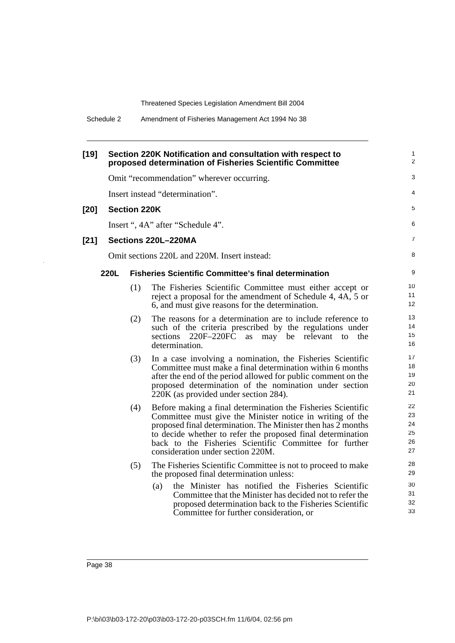| Schedule 2 | Amendment of Fisheries Management Act 1994 No 38 |
|------------|--------------------------------------------------|
|------------|--------------------------------------------------|

| $[19]$ |      |                     | Section 220K Notification and consultation with respect to<br>proposed determination of Fisheries Scientific Committee                                                                                                                                                                                                                                  | 1<br>2                           |
|--------|------|---------------------|---------------------------------------------------------------------------------------------------------------------------------------------------------------------------------------------------------------------------------------------------------------------------------------------------------------------------------------------------------|----------------------------------|
|        |      |                     | Omit "recommendation" wherever occurring.                                                                                                                                                                                                                                                                                                               | 3                                |
|        |      |                     | Insert instead "determination".                                                                                                                                                                                                                                                                                                                         | 4                                |
| [20]   |      | <b>Section 220K</b> |                                                                                                                                                                                                                                                                                                                                                         | 5                                |
|        |      |                     | Insert ", 4A" after "Schedule 4".                                                                                                                                                                                                                                                                                                                       | 6                                |
| $[21]$ |      |                     | Sections 220L-220MA                                                                                                                                                                                                                                                                                                                                     | 7                                |
|        |      |                     | Omit sections 220L and 220M. Insert instead:                                                                                                                                                                                                                                                                                                            | 8                                |
|        | 220L |                     | <b>Fisheries Scientific Committee's final determination</b>                                                                                                                                                                                                                                                                                             | 9                                |
|        |      | (1)                 | The Fisheries Scientific Committee must either accept or<br>reject a proposal for the amendment of Schedule 4, 4A, 5 or<br>6, and must give reasons for the determination.                                                                                                                                                                              | 10<br>11<br>12                   |
|        |      | (2)                 | The reasons for a determination are to include reference to<br>such of the criteria prescribed by the regulations under<br>220F-220FC<br>sections<br>may be<br>relevant<br>the<br>as<br>to<br>determination.                                                                                                                                            | 13<br>14<br>15<br>16             |
|        |      | (3)                 | In a case involving a nomination, the Fisheries Scientific<br>Committee must make a final determination within 6 months<br>after the end of the period allowed for public comment on the<br>proposed determination of the nomination under section<br>220K (as provided under section 284).                                                             | 17<br>18<br>19<br>20<br>21       |
|        |      | (4)                 | Before making a final determination the Fisheries Scientific<br>Committee must give the Minister notice in writing of the<br>proposed final determination. The Minister then has 2 months<br>to decide whether to refer the proposed final determination<br>back to the Fisheries Scientific Committee for further<br>consideration under section 220M. | 22<br>23<br>24<br>25<br>26<br>27 |
|        |      | (5)                 | The Fisheries Scientific Committee is not to proceed to make<br>the proposed final determination unless:                                                                                                                                                                                                                                                | 28<br>29                         |
|        |      |                     | the Minister has notified the Fisheries Scientific<br>(a)<br>Committee that the Minister has decided not to refer the<br>proposed determination back to the Fisheries Scientific<br>Committee for further consideration, or                                                                                                                             | 30<br>31<br>32<br>33             |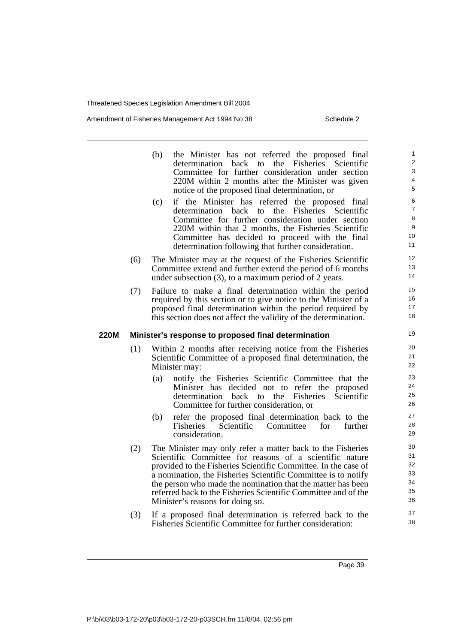Amendment of Fisheries Management Act 1994 No 38 Schedule 2

|      |     | (b)<br>the Minister has not referred the proposed final<br>determination back to<br>the Fisheries Scientific<br>Committee for further consideration under section<br>220M within 2 months after the Minister was given | $\mathbf{1}$<br>$\overline{2}$<br>3<br>4 |
|------|-----|------------------------------------------------------------------------------------------------------------------------------------------------------------------------------------------------------------------------|------------------------------------------|
|      |     | notice of the proposed final determination, or                                                                                                                                                                         | 5                                        |
|      |     | (c)<br>if the Minister has referred the proposed final                                                                                                                                                                 | 6                                        |
|      |     | the Fisheries Scientific<br>determination back<br>to<br>Committee for further consideration under section                                                                                                              | $\overline{7}$<br>8                      |
|      |     | 220M within that 2 months, the Fisheries Scientific                                                                                                                                                                    | 9                                        |
|      |     | Committee has decided to proceed with the final                                                                                                                                                                        | 10                                       |
|      |     | determination following that further consideration.                                                                                                                                                                    | 11                                       |
|      | (6) | The Minister may at the request of the Fisheries Scientific                                                                                                                                                            | 12                                       |
|      |     | Committee extend and further extend the period of 6 months                                                                                                                                                             | 13                                       |
|      |     | under subsection $(3)$ , to a maximum period of 2 years.                                                                                                                                                               | 14                                       |
|      | (7) | Failure to make a final determination within the period                                                                                                                                                                | 15                                       |
|      |     | required by this section or to give notice to the Minister of a                                                                                                                                                        | 16<br>17                                 |
|      |     | proposed final determination within the period required by<br>this section does not affect the validity of the determination.                                                                                          | 18                                       |
|      |     |                                                                                                                                                                                                                        |                                          |
| 220M |     | Minister's response to proposed final determination                                                                                                                                                                    | 19                                       |
|      | (1) | Within 2 months after receiving notice from the Fisheries                                                                                                                                                              | 20                                       |
|      |     | Scientific Committee of a proposed final determination, the                                                                                                                                                            | 21<br>22                                 |
|      |     | Minister may:                                                                                                                                                                                                          | 23                                       |
|      |     | notify the Fisheries Scientific Committee that the<br>(a)<br>Minister has decided not to refer the proposed                                                                                                            | 24                                       |
|      |     | back<br>the<br>determination<br>to<br><b>Fisheries</b><br>Scientific                                                                                                                                                   | 25                                       |
|      |     | Committee for further consideration, or                                                                                                                                                                                | 26                                       |
|      |     | refer the proposed final determination back to the<br>(b)                                                                                                                                                              | 27                                       |
|      |     | Scientific<br>Fisheries<br>Committee<br>for<br>further                                                                                                                                                                 | 28                                       |
|      |     | consideration.                                                                                                                                                                                                         | 29                                       |
|      | (2) | The Minister may only refer a matter back to the Fisheries                                                                                                                                                             | 30                                       |
|      |     | Scientific Committee for reasons of a scientific nature                                                                                                                                                                | 31<br>32                                 |
|      |     | provided to the Fisheries Scientific Committee. In the case of<br>a nomination, the Fisheries Scientific Committee is to notify                                                                                        | 33                                       |
|      |     | the person who made the nomination that the matter has been                                                                                                                                                            | 34                                       |
|      |     | referred back to the Fisheries Scientific Committee and of the                                                                                                                                                         | 35                                       |
|      |     | Minister's reasons for doing so.                                                                                                                                                                                       | 36                                       |
|      | (3) | If a proposed final determination is referred back to the                                                                                                                                                              | 37                                       |
|      |     | Fisheries Scientific Committee for further consideration:                                                                                                                                                              | 38                                       |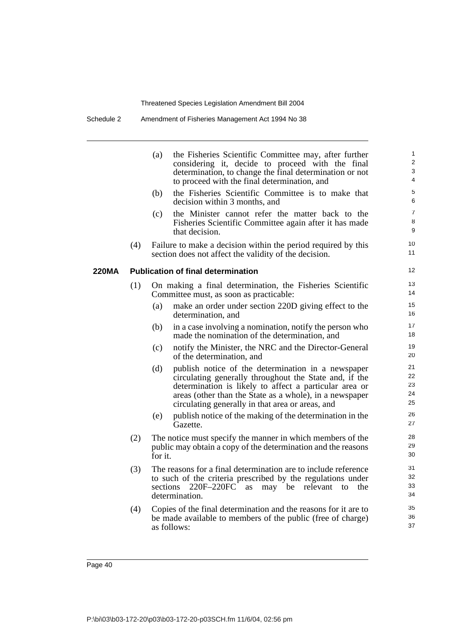|       |     | the Fisheries Scientific Committee may, after further<br>(a)<br>considering it, decide to proceed with the final<br>determination, to change the final determination or not<br>to proceed with the final determination, and                                                                  | 1<br>$\overline{a}$<br>3<br>4 |
|-------|-----|----------------------------------------------------------------------------------------------------------------------------------------------------------------------------------------------------------------------------------------------------------------------------------------------|-------------------------------|
|       |     | the Fisheries Scientific Committee is to make that<br>(b)<br>decision within 3 months, and                                                                                                                                                                                                   | 5<br>6                        |
|       |     | the Minister cannot refer the matter back to the<br>(c)<br>Fisheries Scientific Committee again after it has made<br>that decision.                                                                                                                                                          | $\overline{7}$<br>8<br>9      |
|       | (4) | Failure to make a decision within the period required by this<br>section does not affect the validity of the decision.                                                                                                                                                                       | 10<br>11                      |
| 220MA |     | <b>Publication of final determination</b>                                                                                                                                                                                                                                                    | 12                            |
|       | (1) | On making a final determination, the Fisheries Scientific<br>Committee must, as soon as practicable:                                                                                                                                                                                         | 13<br>14                      |
|       |     | make an order under section 220D giving effect to the<br>(a)<br>determination, and                                                                                                                                                                                                           | 15<br>16                      |
|       |     | (b)<br>in a case involving a nomination, notify the person who<br>made the nomination of the determination, and                                                                                                                                                                              | 17<br>18                      |
|       |     | notify the Minister, the NRC and the Director-General<br>(c)<br>of the determination, and                                                                                                                                                                                                    | 19<br>20                      |
|       |     | (d)<br>publish notice of the determination in a newspaper<br>circulating generally throughout the State and, if the<br>determination is likely to affect a particular area or<br>areas (other than the State as a whole), in a newspaper<br>circulating generally in that area or areas, and | 21<br>22<br>23<br>24<br>25    |
|       |     | publish notice of the making of the determination in the<br>(e)<br>Gazette.                                                                                                                                                                                                                  | 26<br>27                      |
|       | (2) | The notice must specify the manner in which members of the<br>public may obtain a copy of the determination and the reasons<br>for it.                                                                                                                                                       | 28<br>29<br>30                |
|       | (3) | The reasons for a final determination are to include reference<br>to such of the criteria prescribed by the regulations under<br>sections 220F-220FC<br>as may be relevant<br>to<br>the<br>determination.                                                                                    | 31<br>32<br>33<br>34          |
|       | (4) | Copies of the final determination and the reasons for it are to<br>be made available to members of the public (free of charge)<br>as follows:                                                                                                                                                | 35<br>36<br>37                |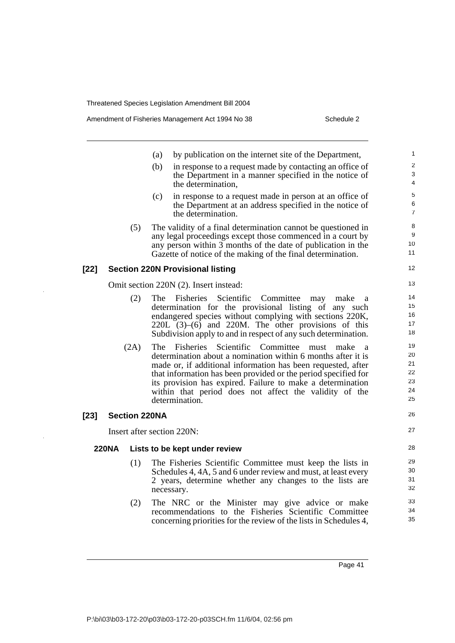|        |              |                      | (a)        | by publication on the internet site of the Department,                                                                                                                                                                                                                                                                                                                                                | 1                                      |
|--------|--------------|----------------------|------------|-------------------------------------------------------------------------------------------------------------------------------------------------------------------------------------------------------------------------------------------------------------------------------------------------------------------------------------------------------------------------------------------------------|----------------------------------------|
|        |              |                      | (b)        | in response to a request made by contacting an office of<br>the Department in a manner specified in the notice of<br>the determination,                                                                                                                                                                                                                                                               | $\overline{\mathbf{c}}$<br>3<br>4      |
|        |              |                      | (c)        | in response to a request made in person at an office of<br>the Department at an address specified in the notice of<br>the determination.                                                                                                                                                                                                                                                              | 5<br>6<br>$\overline{7}$               |
|        |              | (5)                  |            | The validity of a final determination cannot be questioned in<br>any legal proceedings except those commenced in a court by<br>any person within 3 months of the date of publication in the<br>Gazette of notice of the making of the final determination.                                                                                                                                            | 8<br>9<br>10<br>11                     |
| $[22]$ |              |                      |            | <b>Section 220N Provisional listing</b>                                                                                                                                                                                                                                                                                                                                                               | 12                                     |
|        |              |                      |            | Omit section 220N (2). Insert instead:                                                                                                                                                                                                                                                                                                                                                                | 13                                     |
|        |              | (2)                  | The        | Fisheries Scientific Committee may<br>make<br>a<br>determination for the provisional listing of any such<br>endangered species without complying with sections 220K,<br>$220L (3)$ –(6) and 220M. The other provisions of this<br>Subdivision apply to and in respect of any such determination.                                                                                                      | 14<br>15<br>16<br>17<br>18             |
|        |              | (2A)                 | The        | Scientific<br>Committee<br>Fisheries<br>make<br>must<br>a<br>determination about a nomination within 6 months after it is<br>made or, if additional information has been requested, after<br>that information has been provided or the period specified for<br>its provision has expired. Failure to make a determination<br>within that period does not affect the validity of the<br>determination. | 19<br>20<br>21<br>22<br>23<br>24<br>25 |
| $[23]$ |              | <b>Section 220NA</b> |            |                                                                                                                                                                                                                                                                                                                                                                                                       | 26                                     |
|        |              |                      |            | Insert after section 220N:                                                                                                                                                                                                                                                                                                                                                                            | 27                                     |
|        | <b>220NA</b> |                      |            | Lists to be kept under review                                                                                                                                                                                                                                                                                                                                                                         | 28                                     |
|        |              | (1)                  | necessary. | The Fisheries Scientific Committee must keep the lists in<br>Schedules 4, 4A, 5 and 6 under review and must, at least every<br>2 years, determine whether any changes to the lists are                                                                                                                                                                                                                | 29<br>30<br>31<br>32                   |
|        |              | (2)                  |            | The NRC or the Minister may give advice or make<br>recommendations to the Fisheries Scientific Committee<br>concerning priorities for the review of the lists in Schedules 4,                                                                                                                                                                                                                         | 33<br>34<br>35                         |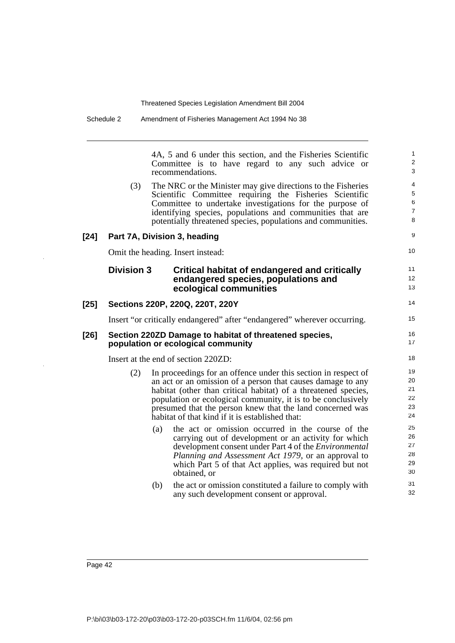|                                                                                                                                                                                                               |                                                                                              |     | 4A, 5 and 6 under this section, and the Fisheries Scientific<br>Committee is to have regard to any such advice or<br>recommendations.                                                                                                                                                                                                                                           | $\mathbf{1}$<br>$\overline{2}$<br>3      |  |  |
|---------------------------------------------------------------------------------------------------------------------------------------------------------------------------------------------------------------|----------------------------------------------------------------------------------------------|-----|---------------------------------------------------------------------------------------------------------------------------------------------------------------------------------------------------------------------------------------------------------------------------------------------------------------------------------------------------------------------------------|------------------------------------------|--|--|
|                                                                                                                                                                                                               | (3)                                                                                          |     | The NRC or the Minister may give directions to the Fisheries<br>Scientific Committee requiring the Fisheries Scientific<br>Committee to undertake investigations for the purpose of<br>identifying species, populations and communities that are<br>potentially threatened species, populations and communities.                                                                | 4<br>5<br>$\,6\,$<br>$\overline{7}$<br>8 |  |  |
| [24]                                                                                                                                                                                                          |                                                                                              |     | Part 7A, Division 3, heading                                                                                                                                                                                                                                                                                                                                                    | 9                                        |  |  |
|                                                                                                                                                                                                               |                                                                                              |     | Omit the heading. Insert instead:                                                                                                                                                                                                                                                                                                                                               | 10                                       |  |  |
|                                                                                                                                                                                                               | <b>Division 3</b>                                                                            |     | Critical habitat of endangered and critically<br>endangered species, populations and<br>ecological communities                                                                                                                                                                                                                                                                  | 11<br>12<br>13                           |  |  |
| $[25] % \includegraphics[width=0.9\columnwidth]{figures/fig_0a.pdf} \caption{The 2D maps of the parameter $\Omega$ with the same parameters. The left is the same as in Figure \ref{fig:10}.} \label{fig:11}$ |                                                                                              |     | Sections 220P, 220Q, 220T, 220Y                                                                                                                                                                                                                                                                                                                                                 | 14                                       |  |  |
|                                                                                                                                                                                                               |                                                                                              |     | Insert "or critically endangered" after "endangered" wherever occurring.                                                                                                                                                                                                                                                                                                        | 15                                       |  |  |
| [26]                                                                                                                                                                                                          | Section 220ZD Damage to habitat of threatened species,<br>population or ecological community |     |                                                                                                                                                                                                                                                                                                                                                                                 |                                          |  |  |
|                                                                                                                                                                                                               |                                                                                              |     | Insert at the end of section 220ZD:                                                                                                                                                                                                                                                                                                                                             | 18                                       |  |  |
|                                                                                                                                                                                                               | (2)                                                                                          |     | In proceedings for an offence under this section in respect of<br>an act or an omission of a person that causes damage to any<br>habitat (other than critical habitat) of a threatened species,<br>population or ecological community, it is to be conclusively<br>presumed that the person knew that the land concerned was<br>habitat of that kind if it is established that: | 19<br>20<br>21<br>22<br>23<br>24         |  |  |
|                                                                                                                                                                                                               |                                                                                              | (a) | the act or omission occurred in the course of the<br>carrying out of development or an activity for which<br>development consent under Part 4 of the <i>Environmental</i><br>Planning and Assessment Act 1979, or an approval to<br>which Part 5 of that Act applies, was required but not<br>obtained, or                                                                      | 25<br>26<br>27<br>28<br>29<br>30         |  |  |
|                                                                                                                                                                                                               |                                                                                              | (b) | the act or omission constituted a failure to comply with<br>any such development consent or approval.                                                                                                                                                                                                                                                                           | 31<br>32                                 |  |  |
|                                                                                                                                                                                                               |                                                                                              |     |                                                                                                                                                                                                                                                                                                                                                                                 |                                          |  |  |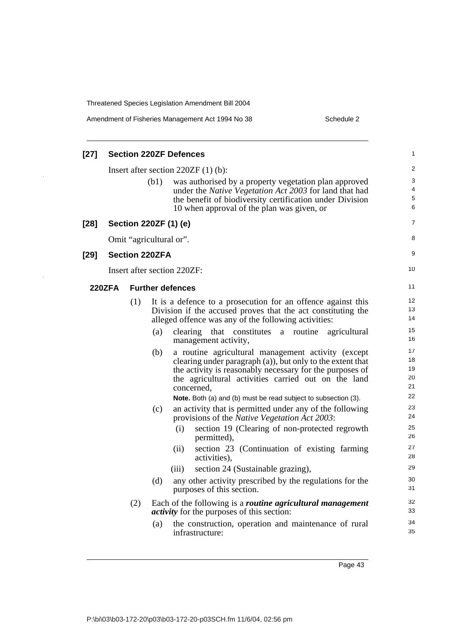Amendment of Fisheries Management Act 1994 No 38 Schedule 2

| $[27]$ | <b>Section 220ZF Defences</b> |                       |      |                                                                                                                                                                                                                                                      |                            |
|--------|-------------------------------|-----------------------|------|------------------------------------------------------------------------------------------------------------------------------------------------------------------------------------------------------------------------------------------------------|----------------------------|
|        |                               |                       |      | Insert after section $220ZF(1)(b)$ :                                                                                                                                                                                                                 | 2                          |
|        |                               |                       | (b1) | was authorised by a property vegetation plan approved<br>under the <i>Native Vegetation Act 2003</i> for land that had<br>the benefit of biodiversity certification under Division<br>10 when approval of the plan was given, or                     | 3<br>4<br>5<br>6           |
| $[28]$ |                               |                       |      | Section 220ZF (1) (e)                                                                                                                                                                                                                                | 7                          |
|        |                               |                       |      | Omit "agricultural or".                                                                                                                                                                                                                              | 8                          |
| $[29]$ |                               | <b>Section 220ZFA</b> |      |                                                                                                                                                                                                                                                      | 9                          |
|        |                               |                       |      | Insert after section 220ZF:                                                                                                                                                                                                                          | 10                         |
|        | <b>220ZFA</b>                 |                       |      | <b>Further defences</b>                                                                                                                                                                                                                              | 11                         |
|        |                               | (1)                   |      | It is a defence to a prosecution for an offence against this<br>Division if the accused proves that the act constituting the<br>alleged offence was any of the following activities:                                                                 | 12<br>13<br>14             |
|        |                               |                       | (a)  | clearing that constitutes<br>a routine<br>agricultural<br>management activity,                                                                                                                                                                       | 15<br>16                   |
|        |                               |                       | (b)  | a routine agricultural management activity (except<br>clearing under paragraph $(a)$ ), but only to the extent that<br>the activity is reasonably necessary for the purposes of<br>the agricultural activities carried out on the land<br>concerned, | 17<br>18<br>19<br>20<br>21 |
|        |                               |                       |      | Note. Both (a) and (b) must be read subject to subsection (3).                                                                                                                                                                                       | 22                         |
|        |                               |                       | (c)  | an activity that is permitted under any of the following<br>provisions of the <i>Native Vegetation Act 2003</i> :                                                                                                                                    | 23<br>24                   |
|        |                               |                       |      | (i)<br>section 19 (Clearing of non-protected regrowth<br>permitted),                                                                                                                                                                                 | 25<br>26                   |
|        |                               |                       |      | (ii)<br>section 23 (Continuation of existing farming<br>activities),                                                                                                                                                                                 | 27<br>28                   |
|        |                               |                       |      | section 24 (Sustainable grazing),<br>(iii)                                                                                                                                                                                                           | 29                         |
|        |                               |                       | (d)  | any other activity prescribed by the regulations for the<br>purposes of this section.                                                                                                                                                                | 30<br>31                   |
|        |                               | (2)                   |      | Each of the following is a <i>routine agricultural management</i><br><i>activity</i> for the purposes of this section:                                                                                                                               | 32<br>33                   |
|        |                               |                       | (a)  | the construction, operation and maintenance of rural<br>infrastructure:                                                                                                                                                                              | 34<br>35                   |
|        |                               |                       |      |                                                                                                                                                                                                                                                      |                            |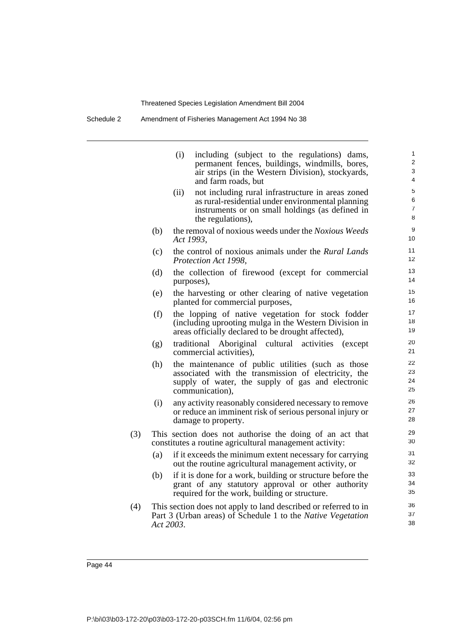Schedule 2 Amendment of Fisheries Management Act 1994 No 38

|     |           | (i)<br>including (subject to the regulations) dams,<br>permanent fences, buildings, windmills, bores,<br>air strips (in the Western Division), stockyards,<br>and farm roads, but      | $\mathbf{1}$<br>$\overline{2}$<br>3<br>4 |
|-----|-----------|----------------------------------------------------------------------------------------------------------------------------------------------------------------------------------------|------------------------------------------|
|     |           | (ii)<br>not including rural infrastructure in areas zoned<br>as rural-residential under environmental planning<br>instruments or on small holdings (as defined in<br>the regulations), | 5<br>6<br>$\overline{7}$<br>8            |
|     | (b)       | the removal of noxious weeds under the Noxious Weeds<br>Act 1993,                                                                                                                      | 9<br>10                                  |
|     | (c)       | the control of noxious animals under the Rural Lands<br>Protection Act 1998,                                                                                                           | 11<br>12                                 |
|     | (d)       | the collection of firewood (except for commercial<br>purposes),                                                                                                                        | 13<br>14                                 |
|     | (e)       | the harvesting or other clearing of native vegetation<br>planted for commercial purposes,                                                                                              | 15<br>16                                 |
|     | (f)       | the lopping of native vegetation for stock fodder<br>(including uprooting mulga in the Western Division in<br>areas officially declared to be drought affected),                       | 17<br>18<br>19                           |
|     | (g)       | traditional Aboriginal cultural activities (except<br>commercial activities),                                                                                                          | 20<br>21                                 |
|     | (h)       | the maintenance of public utilities (such as those<br>associated with the transmission of electricity, the<br>supply of water, the supply of gas and electronic<br>communication),     | 22<br>23<br>24<br>25                     |
|     | (i)       | any activity reasonably considered necessary to remove<br>or reduce an imminent risk of serious personal injury or<br>damage to property.                                              | 26<br>27<br>28                           |
| (3) |           | This section does not authorise the doing of an act that<br>constitutes a routine agricultural management activity:                                                                    | 29<br>30                                 |
|     | (a)       | if it exceeds the minimum extent necessary for carrying<br>out the routine agricultural management activity, or                                                                        | 31<br>32                                 |
|     | (b)       | if it is done for a work, building or structure before the<br>grant of any statutory approval or other authority<br>required for the work, building or structure.                      | 33<br>34<br>35                           |
| (4) | Act 2003. | This section does not apply to land described or referred to in<br>Part 3 (Urban areas) of Schedule 1 to the Native Vegetation                                                         | 36<br>37<br>38                           |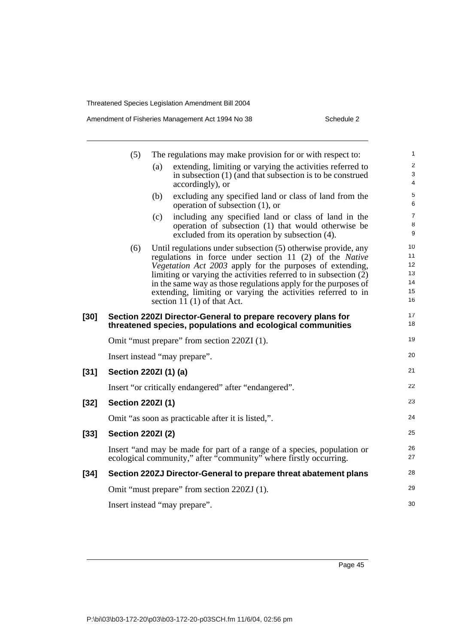|        | (5)                      | The regulations may make provision for or with respect to:                                                                                   | 1        |
|--------|--------------------------|----------------------------------------------------------------------------------------------------------------------------------------------|----------|
|        |                          | extending, limiting or varying the activities referred to<br>(a)                                                                             | 2        |
|        |                          | in subsection $(1)$ (and that subsection is to be construed<br>accordingly), or                                                              | 3<br>4   |
|        |                          | excluding any specified land or class of land from the<br>(b)                                                                                | 5        |
|        |                          | operation of subsection $(1)$ , or                                                                                                           | 6        |
|        |                          | including any specified land or class of land in the<br>(c)                                                                                  | 7        |
|        |                          | operation of subsection (1) that would otherwise be<br>excluded from its operation by subsection (4).                                        | 8<br>9   |
|        | (6)                      | Until regulations under subsection (5) otherwise provide, any                                                                                | 10       |
|        |                          | regulations in force under section 11 (2) of the Native<br>Vegetation Act 2003 apply for the purposes of extending,                          | 11<br>12 |
|        |                          | limiting or varying the activities referred to in subsection (2)                                                                             | 13       |
|        |                          | in the same way as those regulations apply for the purposes of                                                                               | 14       |
|        |                          | extending, limiting or varying the activities referred to in<br>section 11 $(1)$ of that Act.                                                | 15<br>16 |
| $[30]$ |                          | Section 220ZI Director-General to prepare recovery plans for                                                                                 | 17       |
|        |                          | threatened species, populations and ecological communities                                                                                   | 18       |
|        |                          | Omit "must prepare" from section 220ZI (1).                                                                                                  | 19       |
|        |                          | Insert instead "may prepare".                                                                                                                | 20       |
| $[31]$ |                          | Section 220ZI (1) (a)                                                                                                                        | 21       |
|        |                          | Insert "or critically endangered" after "endangered".                                                                                        | 22       |
| $[32]$ | <b>Section 220ZI (1)</b> |                                                                                                                                              | 23       |
|        |                          | Omit "as soon as practicable after it is listed,".                                                                                           | 24       |
| $[33]$ | Section 220ZI (2)        |                                                                                                                                              | 25       |
|        |                          | Insert "and may be made for part of a range of a species, population or<br>ecological community," after "community" where firstly occurring. | 26<br>27 |
| $[34]$ |                          | Section 220ZJ Director-General to prepare threat abatement plans                                                                             | 28       |
|        |                          | Omit "must prepare" from section 220ZJ (1).                                                                                                  | 29       |
|        |                          | Insert instead "may prepare".                                                                                                                | 30       |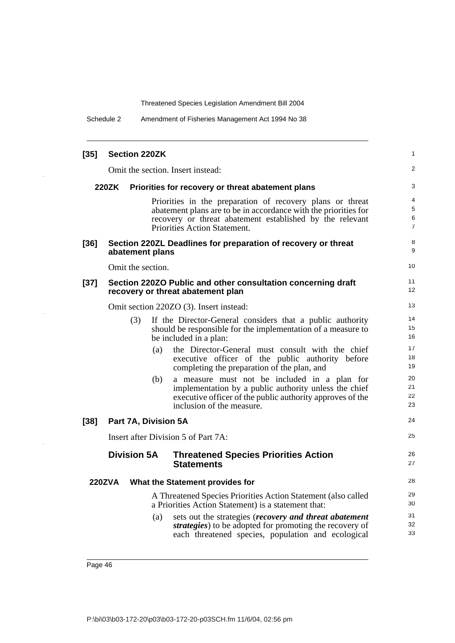Schedule 2 Amendment of Fisheries Management Act 1994 No 38

| $[35]$ | <b>Section 220ZK</b>                    |     |                                                                                                                                                                                                                          |                               |  |  |
|--------|-----------------------------------------|-----|--------------------------------------------------------------------------------------------------------------------------------------------------------------------------------------------------------------------------|-------------------------------|--|--|
|        |                                         |     | Omit the section. Insert instead:                                                                                                                                                                                        | 2                             |  |  |
|        | <b>220ZK</b>                            |     | Priorities for recovery or threat abatement plans                                                                                                                                                                        | 3                             |  |  |
|        |                                         |     | Priorities in the preparation of recovery plans or threat<br>abatement plans are to be in accordance with the priorities for<br>recovery or threat abatement established by the relevant<br>Priorities Action Statement. | 4<br>5<br>6<br>$\overline{7}$ |  |  |
| $[36]$ | abatement plans                         |     | Section 220ZL Deadlines for preparation of recovery or threat                                                                                                                                                            | 8<br>9                        |  |  |
|        | Omit the section.                       |     |                                                                                                                                                                                                                          | 10                            |  |  |
| $[37]$ |                                         |     | Section 220ZO Public and other consultation concerning draft<br>recovery or threat abatement plan                                                                                                                        | 11<br>12                      |  |  |
|        | Omit section 220ZO (3). Insert instead: |     |                                                                                                                                                                                                                          |                               |  |  |
|        |                                         | (3) | If the Director-General considers that a public authority<br>should be responsible for the implementation of a measure to<br>be included in a plan:                                                                      | 14<br>15<br>16                |  |  |
|        |                                         |     | the Director-General must consult with the chief<br>(a)<br>executive officer of the public authority before<br>completing the preparation of the plan, and                                                               | 17<br>18<br>19                |  |  |
|        |                                         |     | a measure must not be included in a plan for<br>(b)<br>implementation by a public authority unless the chief<br>executive officer of the public authority approves of the<br>inclusion of the measure.                   | 20<br>21<br>22<br>23          |  |  |
| $[38]$ |                                         |     | Part 7A, Division 5A                                                                                                                                                                                                     | 24                            |  |  |
|        | Insert after Division 5 of Part 7A:     |     |                                                                                                                                                                                                                          |                               |  |  |
|        | <b>Division 5A</b>                      |     | <b>Threatened Species Priorities Action</b><br><b>Statements</b>                                                                                                                                                         | 26<br>27                      |  |  |
|        | <b>220ZVA</b>                           |     | What the Statement provides for                                                                                                                                                                                          | 28                            |  |  |
|        |                                         |     | A Threatened Species Priorities Action Statement (also called<br>a Priorities Action Statement) is a statement that:                                                                                                     | 29<br>30                      |  |  |
|        |                                         |     | sets out the strategies ( <i>recovery and threat abatement</i><br>(a)<br>strategies) to be adopted for promoting the recovery of<br>each threatened species, population and ecological                                   | 31<br>32<br>33                |  |  |
|        |                                         |     |                                                                                                                                                                                                                          |                               |  |  |

Page 46

i.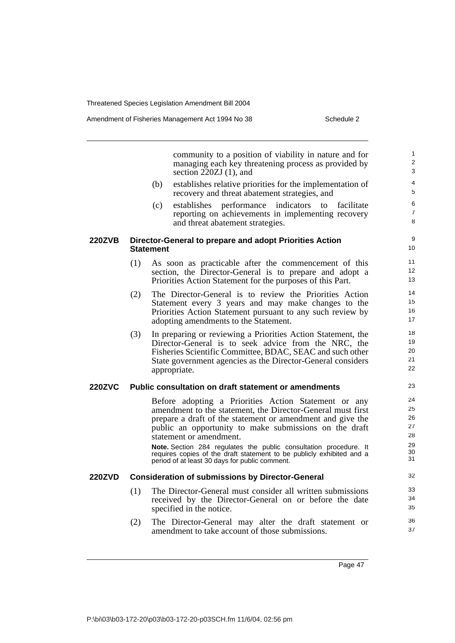community to a position of viability in nature and for managing each key threatening process as provided by section 220ZJ (1), and (b) establishes relative priorities for the implementation of recovery and threat abatement strategies, and (c) establishes performance indicators to facilitate reporting on achievements in implementing recovery and threat abatement strategies. **220ZVB Director-General to prepare and adopt Priorities Action Statement** (1) As soon as practicable after the commencement of this section, the Director-General is to prepare and adopt a Priorities Action Statement for the purposes of this Part. (2) The Director-General is to review the Priorities Action Statement every 3 years and may make changes to the Priorities Action Statement pursuant to any such review by adopting amendments to the Statement. (3) In preparing or reviewing a Priorities Action Statement, the Director-General is to seek advice from the NRC, the Fisheries Scientific Committee, BDAC, SEAC and such other State government agencies as the Director-General considers appropriate. **220ZVC Public consultation on draft statement or amendments** Before adopting a Priorities Action Statement or any amendment to the statement, the Director-General must first prepare a draft of the statement or amendment and give the public an opportunity to make submissions on the draft statement or amendment. **Note.** Section 284 regulates the public consultation procedure. It requires copies of the draft statement to be publicly exhibited and a period of at least 30 days for public comment. **220ZVD Consideration of submissions by Director-General** (1) The Director-General must consider all written submissions received by the Director-General on or before the date specified in the notice. (2) The Director-General may alter the draft statement or amendment to take account of those submissions. 1  $\overline{2}$ 3 4 5 6 7 8 9 10 11 12 13 14 15 16 17 18 19 20 21 22 23 24 25 26 27 28 **29** 30 31 32 33 34 35 36 37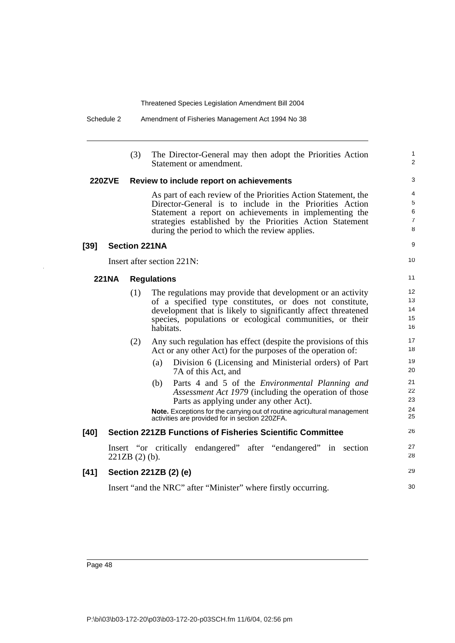|               | (3)                  | The Director-General may then adopt the Priorities Action                                                                  |
|---------------|----------------------|----------------------------------------------------------------------------------------------------------------------------|
|               |                      | Statement or amendment.                                                                                                    |
| <b>220ZVE</b> |                      | Review to include report on achievements                                                                                   |
|               |                      | As part of each review of the Priorities Action Statement, the<br>Director-General is to include in the Priorities Action  |
|               |                      | Statement a report on achievements in implementing the                                                                     |
|               |                      | strategies established by the Priorities Action Statement<br>during the period to which the review applies.                |
|               | <b>Section 221NA</b> |                                                                                                                            |
|               |                      | Insert after section 221N:                                                                                                 |
| <b>221NA</b>  |                      | <b>Regulations</b>                                                                                                         |
|               | (1)                  | The regulations may provide that development or an activity                                                                |
|               |                      | of a specified type constitutes, or does not constitute,                                                                   |
|               |                      | development that is likely to significantly affect threatened                                                              |
|               |                      | species, populations or ecological communities, or their<br>habitats.                                                      |
|               | (2)                  | Any such regulation has effect (despite the provisions of this                                                             |
|               |                      | Act or any other Act) for the purposes of the operation of:                                                                |
|               |                      | (a)<br>Division 6 (Licensing and Ministerial orders) of Part                                                               |
|               |                      | 7A of this Act, and                                                                                                        |
|               |                      | Parts 4 and 5 of the <i>Environmental Planning and</i><br>(b)                                                              |
|               |                      | Assessment Act 1979 (including the operation of those                                                                      |
|               |                      | Parts as applying under any other Act).                                                                                    |
|               |                      | Note. Exceptions for the carrying out of routine agricultural management<br>activities are provided for in section 220ZFA. |
|               |                      | <b>Section 221ZB Functions of Fisheries Scientific Committee</b>                                                           |
|               |                      | Insert "or critically endangered" after "endangered" in section                                                            |
|               | $221ZB(2)$ (b).      |                                                                                                                            |
|               |                      | Section 221ZB (2) (e)                                                                                                      |
|               |                      | Insert "and the NRC" after "Minister" where firstly occurring.                                                             |
|               |                      |                                                                                                                            |

Schedule 2 Amendment of Fisheries Management Act 1994 No 38

i.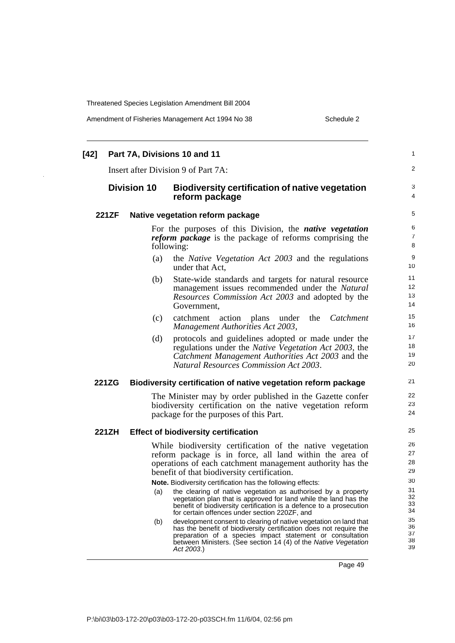Amendment of Fisheries Management Act 1994 No 38 Schedule 2

| Insert after Division 9 of Part 7A:<br><b>Division 10</b><br><b>Biodiversity certification of native vegetation</b><br>reform package<br>Native vegetation reform package<br>For the purposes of this Division, the <i>native vegetation</i><br><i>reform package</i> is the package of reforms comprising the<br>following:<br>(a)<br>the <i>Native Vegetation Act 2003</i> and the regulations<br>under that Act,<br>State-wide standards and targets for natural resource<br>(b)<br>management issues recommended under the Natural<br>Resources Commission Act 2003 and adopted by the<br>Government,<br>catchment action plans under the<br>Catchment<br>(c)<br>Management Authorities Act 2003,<br>(d)<br>protocols and guidelines adopted or made under the<br>regulations under the <i>Native Vegetation Act 2003</i> , the<br>Catchment Management Authorities Act 2003 and the<br><b>Natural Resources Commission Act 2003.</b><br>Biodiversity certification of native vegetation reform package<br>The Minister may by order published in the Gazette confer<br>biodiversity certification on the native vegetation reform<br>package for the purposes of this Part.<br><b>Effect of biodiversity certification</b><br>While biodiversity certification of the native vegetation<br>reform package is in force, all land within the area of<br>operations of each catchment management authority has the<br>benefit of that biodiversity certification.<br>Note. Biodiversity certification has the following effects:<br>(a)<br>the clearing of native vegetation as authorised by a property<br>vegetation plan that is approved for land while the land has the<br>benefit of biodiversity certification is a defence to a prosecution<br>for certain offences under section 220ZF, and<br>development consent to clearing of native vegetation on land that<br>(b)<br>has the benefit of biodiversity certification does not require the<br>preparation of a species impact statement or consultation<br>between Ministers. (See section 14 (4) of the Native Vegetation<br>Act 2003.) | $[42]$ | Part 7A, Divisions 10 and 11 |  |
|--------------------------------------------------------------------------------------------------------------------------------------------------------------------------------------------------------------------------------------------------------------------------------------------------------------------------------------------------------------------------------------------------------------------------------------------------------------------------------------------------------------------------------------------------------------------------------------------------------------------------------------------------------------------------------------------------------------------------------------------------------------------------------------------------------------------------------------------------------------------------------------------------------------------------------------------------------------------------------------------------------------------------------------------------------------------------------------------------------------------------------------------------------------------------------------------------------------------------------------------------------------------------------------------------------------------------------------------------------------------------------------------------------------------------------------------------------------------------------------------------------------------------------------------------------------------------------------------------------------------------------------------------------------------------------------------------------------------------------------------------------------------------------------------------------------------------------------------------------------------------------------------------------------------------------------------------------------------------------------------------------------------------------------------------------------------------------------------------------|--------|------------------------------|--|
|                                                                                                                                                                                                                                                                                                                                                                                                                                                                                                                                                                                                                                                                                                                                                                                                                                                                                                                                                                                                                                                                                                                                                                                                                                                                                                                                                                                                                                                                                                                                                                                                                                                                                                                                                                                                                                                                                                                                                                                                                                                                                                        |        |                              |  |
|                                                                                                                                                                                                                                                                                                                                                                                                                                                                                                                                                                                                                                                                                                                                                                                                                                                                                                                                                                                                                                                                                                                                                                                                                                                                                                                                                                                                                                                                                                                                                                                                                                                                                                                                                                                                                                                                                                                                                                                                                                                                                                        |        |                              |  |
|                                                                                                                                                                                                                                                                                                                                                                                                                                                                                                                                                                                                                                                                                                                                                                                                                                                                                                                                                                                                                                                                                                                                                                                                                                                                                                                                                                                                                                                                                                                                                                                                                                                                                                                                                                                                                                                                                                                                                                                                                                                                                                        | 221ZF  |                              |  |
|                                                                                                                                                                                                                                                                                                                                                                                                                                                                                                                                                                                                                                                                                                                                                                                                                                                                                                                                                                                                                                                                                                                                                                                                                                                                                                                                                                                                                                                                                                                                                                                                                                                                                                                                                                                                                                                                                                                                                                                                                                                                                                        |        |                              |  |
|                                                                                                                                                                                                                                                                                                                                                                                                                                                                                                                                                                                                                                                                                                                                                                                                                                                                                                                                                                                                                                                                                                                                                                                                                                                                                                                                                                                                                                                                                                                                                                                                                                                                                                                                                                                                                                                                                                                                                                                                                                                                                                        |        |                              |  |
|                                                                                                                                                                                                                                                                                                                                                                                                                                                                                                                                                                                                                                                                                                                                                                                                                                                                                                                                                                                                                                                                                                                                                                                                                                                                                                                                                                                                                                                                                                                                                                                                                                                                                                                                                                                                                                                                                                                                                                                                                                                                                                        |        |                              |  |
|                                                                                                                                                                                                                                                                                                                                                                                                                                                                                                                                                                                                                                                                                                                                                                                                                                                                                                                                                                                                                                                                                                                                                                                                                                                                                                                                                                                                                                                                                                                                                                                                                                                                                                                                                                                                                                                                                                                                                                                                                                                                                                        |        |                              |  |
|                                                                                                                                                                                                                                                                                                                                                                                                                                                                                                                                                                                                                                                                                                                                                                                                                                                                                                                                                                                                                                                                                                                                                                                                                                                                                                                                                                                                                                                                                                                                                                                                                                                                                                                                                                                                                                                                                                                                                                                                                                                                                                        |        |                              |  |
|                                                                                                                                                                                                                                                                                                                                                                                                                                                                                                                                                                                                                                                                                                                                                                                                                                                                                                                                                                                                                                                                                                                                                                                                                                                                                                                                                                                                                                                                                                                                                                                                                                                                                                                                                                                                                                                                                                                                                                                                                                                                                                        | 221ZG  |                              |  |
|                                                                                                                                                                                                                                                                                                                                                                                                                                                                                                                                                                                                                                                                                                                                                                                                                                                                                                                                                                                                                                                                                                                                                                                                                                                                                                                                                                                                                                                                                                                                                                                                                                                                                                                                                                                                                                                                                                                                                                                                                                                                                                        |        |                              |  |
|                                                                                                                                                                                                                                                                                                                                                                                                                                                                                                                                                                                                                                                                                                                                                                                                                                                                                                                                                                                                                                                                                                                                                                                                                                                                                                                                                                                                                                                                                                                                                                                                                                                                                                                                                                                                                                                                                                                                                                                                                                                                                                        | 221ZH  |                              |  |
|                                                                                                                                                                                                                                                                                                                                                                                                                                                                                                                                                                                                                                                                                                                                                                                                                                                                                                                                                                                                                                                                                                                                                                                                                                                                                                                                                                                                                                                                                                                                                                                                                                                                                                                                                                                                                                                                                                                                                                                                                                                                                                        |        |                              |  |
| Page 49                                                                                                                                                                                                                                                                                                                                                                                                                                                                                                                                                                                                                                                                                                                                                                                                                                                                                                                                                                                                                                                                                                                                                                                                                                                                                                                                                                                                                                                                                                                                                                                                                                                                                                                                                                                                                                                                                                                                                                                                                                                                                                |        |                              |  |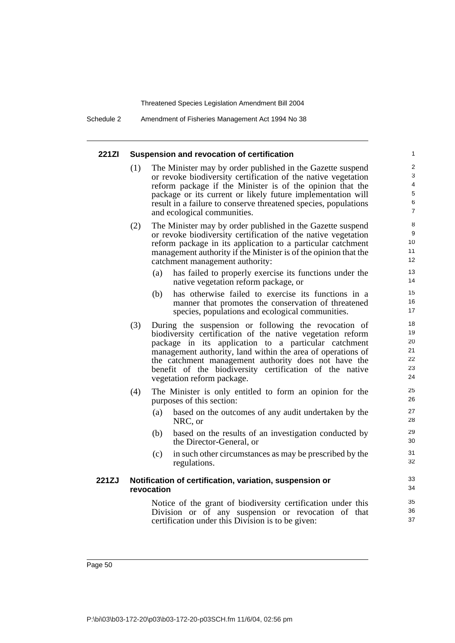#### **221ZI Suspension and revocation of certification**

(1) The Minister may by order published in the Gazette suspend or revoke biodiversity certification of the native vegetation reform package if the Minister is of the opinion that the package or its current or likely future implementation will result in a failure to conserve threatened species, populations and ecological communities.

- (2) The Minister may by order published in the Gazette suspend or revoke biodiversity certification of the native vegetation reform package in its application to a particular catchment management authority if the Minister is of the opinion that the catchment management authority:
	- (a) has failed to properly exercise its functions under the native vegetation reform package, or
	- (b) has otherwise failed to exercise its functions in a manner that promotes the conservation of threatened species, populations and ecological communities.
- (3) During the suspension or following the revocation of biodiversity certification of the native vegetation reform package in its application to a particular catchment management authority, land within the area of operations of the catchment management authority does not have the benefit of the biodiversity certification of the native vegetation reform package.
- (4) The Minister is only entitled to form an opinion for the purposes of this section:
	- (a) based on the outcomes of any audit undertaken by the NRC, or
	- (b) based on the results of an investigation conducted by the Director-General, or
	- (c) in such other circumstances as may be prescribed by the regulations.

# **221ZJ Notification of certification, variation, suspension or revocation**

Notice of the grant of biodiversity certification under this Division or of any suspension or revocation of that certification under this Division is to be given: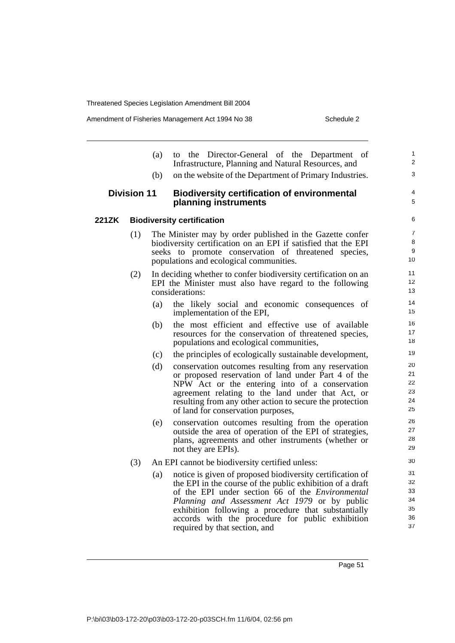Amendment of Fisheries Management Act 1994 No 38 Schedule 2

|              |                    | (a) | to the Director-General of the Department of<br>Infrastructure, Planning and Natural Resources, and                                                                                                                                                                                                                                                                     | 1<br>$\overline{2}$                    |
|--------------|--------------------|-----|-------------------------------------------------------------------------------------------------------------------------------------------------------------------------------------------------------------------------------------------------------------------------------------------------------------------------------------------------------------------------|----------------------------------------|
|              |                    | (b) | on the website of the Department of Primary Industries.                                                                                                                                                                                                                                                                                                                 | 3                                      |
|              | <b>Division 11</b> |     | <b>Biodiversity certification of environmental</b><br>planning instruments                                                                                                                                                                                                                                                                                              | 4<br>5                                 |
| <b>221ZK</b> |                    |     | <b>Biodiversity certification</b>                                                                                                                                                                                                                                                                                                                                       | 6                                      |
|              | (1)                |     | The Minister may by order published in the Gazette confer<br>biodiversity certification on an EPI if satisfied that the EPI<br>seeks to promote conservation of threatened species,<br>populations and ecological communities.                                                                                                                                          | $\overline{7}$<br>8<br>9<br>10         |
|              | (2)                |     | In deciding whether to confer biodiversity certification on an<br>EPI the Minister must also have regard to the following<br>considerations:                                                                                                                                                                                                                            | 11<br>12<br>13                         |
|              |                    | (a) | the likely social and economic consequences of<br>implementation of the EPI,                                                                                                                                                                                                                                                                                            | 14<br>15                               |
|              |                    | (b) | the most efficient and effective use of available<br>resources for the conservation of threatened species,<br>populations and ecological communities,                                                                                                                                                                                                                   | 16<br>17<br>18                         |
|              |                    | (c) | the principles of ecologically sustainable development,                                                                                                                                                                                                                                                                                                                 | 19                                     |
|              |                    | (d) | conservation outcomes resulting from any reservation<br>or proposed reservation of land under Part 4 of the<br>NPW Act or the entering into of a conservation<br>agreement relating to the land under that Act, or<br>resulting from any other action to secure the protection<br>of land for conservation purposes,                                                    | 20<br>21<br>22<br>23<br>24<br>25       |
|              |                    | (e) | conservation outcomes resulting from the operation<br>outside the area of operation of the EPI of strategies,<br>plans, agreements and other instruments (whether or<br>not they are EPIs).                                                                                                                                                                             | 26<br>27<br>28<br>29                   |
|              | (3)                |     | An EPI cannot be biodiversity certified unless:                                                                                                                                                                                                                                                                                                                         | 30                                     |
|              |                    | (a) | notice is given of proposed biodiversity certification of<br>the EPI in the course of the public exhibition of a draft<br>of the EPI under section 66 of the Environmental<br>Planning and Assessment Act 1979 or by public<br>exhibition following a procedure that substantially<br>accords with the procedure for public exhibition<br>required by that section, and | 31<br>32<br>33<br>34<br>35<br>36<br>37 |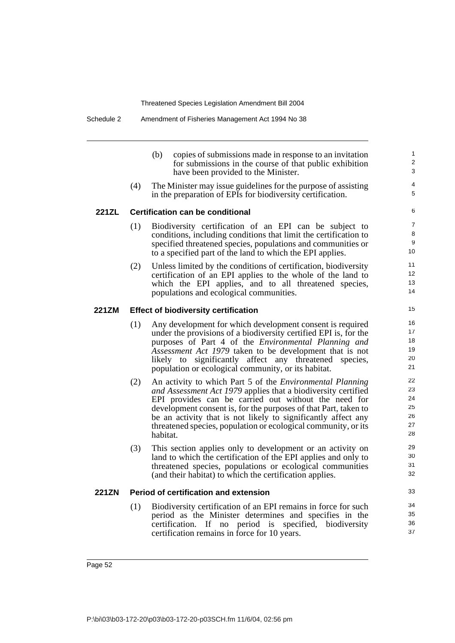(b) copies of submissions made in response to an invitation for submissions in the course of that public exhibition have been provided to the Minister.

(4) The Minister may issue guidelines for the purpose of assisting in the preparation of EPIs for biodiversity certification.

# **221ZL Certification can be conditional**

- (1) Biodiversity certification of an EPI can be subject to conditions, including conditions that limit the certification to specified threatened species, populations and communities or to a specified part of the land to which the EPI applies.
- (2) Unless limited by the conditions of certification, biodiversity certification of an EPI applies to the whole of the land to which the EPI applies, and to all threatened species, populations and ecological communities.

# **221ZM Effect of biodiversity certification**

- (1) Any development for which development consent is required under the provisions of a biodiversity certified EPI is, for the purposes of Part 4 of the *Environmental Planning and Assessment Act 1979* taken to be development that is not likely to significantly affect any threatened species, population or ecological community, or its habitat.
- (2) An activity to which Part 5 of the *Environmental Planning and Assessment Act 1979* applies that a biodiversity certified EPI provides can be carried out without the need for development consent is, for the purposes of that Part, taken to be an activity that is not likely to significantly affect any threatened species, population or ecological community, or its habitat.
- (3) This section applies only to development or an activity on land to which the certification of the EPI applies and only to threatened species, populations or ecological communities (and their habitat) to which the certification applies.

# **221ZN Period of certification and extension**

(1) Biodiversity certification of an EPI remains in force for such period as the Minister determines and specifies in the certification. If no period is specified, biodiversity certification remains in force for 10 years.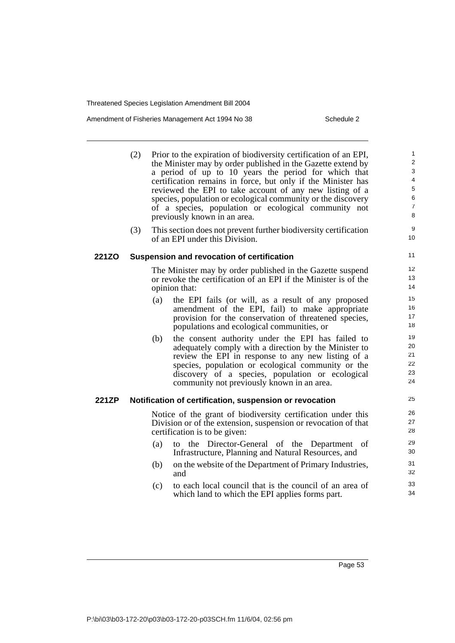Amendment of Fisheries Management Act 1994 No 38 Schedule 2

(2) Prior to the expiration of biodiversity certification of an EPI, the Minister may by order published in the Gazette extend by a period of up to 10 years the period for which that certification remains in force, but only if the Minister has reviewed the EPI to take account of any new listing of a species, population or ecological community or the discovery of a species, population or ecological community not previously known in an area. (3) This section does not prevent further biodiversity certification of an EPI under this Division. **221ZO Suspension and revocation of certification** The Minister may by order published in the Gazette suspend or revoke the certification of an EPI if the Minister is of the opinion that: (a) the EPI fails (or will, as a result of any proposed amendment of the EPI, fail) to make appropriate provision for the conservation of threatened species, populations and ecological communities, or (b) the consent authority under the EPI has failed to adequately comply with a direction by the Minister to review the EPI in response to any new listing of a species, population or ecological community or the discovery of a species, population or ecological community not previously known in an area. **221ZP Notification of certification, suspension or revocation** Notice of the grant of biodiversity certification under this Division or of the extension, suspension or revocation of that certification is to be given: (a) to the Director-General of the Department of Infrastructure, Planning and Natural Resources, and (b) on the website of the Department of Primary Industries, and (c) to each local council that is the council of an area of which land to which the EPI applies forms part.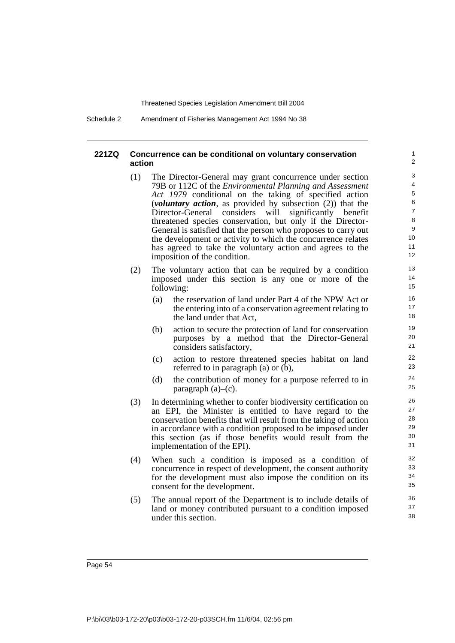Schedule 2 Amendment of Fisheries Management Act 1994 No 38

# **221ZQ Concurrence can be conditional on voluntary conservation action**

(1) The Director-General may grant concurrence under section 79B or 112C of the *Environmental Planning and Assessment Act 1979* conditional on the taking of specified action (*voluntary action*, as provided by subsection (2)) that the Director-General considers will significantly benefit threatened species conservation, but only if the Director-General is satisfied that the person who proposes to carry out the development or activity to which the concurrence relates has agreed to take the voluntary action and agrees to the imposition of the condition.

- (2) The voluntary action that can be required by a condition imposed under this section is any one or more of the following:
	- (a) the reservation of land under Part 4 of the NPW Act or the entering into of a conservation agreement relating to the land under that Act,
	- (b) action to secure the protection of land for conservation purposes by a method that the Director-General considers satisfactory,
	- (c) action to restore threatened species habitat on land referred to in paragraph (a) or (b),
	- (d) the contribution of money for a purpose referred to in paragraph  $(a)$ – $(c)$ .
- (3) In determining whether to confer biodiversity certification on an EPI, the Minister is entitled to have regard to the conservation benefits that will result from the taking of action in accordance with a condition proposed to be imposed under this section (as if those benefits would result from the implementation of the EPI).
- (4) When such a condition is imposed as a condition of concurrence in respect of development, the consent authority for the development must also impose the condition on its consent for the development.
- (5) The annual report of the Department is to include details of land or money contributed pursuant to a condition imposed under this section.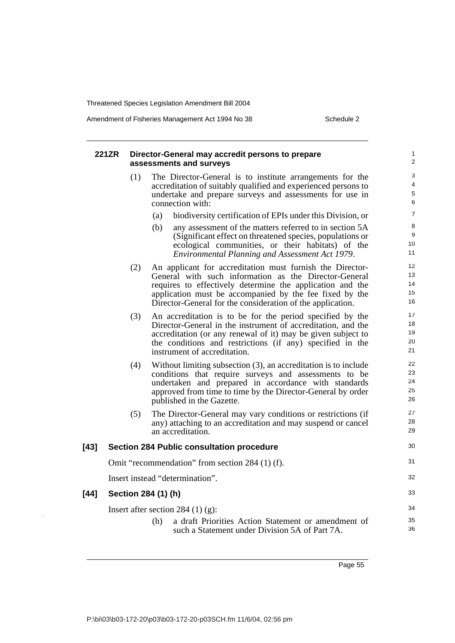Amendment of Fisheries Management Act 1994 No 38 Schedule 2

30 31

32

33

34 35 36

# **221ZR Director-General may accredit persons to prepare assessments and surveys**

- (1) The Director-General is to institute arrangements for the accreditation of suitably qualified and experienced persons to undertake and prepare surveys and assessments for use in connection with:
	- (a) biodiversity certification of EPIs under this Division, or
	- (b) any assessment of the matters referred to in section 5A (Significant effect on threatened species, populations or ecological communities, or their habitats) of the *Environmental Planning and Assessment Act 1979*.
- (2) An applicant for accreditation must furnish the Director-General with such information as the Director-General requires to effectively determine the application and the application must be accompanied by the fee fixed by the Director-General for the consideration of the application.
- (3) An accreditation is to be for the period specified by the Director-General in the instrument of accreditation, and the accreditation (or any renewal of it) may be given subject to the conditions and restrictions (if any) specified in the instrument of accreditation.
- (4) Without limiting subsection (3), an accreditation is to include conditions that require surveys and assessments to be undertaken and prepared in accordance with standards approved from time to time by the Director-General by order published in the Gazette.
- (5) The Director-General may vary conditions or restrictions (if any) attaching to an accreditation and may suspend or cancel an accreditation.

# **[43] Section 284 Public consultation procedure**

Omit "recommendation" from section 284 (1) (f).

Insert instead "determination".

# **[44] Section 284 (1) (h)**

Insert after section 284  $(1)$   $(g)$ :

(h) a draft Priorities Action Statement or amendment of such a Statement under Division 5A of Part 7A.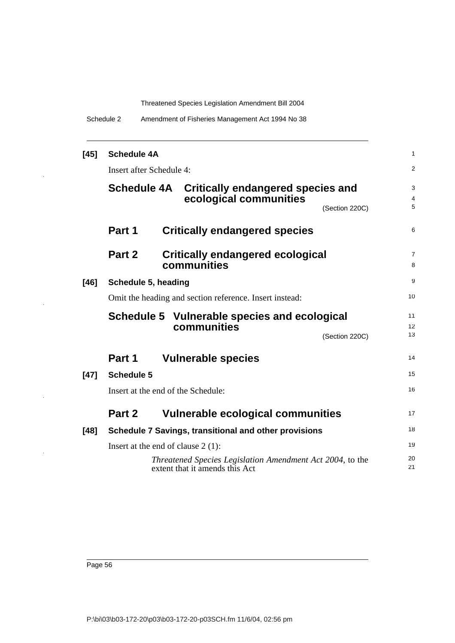| $[45]$ | <b>Schedule 4A</b>                           |  |                                                                                             |                | 1                            |  |  |
|--------|----------------------------------------------|--|---------------------------------------------------------------------------------------------|----------------|------------------------------|--|--|
|        | <b>Insert after Schedule 4:</b>              |  |                                                                                             |                | $\overline{2}$               |  |  |
|        | <b>Schedule 4A</b>                           |  | <b>Critically endangered species and</b><br>ecological communities                          |                | 3<br>$\overline{\mathbf{4}}$ |  |  |
|        |                                              |  |                                                                                             | (Section 220C) | 5                            |  |  |
|        | Part 1                                       |  | <b>Critically endangered species</b>                                                        |                | 6                            |  |  |
|        | Part 2                                       |  | <b>Critically endangered ecological</b>                                                     |                | $\overline{7}$               |  |  |
|        |                                              |  | communities                                                                                 |                | 8                            |  |  |
| $[46]$ | Schedule 5, heading                          |  |                                                                                             |                | 9                            |  |  |
|        |                                              |  | Omit the heading and section reference. Insert instead:                                     |                | 10                           |  |  |
|        | Schedule 5 Vulnerable species and ecological |  |                                                                                             |                |                              |  |  |
|        | communities                                  |  |                                                                                             |                |                              |  |  |
|        |                                              |  |                                                                                             | (Section 220C) | 13                           |  |  |
|        | Part 1                                       |  | <b>Vulnerable species</b>                                                                   |                | 14                           |  |  |
| $[47]$ | <b>Schedule 5</b>                            |  |                                                                                             |                | 15                           |  |  |
|        |                                              |  | Insert at the end of the Schedule:                                                          |                | 16                           |  |  |
|        | Part 2                                       |  | Vulnerable ecological communities                                                           |                | 17                           |  |  |
| $[48]$ |                                              |  | Schedule 7 Savings, transitional and other provisions                                       |                | 18                           |  |  |
|        |                                              |  | Insert at the end of clause $2(1)$ :                                                        |                | 19                           |  |  |
|        |                                              |  | Threatened Species Legislation Amendment Act 2004, to the<br>extent that it amends this Act |                | 20<br>21                     |  |  |

 $\bar{z}$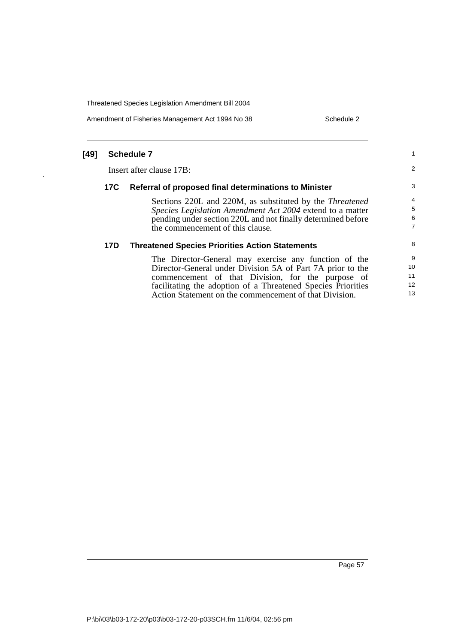Amendment of Fisheries Management Act 1994 No 38 Schedule 2

| [49] | <b>Schedule 7</b> |                                                                 |                |
|------|-------------------|-----------------------------------------------------------------|----------------|
|      |                   | Insert after clause 17B:                                        | 2              |
|      | 17C               | Referral of proposed final determinations to Minister           | 3              |
|      |                   | Sections 220L and 220M, as substituted by the <i>Threatened</i> | 4              |
|      |                   | Species Legislation Amendment Act 2004 extend to a matter       | 5              |
|      |                   | pending under section 220L and not finally determined before    | 6              |
|      |                   | the commencement of this clause.                                | $\overline{7}$ |
|      | 17D               | <b>Threatened Species Priorities Action Statements</b>          | 8              |
|      |                   | The Director-General may exercise any function of the           | 9              |
|      |                   | Director-General under Division 5A of Part 7A prior to the      | 10             |
|      |                   | commencement of that Division, for the purpose of               | 11             |
|      |                   | facilitating the adoption of a Threatened Species Priorities    | 12             |
|      |                   | Action Statement on the commencement of that Division.          | 13             |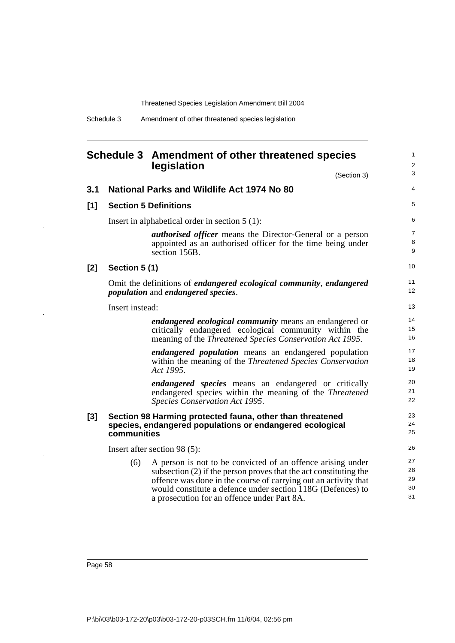|       |                                            | Schedule 3 Amendment of other threatened species<br>legislation                                                                                                                                                                                                                                                     | 1<br>$\sqrt{2}$            |  |  |
|-------|--------------------------------------------|---------------------------------------------------------------------------------------------------------------------------------------------------------------------------------------------------------------------------------------------------------------------------------------------------------------------|----------------------------|--|--|
|       |                                            | (Section 3)                                                                                                                                                                                                                                                                                                         | 3                          |  |  |
| 3.1   | National Parks and Wildlife Act 1974 No 80 |                                                                                                                                                                                                                                                                                                                     |                            |  |  |
| [1]   |                                            | <b>Section 5 Definitions</b>                                                                                                                                                                                                                                                                                        | 5                          |  |  |
|       |                                            | Insert in alphabetical order in section $5(1)$ :                                                                                                                                                                                                                                                                    | 6                          |  |  |
|       |                                            | <i>authorised officer</i> means the Director-General or a person<br>appointed as an authorised officer for the time being under<br>section 156B.                                                                                                                                                                    | $\overline{7}$<br>8<br>9   |  |  |
| [2]   | Section 5 (1)                              |                                                                                                                                                                                                                                                                                                                     | 10                         |  |  |
|       |                                            | Omit the definitions of endangered ecological community, endangered<br><i>population</i> and <i>endangered species</i> .                                                                                                                                                                                            | 11<br>12                   |  |  |
|       | Insert instead:                            |                                                                                                                                                                                                                                                                                                                     | 13                         |  |  |
|       |                                            | <i>endangered ecological community</i> means an endangered or<br>critically endangered ecological community within the<br>meaning of the <i>Threatened Species Conservation Act 1995</i> .                                                                                                                          | 14<br>15<br>16             |  |  |
|       |                                            | <i>endangered population</i> means an endangered population<br>within the meaning of the <i>Threatened Species Conservation</i><br>Act 1995.                                                                                                                                                                        | 17<br>18<br>19             |  |  |
|       |                                            | <i>endangered species</i> means an endangered or critically<br>endangered species within the meaning of the Threatened<br>Species Conservation Act 1995.                                                                                                                                                            | 20<br>21<br>22             |  |  |
| $[3]$ | communities                                | Section 98 Harming protected fauna, other than threatened<br>species, endangered populations or endangered ecological                                                                                                                                                                                               | 23<br>24<br>25             |  |  |
|       |                                            | Insert after section 98 (5):                                                                                                                                                                                                                                                                                        | 26                         |  |  |
|       | (6)                                        | A person is not to be convicted of an offence arising under<br>subsection $(2)$ if the person proves that the act constituting the<br>offence was done in the course of carrying out an activity that<br>would constitute a defence under section 118G (Defences) to<br>a prosecution for an offence under Part 8A. | 27<br>28<br>29<br>30<br>31 |  |  |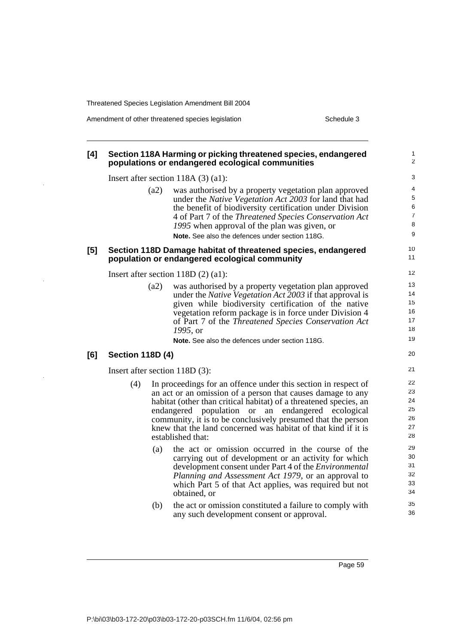Amendment of other threatened species legislation Schedule 3

 $\bar{\mathcal{A}}$ 

 $\ddot{\phantom{a}}$ 

| [4] | Section 118A Harming or picking threatened species, endangered<br>populations or endangered ecological communities |      |                                                                                                                                                                                                                                                                                                                                                                                                                |                                         |  |
|-----|--------------------------------------------------------------------------------------------------------------------|------|----------------------------------------------------------------------------------------------------------------------------------------------------------------------------------------------------------------------------------------------------------------------------------------------------------------------------------------------------------------------------------------------------------------|-----------------------------------------|--|
|     | Insert after section $118A(3)(a1)$ :                                                                               |      |                                                                                                                                                                                                                                                                                                                                                                                                                |                                         |  |
|     |                                                                                                                    | (a2) | was authorised by a property vegetation plan approved<br>under the Native Vegetation Act 2003 for land that had<br>the benefit of biodiversity certification under Division<br>4 of Part 7 of the Threatened Species Conservation Act<br>1995 when approval of the plan was given, or<br>Note. See also the defences under section 118G.                                                                       | 4<br>5<br>6<br>$\overline{7}$<br>8<br>9 |  |
| [5] | Section 118D Damage habitat of threatened species, endangered<br>population or endangered ecological community     |      |                                                                                                                                                                                                                                                                                                                                                                                                                |                                         |  |
|     |                                                                                                                    |      | Insert after section $118D(2)(a1)$ :                                                                                                                                                                                                                                                                                                                                                                           | 12                                      |  |
|     |                                                                                                                    | (a2) | was authorised by a property vegetation plan approved<br>under the <i>Native Vegetation Act 2003</i> if that approval is<br>given while biodiversity certification of the native<br>vegetation reform package is in force under Division 4<br>of Part 7 of the Threatened Species Conservation Act<br>1995, or<br>Note. See also the defences under section 118G.                                              | 13<br>14<br>15<br>16<br>17<br>18<br>19  |  |
|     |                                                                                                                    |      |                                                                                                                                                                                                                                                                                                                                                                                                                | 20                                      |  |
| [6] | <b>Section 118D (4)</b>                                                                                            |      |                                                                                                                                                                                                                                                                                                                                                                                                                |                                         |  |
|     | Insert after section $118D(3)$ :                                                                                   |      |                                                                                                                                                                                                                                                                                                                                                                                                                |                                         |  |
|     | (4)                                                                                                                |      | In proceedings for an offence under this section in respect of<br>an act or an omission of a person that causes damage to any<br>habitat (other than critical habitat) of a threatened species, an<br>endangered population or an endangered ecological<br>community, it is to be conclusively presumed that the person<br>knew that the land concerned was habitat of that kind if it is<br>established that: | 22<br>23<br>24<br>25<br>26<br>27<br>28  |  |
|     |                                                                                                                    | (a)  | the act or omission occurred in the course of the<br>carrying out of development or an activity for which<br>development consent under Part 4 of the <i>Environmental</i><br>Planning and Assessment Act 1979, or an approval to<br>which Part 5 of that Act applies, was required but not<br>obtained, or                                                                                                     | 29<br>30<br>31<br>32<br>33<br>34        |  |
|     |                                                                                                                    | (b)  | the act or omission constituted a failure to comply with<br>any such development consent or approval.                                                                                                                                                                                                                                                                                                          | 35<br>36                                |  |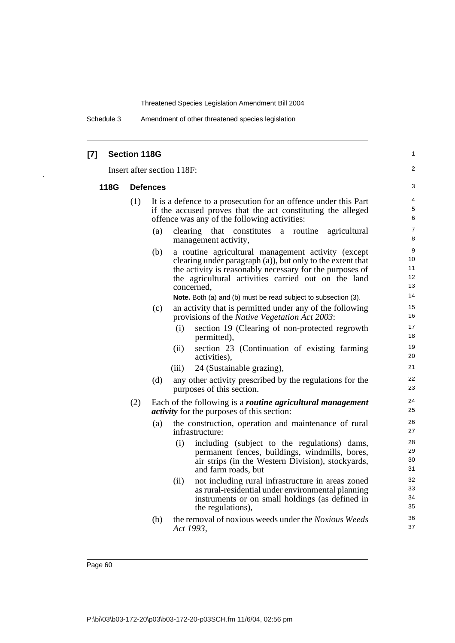Schedule 3 Amendment of other threatened species legislation

| $[7]$ | <b>Section 118G</b>        |                 |                                                                                                                                                                                                                                                   | 1                             |  |
|-------|----------------------------|-----------------|---------------------------------------------------------------------------------------------------------------------------------------------------------------------------------------------------------------------------------------------------|-------------------------------|--|
|       | Insert after section 118F: |                 |                                                                                                                                                                                                                                                   |                               |  |
| 118G  |                            | <b>Defences</b> |                                                                                                                                                                                                                                                   | 3                             |  |
|       | (1)                        | (a)             | It is a defence to a prosecution for an offence under this Part<br>if the accused proves that the act constituting the alleged<br>offence was any of the following activities:<br>clearing that constitutes a routine agricultural                | 4<br>5<br>6<br>$\overline{7}$ |  |
|       |                            |                 | management activity,                                                                                                                                                                                                                              | 8                             |  |
|       |                            | (b)             | a routine agricultural management activity (except<br>clearing under paragraph (a)), but only to the extent that<br>the activity is reasonably necessary for the purposes of<br>the agricultural activities carried out on the land<br>concerned, | 9<br>10<br>11<br>12<br>13     |  |
|       |                            |                 | Note. Both (a) and (b) must be read subject to subsection (3).                                                                                                                                                                                    | 14<br>15                      |  |
|       |                            | (c)             | an activity that is permitted under any of the following<br>provisions of the <i>Native Vegetation Act 2003</i> :                                                                                                                                 | 16                            |  |
|       |                            |                 | section 19 (Clearing of non-protected regrowth<br>(i)<br>permitted),                                                                                                                                                                              | 17<br>18                      |  |
|       |                            |                 | section 23 (Continuation of existing farming<br>(ii)<br>activities).                                                                                                                                                                              | 19<br>20                      |  |
|       |                            |                 | 24 (Sustainable grazing),<br>(iii)                                                                                                                                                                                                                | 21                            |  |
|       |                            | (d)             | any other activity prescribed by the regulations for the<br>purposes of this section.                                                                                                                                                             | 22<br>23                      |  |
|       | (2)                        |                 | Each of the following is a <i>routine agricultural management</i><br><i>activity</i> for the purposes of this section:                                                                                                                            | 24<br>25                      |  |
|       |                            | (a)             | the construction, operation and maintenance of rural<br>infrastructure:                                                                                                                                                                           | 26<br>27                      |  |
|       |                            |                 | (i)<br>including (subject to the regulations) dams,<br>permanent fences, buildings, windmills, bores,<br>air strips (in the Western Division), stockyards,<br>and farm roads, but                                                                 | 28<br>29<br>30<br>31          |  |
|       |                            |                 | not including rural infrastructure in areas zoned<br>(ii)<br>as rural-residential under environmental planning<br>instruments or on small holdings (as defined in<br>the regulations),                                                            | 32<br>33<br>34<br>35          |  |
|       |                            | (b)             | the removal of noxious weeds under the Noxious Weeds<br>Act 1993,                                                                                                                                                                                 | 36<br>37                      |  |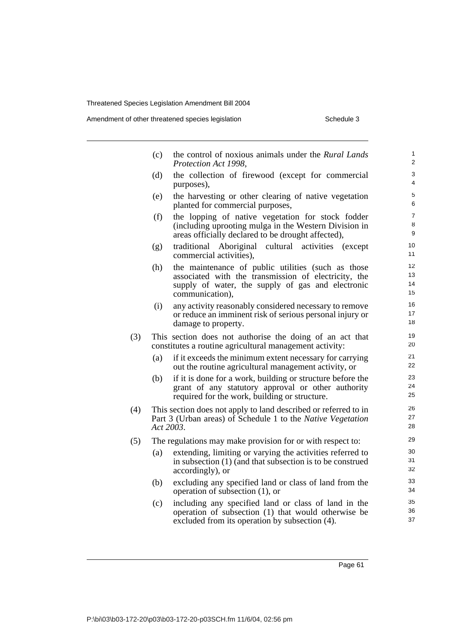Amendment of other threatened species legislation Schedule 3

|     | (c)       | the control of noxious animals under the Rural Lands<br>Protection Act 1998,                                                                                                       | 1<br>$\overline{2}$      |
|-----|-----------|------------------------------------------------------------------------------------------------------------------------------------------------------------------------------------|--------------------------|
|     | (d)       | the collection of firewood (except for commercial<br>purposes),                                                                                                                    | 3<br>4                   |
|     | (e)       | the harvesting or other clearing of native vegetation<br>planted for commercial purposes,                                                                                          | 5<br>6                   |
|     | (f)       | the lopping of native vegetation for stock fodder<br>(including uprooting mulga in the Western Division in<br>areas officially declared to be drought affected),                   | $\overline{7}$<br>8<br>9 |
|     | (g)       | traditional Aboriginal cultural activities (except<br>commercial activities),                                                                                                      | 10<br>11                 |
|     | (h)       | the maintenance of public utilities (such as those<br>associated with the transmission of electricity, the<br>supply of water, the supply of gas and electronic<br>communication), | 12<br>13<br>14<br>15     |
|     | (i)       | any activity reasonably considered necessary to remove<br>or reduce an imminent risk of serious personal injury or<br>damage to property.                                          | 16<br>17<br>18           |
| (3) |           | This section does not authorise the doing of an act that<br>constitutes a routine agricultural management activity:                                                                | 19<br>20                 |
|     | (a)       | if it exceeds the minimum extent necessary for carrying<br>out the routine agricultural management activity, or                                                                    | 21<br>22                 |
|     | (b)       | if it is done for a work, building or structure before the<br>grant of any statutory approval or other authority<br>required for the work, building or structure.                  | 23<br>24<br>25           |
| (4) | Act 2003. | This section does not apply to land described or referred to in<br>Part 3 (Urban areas) of Schedule 1 to the Native Vegetation                                                     | 26<br>27<br>28           |
| (5) |           | The regulations may make provision for or with respect to:                                                                                                                         | 29                       |
|     | (a)       | extending, limiting or varying the activities referred to<br>in subsection $(1)$ (and that subsection is to be construed<br>accordingly), or                                       | 30<br>31<br>32           |
|     | (b)       | excluding any specified land or class of land from the<br>operation of subsection $(1)$ , or                                                                                       | 33<br>34                 |
|     | (c)       | including any specified land or class of land in the<br>operation of subsection (1) that would otherwise be<br>excluded from its operation by subsection $(4)$                     | 35<br>36<br>37           |

excluded from its operation by subsection (4).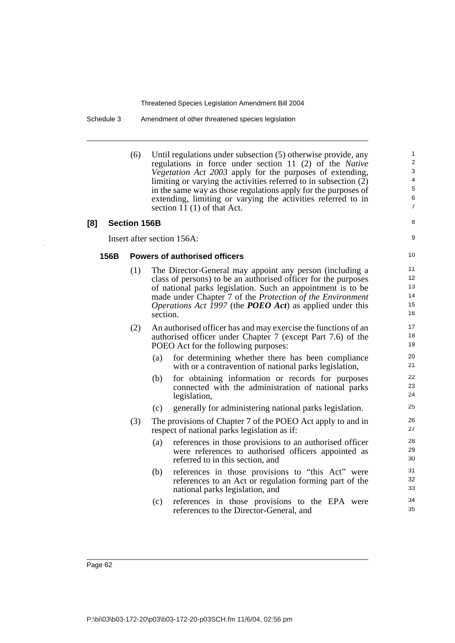(6) Until regulations under subsection (5) otherwise provide, any regulations in force under section 11 (2) of the *Native Vegetation Act 2003* apply for the purposes of extending, limiting or varying the activities referred to in subsection (2) in the same way as those regulations apply for the purposes of extending, limiting or varying the activities referred to in section 11 (1) of that Act.

8

9

#### **[8] Section 156B**

Insert after section 156A:

### **156B Powers of authorised officers**

- (1) The Director-General may appoint any person (including a class of persons) to be an authorised officer for the purposes of national parks legislation. Such an appointment is to be made under Chapter 7 of the *Protection of the Environment Operations Act 1997* (the *POEO Act*) as applied under this section.
- (2) An authorised officer has and may exercise the functions of an authorised officer under Chapter 7 (except Part 7.6) of the POEO Act for the following purposes:
	- (a) for determining whether there has been compliance with or a contravention of national parks legislation,
	- (b) for obtaining information or records for purposes connected with the administration of national parks legislation,
	- (c) generally for administering national parks legislation.
- (3) The provisions of Chapter 7 of the POEO Act apply to and in respect of national parks legislation as if:
	- (a) references in those provisions to an authorised officer were references to authorised officers appointed as referred to in this section, and
	- (b) references in those provisions to "this Act" were references to an Act or regulation forming part of the national parks legislation, and
	- (c) references in those provisions to the EPA were references to the Director-General, and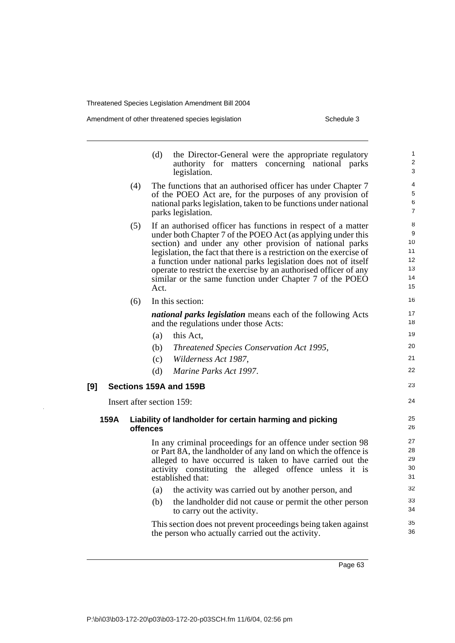Amendment of other threatened species legislation Schedule 3

|     |      |     | (d)<br>the Director-General were the appropriate regulatory<br>authority for matters concerning national parks<br>legislation.                                                                                                                                                                                                                                                                                                                                                                                                                                              | $\mathbf{1}$<br>2<br>3                                   |  |
|-----|------|-----|-----------------------------------------------------------------------------------------------------------------------------------------------------------------------------------------------------------------------------------------------------------------------------------------------------------------------------------------------------------------------------------------------------------------------------------------------------------------------------------------------------------------------------------------------------------------------------|----------------------------------------------------------|--|
|     |      | (4) | The functions that an authorised officer has under Chapter 7<br>of the POEO Act are, for the purposes of any provision of<br>national parks legislation, taken to be functions under national<br>parks legislation.                                                                                                                                                                                                                                                                                                                                                         | 4<br>5<br>6<br>$\overline{7}$                            |  |
|     |      | (5) | If an authorised officer has functions in respect of a matter<br>under both Chapter 7 of the POEO Act (as applying under this<br>section) and under any other provision of national parks<br>legislation, the fact that there is a restriction on the exercise of<br>a function under national parks legislation does not of itself<br>operate to restrict the exercise by an authorised officer of any<br>similar or the same function under Chapter 7 of the POEO<br>Act.                                                                                                 | 8<br>9<br>10<br>11<br>12<br>13<br>14<br>15               |  |
|     |      | (6) | In this section:                                                                                                                                                                                                                                                                                                                                                                                                                                                                                                                                                            | 16                                                       |  |
|     |      |     | <i>national parks legislation</i> means each of the following Acts<br>and the regulations under those Acts:                                                                                                                                                                                                                                                                                                                                                                                                                                                                 |                                                          |  |
|     |      |     | (a)<br>this Act,                                                                                                                                                                                                                                                                                                                                                                                                                                                                                                                                                            | 19                                                       |  |
|     |      |     | (b)<br>Threatened Species Conservation Act 1995,                                                                                                                                                                                                                                                                                                                                                                                                                                                                                                                            | 20                                                       |  |
|     |      |     | Wilderness Act 1987,<br>(c)                                                                                                                                                                                                                                                                                                                                                                                                                                                                                                                                                 | 21                                                       |  |
|     |      |     | Marine Parks Act 1997.<br>(d)                                                                                                                                                                                                                                                                                                                                                                                                                                                                                                                                               | 22                                                       |  |
| [9] |      |     | Sections 159A and 159B                                                                                                                                                                                                                                                                                                                                                                                                                                                                                                                                                      | 23                                                       |  |
|     |      |     | Insert after section 159:                                                                                                                                                                                                                                                                                                                                                                                                                                                                                                                                                   | 24                                                       |  |
|     | 159A |     | Liability of landholder for certain harming and picking<br>offences                                                                                                                                                                                                                                                                                                                                                                                                                                                                                                         | 25<br>26                                                 |  |
|     |      |     | In any criminal proceedings for an offence under section 98<br>or Part 8A, the landholder of any land on which the offence is<br>alleged to have occurred is taken to have carried out the<br>activity constituting the alleged offence unless it<br><sup>is</sup><br>established that:<br>the activity was carried out by another person, and<br>(a)<br>(b)<br>the landholder did not cause or permit the other person<br>to carry out the activity.<br>This section does not prevent proceedings being taken against<br>the person who actually carried out the activity. | 27<br>28<br>29<br>30<br>31<br>32<br>33<br>34<br>35<br>36 |  |
|     |      |     |                                                                                                                                                                                                                                                                                                                                                                                                                                                                                                                                                                             |                                                          |  |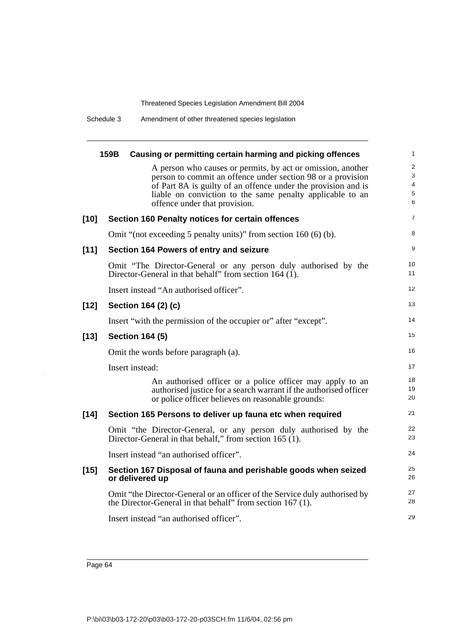Schedule 3 Amendment of other threatened species legislation

|        | 159B | Causing or permitting certain harming and picking offences                                                                                                                                                                                                                                | 1                                  |
|--------|------|-------------------------------------------------------------------------------------------------------------------------------------------------------------------------------------------------------------------------------------------------------------------------------------------|------------------------------------|
|        |      | A person who causes or permits, by act or omission, another<br>person to commit an offence under section 98 or a provision<br>of Part 8A is guilty of an offence under the provision and is<br>liable on conviction to the same penalty applicable to an<br>offence under that provision. | $\overline{2}$<br>3<br>4<br>5<br>6 |
| $[10]$ |      | Section 160 Penalty notices for certain offences                                                                                                                                                                                                                                          | 7                                  |
|        |      | Omit "(not exceeding 5 penalty units)" from section 160 (6) (b).                                                                                                                                                                                                                          | 8                                  |
| $[11]$ |      | Section 164 Powers of entry and seizure                                                                                                                                                                                                                                                   | 9                                  |
|        |      | Omit "The Director-General or any person duly authorised by the<br>Director-General in that behalf" from section 164 (1).                                                                                                                                                                 | 10<br>11                           |
|        |      | Insert instead "An authorised officer".                                                                                                                                                                                                                                                   | 12                                 |
| $[12]$ |      | Section 164 (2) (c)                                                                                                                                                                                                                                                                       | 13                                 |
|        |      | Insert "with the permission of the occupier or" after "except".                                                                                                                                                                                                                           | 14                                 |
| $[13]$ |      | <b>Section 164 (5)</b>                                                                                                                                                                                                                                                                    | 15                                 |
|        |      | Omit the words before paragraph (a).                                                                                                                                                                                                                                                      | 16                                 |
|        |      | Insert instead:                                                                                                                                                                                                                                                                           | 17                                 |
|        |      | An authorised officer or a police officer may apply to an<br>authorised justice for a search warrant if the authorised officer<br>or police officer believes on reasonable grounds:                                                                                                       | 18<br>19<br>20                     |
| $[14]$ |      | Section 165 Persons to deliver up fauna etc when required                                                                                                                                                                                                                                 | 21                                 |
|        |      | Omit "the Director-General, or any person duly authorised by the<br>Director-General in that behalf," from section 165 (1).                                                                                                                                                               | 22<br>23                           |
|        |      | Insert instead "an authorised officer".                                                                                                                                                                                                                                                   | 24                                 |
| $[15]$ |      | Section 167 Disposal of fauna and perishable goods when seized<br>or delivered up                                                                                                                                                                                                         | 25<br>26                           |
|        |      | Omit "the Director-General or an officer of the Service duly authorised by<br>the Director-General in that behalf" from section 167 (1).                                                                                                                                                  | 27<br>28                           |
|        |      | Insert instead "an authorised officer".                                                                                                                                                                                                                                                   | 29                                 |
|        |      |                                                                                                                                                                                                                                                                                           |                                    |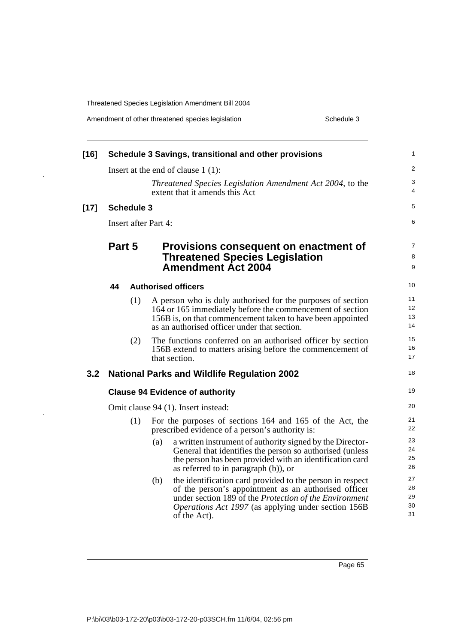Threatened Species Legislation Amendment Bill 2004

|  | Amendment of other threatened species legislation | Schedule 3 |
|--|---------------------------------------------------|------------|
|--|---------------------------------------------------|------------|

| $[16]$ |        |                             |     | Schedule 3 Savings, transitional and other provisions                                                                                                                                                                                                     | 1                          |
|--------|--------|-----------------------------|-----|-----------------------------------------------------------------------------------------------------------------------------------------------------------------------------------------------------------------------------------------------------------|----------------------------|
|        |        |                             |     | Insert at the end of clause $1(1)$ :                                                                                                                                                                                                                      | $\overline{c}$             |
|        |        |                             |     | Threatened Species Legislation Amendment Act 2004, to the<br>extent that it amends this Act                                                                                                                                                               | 3<br>4                     |
| $[17]$ |        | <b>Schedule 3</b>           |     |                                                                                                                                                                                                                                                           | 5                          |
|        |        | <b>Insert after Part 4:</b> |     |                                                                                                                                                                                                                                                           | 6                          |
|        | Part 5 |                             |     | Provisions consequent on enactment of<br><b>Threatened Species Legislation</b><br><b>Amendment Act 2004</b>                                                                                                                                               | 7<br>8<br>9                |
|        | 44     |                             |     | <b>Authorised officers</b>                                                                                                                                                                                                                                | 10                         |
|        |        | (1)                         |     | A person who is duly authorised for the purposes of section<br>164 or 165 immediately before the commencement of section<br>156B is, on that commencement taken to have been appointed<br>as an authorised officer under that section.                    | 11<br>12<br>13<br>14       |
|        |        | (2)                         |     | The functions conferred on an authorised officer by section<br>156B extend to matters arising before the commencement of<br>that section.                                                                                                                 | 15<br>16<br>17             |
| 3.2    |        |                             |     | <b>National Parks and Wildlife Regulation 2002</b>                                                                                                                                                                                                        | 18                         |
|        |        |                             |     | <b>Clause 94 Evidence of authority</b>                                                                                                                                                                                                                    | 19                         |
|        |        |                             |     | Omit clause 94 (1). Insert instead:                                                                                                                                                                                                                       | 20                         |
|        |        | (1)                         |     | For the purposes of sections 164 and 165 of the Act, the<br>prescribed evidence of a person's authority is:                                                                                                                                               | 21<br>22                   |
|        |        |                             | (a) | a written instrument of authority signed by the Director-<br>General that identifies the person so authorised (unless<br>the person has been provided with an identification card<br>as referred to in paragraph (b)), or                                 | 23<br>24<br>25<br>26       |
|        |        |                             | (b) | the identification card provided to the person in respect<br>of the person's appointment as an authorised officer<br>under section 189 of the Protection of the Environment<br><i>Operations Act 1997</i> (as applying under section 156B<br>of the Act). | 27<br>28<br>29<br>30<br>31 |

Page 65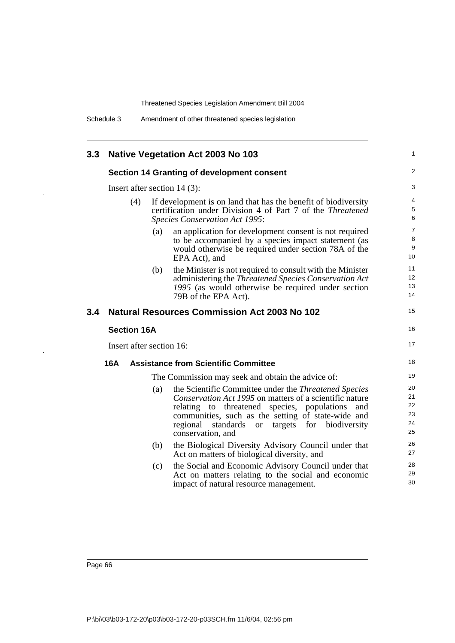Threatened Species Legislation Amendment Bill 2004

| 3.3 <sub>2</sub> |     |                                |     | <b>Native Vegetation Act 2003 No 103</b>                                                                                                                                                                                                                                                                                  | 1                                |
|------------------|-----|--------------------------------|-----|---------------------------------------------------------------------------------------------------------------------------------------------------------------------------------------------------------------------------------------------------------------------------------------------------------------------------|----------------------------------|
|                  |     |                                |     | <b>Section 14 Granting of development consent</b>                                                                                                                                                                                                                                                                         | $\overline{2}$                   |
|                  |     | Insert after section $14(3)$ : |     |                                                                                                                                                                                                                                                                                                                           |                                  |
|                  |     | (4)                            |     | If development is on land that has the benefit of biodiversity<br>certification under Division 4 of Part 7 of the Threatened<br><b>Species Conservation Act 1995:</b>                                                                                                                                                     | 4<br>5<br>6                      |
|                  |     |                                | (a) | an application for development consent is not required<br>to be accompanied by a species impact statement (as<br>would otherwise be required under section 78A of the<br>EPA Act), and                                                                                                                                    | 7<br>8<br>9<br>10                |
|                  |     |                                | (b) | the Minister is not required to consult with the Minister<br>administering the Threatened Species Conservation Act<br>1995 (as would otherwise be required under section<br>79B of the EPA Act).                                                                                                                          | 11<br>12<br>13<br>14             |
| 3.4              |     |                                |     | <b>Natural Resources Commission Act 2003 No 102</b>                                                                                                                                                                                                                                                                       | 15                               |
|                  |     | <b>Section 16A</b>             |     |                                                                                                                                                                                                                                                                                                                           | 16                               |
|                  |     | Insert after section 16:       |     |                                                                                                                                                                                                                                                                                                                           | 17                               |
|                  | 16A |                                |     | <b>Assistance from Scientific Committee</b>                                                                                                                                                                                                                                                                               | 18                               |
|                  |     |                                |     | The Commission may seek and obtain the advice of:                                                                                                                                                                                                                                                                         | 19                               |
|                  |     |                                | (a) | the Scientific Committee under the Threatened Species<br>Conservation Act 1995 on matters of a scientific nature<br>relating to threatened species, populations<br>and<br>communities, such as the setting of state-wide and<br>regional<br>standards<br>targets<br>for<br>biodiversity<br><b>or</b><br>conservation, and | 20<br>21<br>22<br>23<br>24<br>25 |
|                  |     |                                | (b) | the Biological Diversity Advisory Council under that<br>Act on matters of biological diversity, and                                                                                                                                                                                                                       | 26<br>27                         |
|                  |     |                                | (c) | the Social and Economic Advisory Council under that<br>Act on matters relating to the social and economic<br>impact of natural resource management.                                                                                                                                                                       | 28<br>29<br>30                   |

Page 66